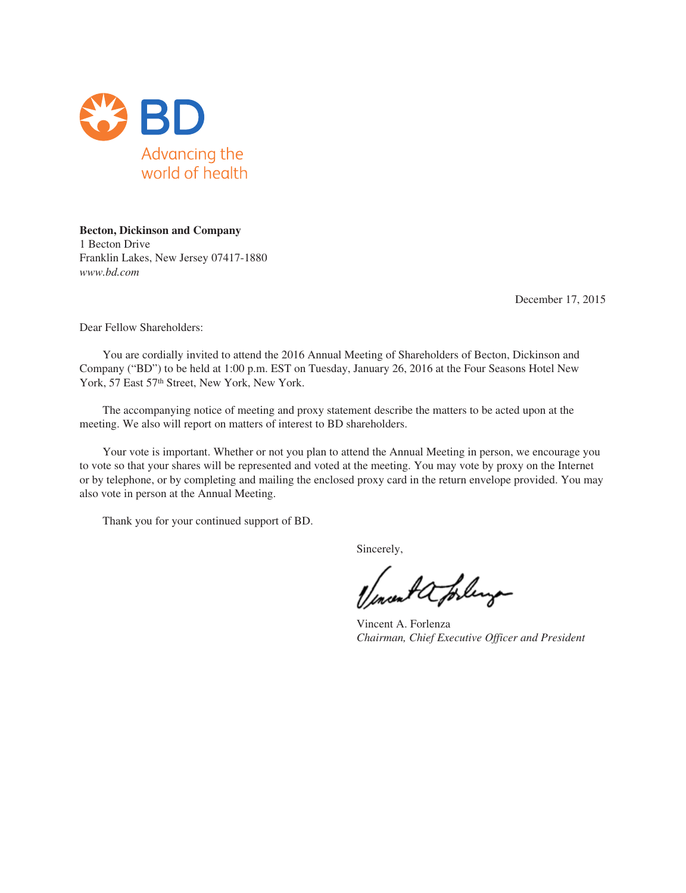

**Becton, Dickinson and Company** 1 Becton Drive Franklin Lakes, New Jersey 07417-1880 *www.bd.com*

December 17, 2015

Dear Fellow Shareholders:

You are cordially invited to attend the 2016 Annual Meeting of Shareholders of Becton, Dickinson and Company ("BD") to be held at 1:00 p.m. EST on Tuesday, January 26, 2016 at the Four Seasons Hotel New York, 57 East 57<sup>th</sup> Street, New York, New York.

The accompanying notice of meeting and proxy statement describe the matters to be acted upon at the meeting. We also will report on matters of interest to BD shareholders.

Your vote is important. Whether or not you plan to attend the Annual Meeting in person, we encourage you to vote so that your shares will be represented and voted at the meeting. You may vote by proxy on the Internet or by telephone, or by completing and mailing the enclosed proxy card in the return envelope provided. You may also vote in person at the Annual Meeting.

Thank you for your continued support of BD.

Sincerely,

went a forling

Vincent A. Forlenza *Chairman, Chief Executive Officer and President*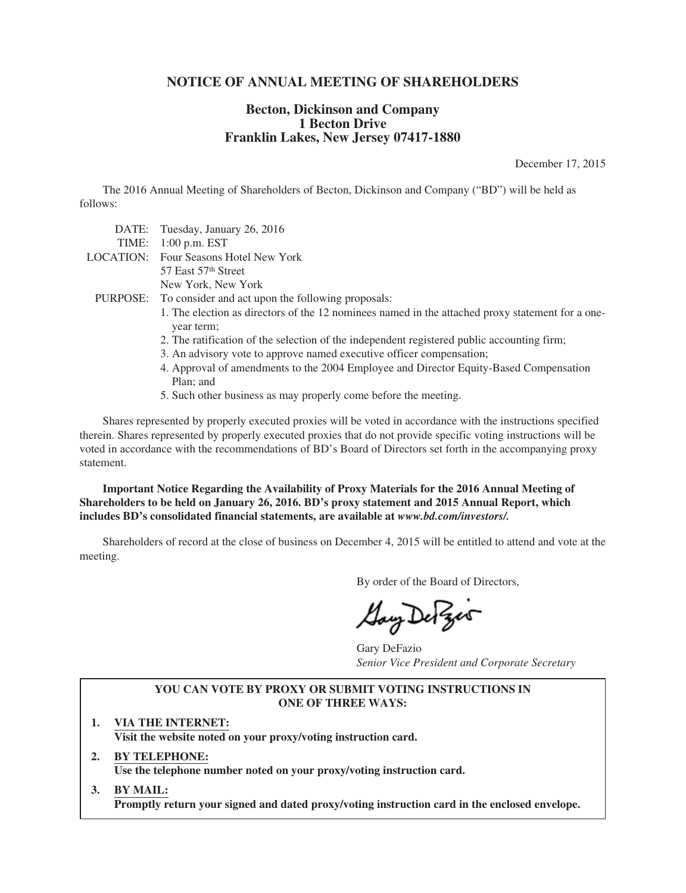# **NOTICE OF ANNUAL MEETING OF SHAREHOLDERS**

# **Becton, Dickinson and Company 1 Becton Drive Franklin Lakes, New Jersey 07417-1880**

December 17, 2015

The 2016 Annual Meeting of Shareholders of Becton, Dickinson and Company ("BD") will be held as follows:

| DATE: Tuesday, January 26, 2016                                                                                |
|----------------------------------------------------------------------------------------------------------------|
| TIME: $1:00$ p.m. EST                                                                                          |
| <b>LOCATION:</b> Four Seasons Hotel New York                                                                   |
| 57 East 57 <sup>th</sup> Street                                                                                |
| New York, New York                                                                                             |
| PURPOSE: To consider and act upon the following proposals:                                                     |
| 1. The election as directors of the 12 nominees named in the attached proxy statement for a one-<br>year term; |
| 2. The ratification of the selection of the independent registered public accounting firm;                     |
| 3. An advisory vote to approve named executive officer compensation;                                           |
| 4. Approval of amondments to the 2004 Employee and Director Equity Reseal Compensation                         |

- 4. Approval of amendments to the 2004 Employee and Director Equity-Based Compensation Plan; and
- 5. Such other business as may properly come before the meeting.

Shares represented by properly executed proxies will be voted in accordance with the instructions specified therein. Shares represented by properly executed proxies that do not provide specific voting instructions will be voted in accordance with the recommendations of BD's Board of Directors set forth in the accompanying proxy statement.

**Important Notice Regarding the Availability of Proxy Materials for the 2016 Annual Meeting of Shareholders to be held on January 26, 2016. BD's proxy statement and 2015 Annual Report, which includes BD's consolidated financial statements, are available at** *www.bd.com/investors/.*

Shareholders of record at the close of business on December 4, 2015 will be entitled to attend and vote at the meeting.

By order of the Board of Directors,

Gay De Zes

Gary DeFazio *Senior Vice President and Corporate Secretary*

## **YOU CAN VOTE BY PROXY OR SUBMIT VOTING INSTRUCTIONS IN ONE OF THREE WAYS:**

- **1. VIA THE INTERNET: Visit the website noted on your proxy/voting instruction card.**
- **2. BY TELEPHONE: Use the telephone number noted on your proxy/voting instruction card.**
- **3. BY MAIL: Promptly return your signed and dated proxy/voting instruction card in the enclosed envelope.**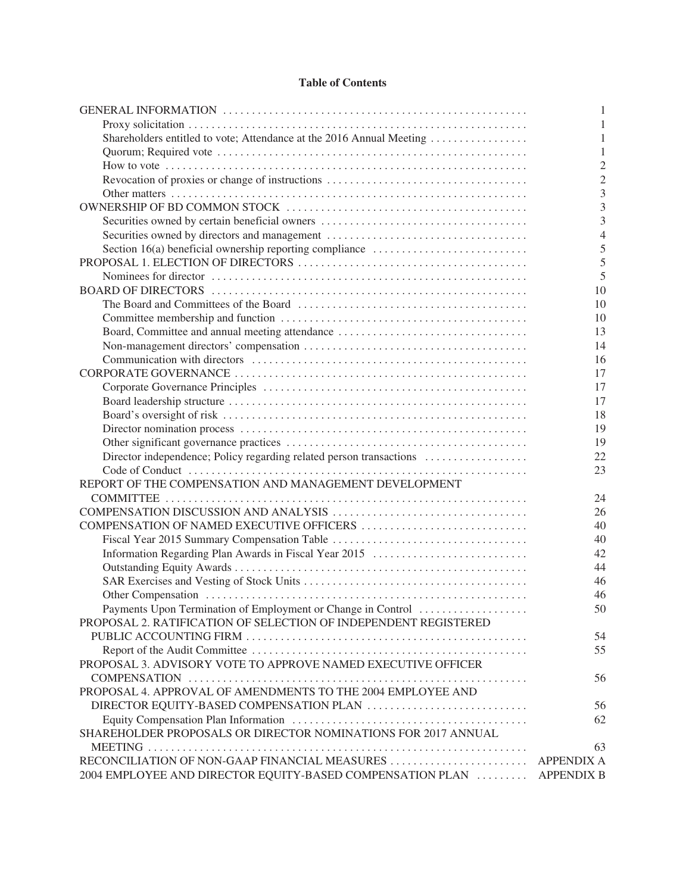# **Table of Contents**

|                                                                      | 1                 |
|----------------------------------------------------------------------|-------------------|
|                                                                      |                   |
| Shareholders entitled to vote; Attendance at the 2016 Annual Meeting | 1                 |
|                                                                      | 1                 |
|                                                                      | $\overline{2}$    |
|                                                                      | $\overline{2}$    |
|                                                                      | 3                 |
|                                                                      | 3                 |
| Securities owned by certain beneficial owners                        | 3                 |
| Securities owned by directors and management                         | $\overline{4}$    |
| Section 16(a) beneficial ownership reporting compliance              | 5                 |
|                                                                      | 5                 |
|                                                                      | 5                 |
|                                                                      | 10                |
|                                                                      | 10                |
|                                                                      | 10                |
| Board, Committee and annual meeting attendance                       | 13                |
|                                                                      | 14                |
|                                                                      | 16                |
|                                                                      | 17                |
|                                                                      | 17                |
|                                                                      | 17                |
|                                                                      | 18                |
|                                                                      | 19                |
|                                                                      | 19                |
| Director independence; Policy regarding related person transactions  | 22                |
|                                                                      | 23                |
| REPORT OF THE COMPENSATION AND MANAGEMENT DEVELOPMENT                |                   |
|                                                                      | 24                |
|                                                                      | 26                |
|                                                                      | 40                |
|                                                                      |                   |
|                                                                      | 40                |
| Information Regarding Plan Awards in Fiscal Year 2015                | 42                |
|                                                                      | 44                |
|                                                                      | 46                |
|                                                                      | 46                |
| Payments Upon Termination of Employment or Change in Control         | 50                |
| PROPOSAL 2. RATIFICATION OF SELECTION OF INDEPENDENT REGISTERED      |                   |
|                                                                      | 54                |
|                                                                      | 55                |
| PROPOSAL 3. ADVISORY VOTE TO APPROVE NAMED EXECUTIVE OFFICER         |                   |
|                                                                      | 56                |
| PROPOSAL 4. APPROVAL OF AMENDMENTS TO THE 2004 EMPLOYEE AND          |                   |
|                                                                      | 56                |
|                                                                      | 62                |
| SHAREHOLDER PROPOSALS OR DIRECTOR NOMINATIONS FOR 2017 ANNUAL        |                   |
|                                                                      | 63                |
| RECONCILIATION OF NON-GAAP FINANCIAL MEASURES                        | <b>APPENDIX A</b> |
| 2004 EMPLOYEE AND DIRECTOR EQUITY-BASED COMPENSATION PLAN            | <b>APPENDIX B</b> |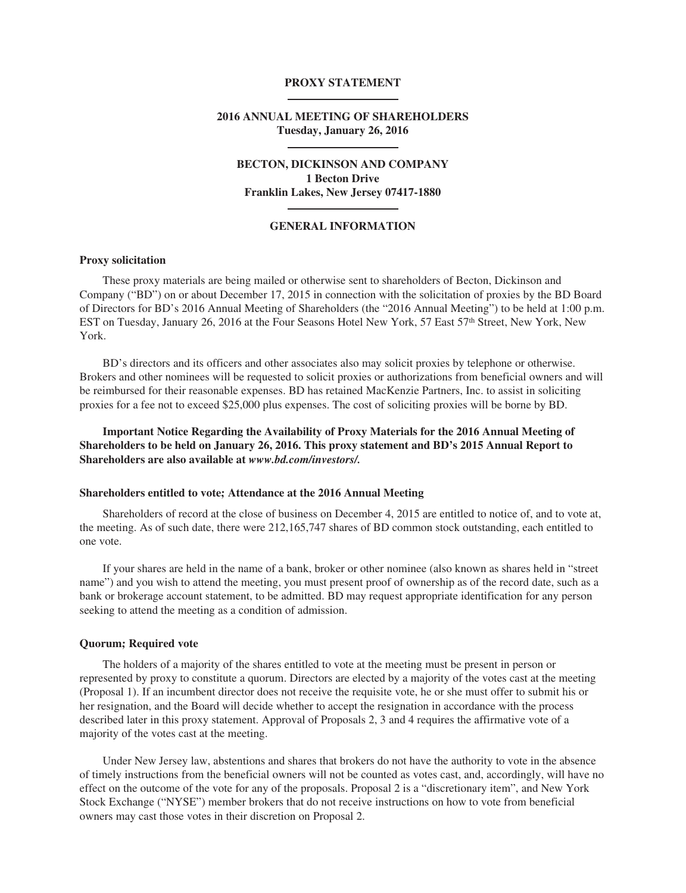## **PROXY STATEMENT**

## **2016 ANNUAL MEETING OF SHAREHOLDERS Tuesday, January 26, 2016**

# **BECTON, DICKINSON AND COMPANY 1 Becton Drive Franklin Lakes, New Jersey 07417-1880**

## **GENERAL INFORMATION**

## **Proxy solicitation**

These proxy materials are being mailed or otherwise sent to shareholders of Becton, Dickinson and Company ("BD") on or about December 17, 2015 in connection with the solicitation of proxies by the BD Board of Directors for BD's 2016 Annual Meeting of Shareholders (the "2016 Annual Meeting") to be held at 1:00 p.m. EST on Tuesday, January 26, 2016 at the Four Seasons Hotel New York, 57 East 57th Street, New York, New York.

BD's directors and its officers and other associates also may solicit proxies by telephone or otherwise. Brokers and other nominees will be requested to solicit proxies or authorizations from beneficial owners and will be reimbursed for their reasonable expenses. BD has retained MacKenzie Partners, Inc. to assist in soliciting proxies for a fee not to exceed \$25,000 plus expenses. The cost of soliciting proxies will be borne by BD.

**Important Notice Regarding the Availability of Proxy Materials for the 2016 Annual Meeting of Shareholders to be held on January 26, 2016. This proxy statement and BD's 2015 Annual Report to Shareholders are also available at** *www.bd.com/investors/.*

### **Shareholders entitled to vote; Attendance at the 2016 Annual Meeting**

Shareholders of record at the close of business on December 4, 2015 are entitled to notice of, and to vote at, the meeting. As of such date, there were 212,165,747 shares of BD common stock outstanding, each entitled to one vote.

If your shares are held in the name of a bank, broker or other nominee (also known as shares held in "street name") and you wish to attend the meeting, you must present proof of ownership as of the record date, such as a bank or brokerage account statement, to be admitted. BD may request appropriate identification for any person seeking to attend the meeting as a condition of admission.

### **Quorum; Required vote**

The holders of a majority of the shares entitled to vote at the meeting must be present in person or represented by proxy to constitute a quorum. Directors are elected by a majority of the votes cast at the meeting (Proposal 1). If an incumbent director does not receive the requisite vote, he or she must offer to submit his or her resignation, and the Board will decide whether to accept the resignation in accordance with the process described later in this proxy statement. Approval of Proposals 2, 3 and 4 requires the affirmative vote of a majority of the votes cast at the meeting.

Under New Jersey law, abstentions and shares that brokers do not have the authority to vote in the absence of timely instructions from the beneficial owners will not be counted as votes cast, and, accordingly, will have no effect on the outcome of the vote for any of the proposals. Proposal 2 is a "discretionary item", and New York Stock Exchange ("NYSE") member brokers that do not receive instructions on how to vote from beneficial owners may cast those votes in their discretion on Proposal 2.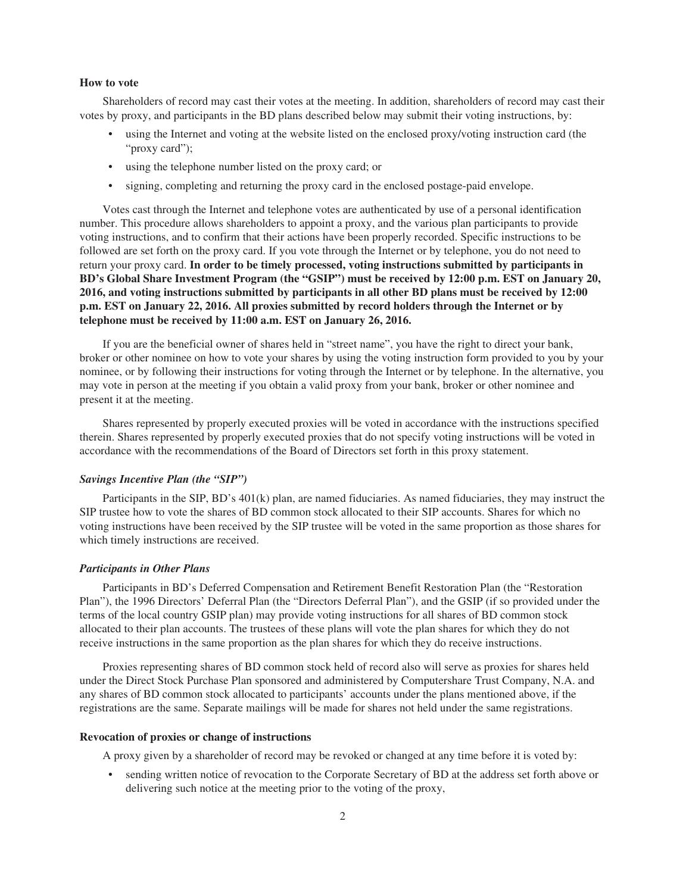#### **How to vote**

Shareholders of record may cast their votes at the meeting. In addition, shareholders of record may cast their votes by proxy, and participants in the BD plans described below may submit their voting instructions, by:

- using the Internet and voting at the website listed on the enclosed proxy/voting instruction card (the "proxy card");
- using the telephone number listed on the proxy card; or
- signing, completing and returning the proxy card in the enclosed postage-paid envelope.

Votes cast through the Internet and telephone votes are authenticated by use of a personal identification number. This procedure allows shareholders to appoint a proxy, and the various plan participants to provide voting instructions, and to confirm that their actions have been properly recorded. Specific instructions to be followed are set forth on the proxy card. If you vote through the Internet or by telephone, you do not need to return your proxy card. **In order to be timely processed, voting instructions submitted by participants in BD's Global Share Investment Program (the "GSIP") must be received by 12:00 p.m. EST on January 20, 2016, and voting instructions submitted by participants in all other BD plans must be received by 12:00 p.m. EST on January 22, 2016. All proxies submitted by record holders through the Internet or by telephone must be received by 11:00 a.m. EST on January 26, 2016.**

If you are the beneficial owner of shares held in "street name", you have the right to direct your bank, broker or other nominee on how to vote your shares by using the voting instruction form provided to you by your nominee, or by following their instructions for voting through the Internet or by telephone. In the alternative, you may vote in person at the meeting if you obtain a valid proxy from your bank, broker or other nominee and present it at the meeting.

Shares represented by properly executed proxies will be voted in accordance with the instructions specified therein. Shares represented by properly executed proxies that do not specify voting instructions will be voted in accordance with the recommendations of the Board of Directors set forth in this proxy statement.

## *Savings Incentive Plan (the "SIP")*

Participants in the SIP, BD's 401(k) plan, are named fiduciaries. As named fiduciaries, they may instruct the SIP trustee how to vote the shares of BD common stock allocated to their SIP accounts. Shares for which no voting instructions have been received by the SIP trustee will be voted in the same proportion as those shares for which timely instructions are received.

## *Participants in Other Plans*

Participants in BD's Deferred Compensation and Retirement Benefit Restoration Plan (the "Restoration Plan"), the 1996 Directors' Deferral Plan (the "Directors Deferral Plan"), and the GSIP (if so provided under the terms of the local country GSIP plan) may provide voting instructions for all shares of BD common stock allocated to their plan accounts. The trustees of these plans will vote the plan shares for which they do not receive instructions in the same proportion as the plan shares for which they do receive instructions.

Proxies representing shares of BD common stock held of record also will serve as proxies for shares held under the Direct Stock Purchase Plan sponsored and administered by Computershare Trust Company, N.A. and any shares of BD common stock allocated to participants' accounts under the plans mentioned above, if the registrations are the same. Separate mailings will be made for shares not held under the same registrations.

### **Revocation of proxies or change of instructions**

A proxy given by a shareholder of record may be revoked or changed at any time before it is voted by:

• sending written notice of revocation to the Corporate Secretary of BD at the address set forth above or delivering such notice at the meeting prior to the voting of the proxy,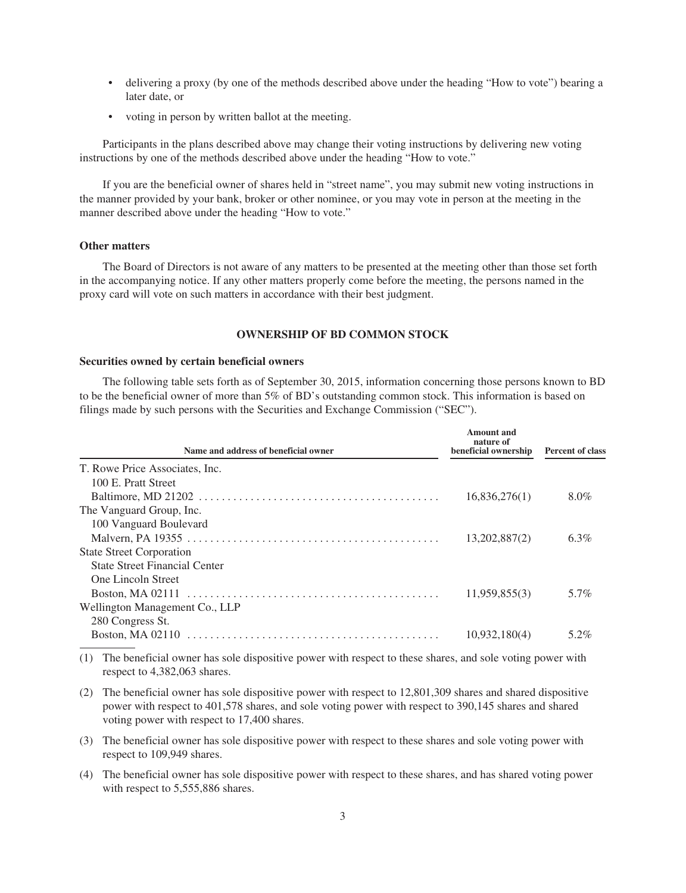- delivering a proxy (by one of the methods described above under the heading "How to vote") bearing a later date, or
- voting in person by written ballot at the meeting.

Participants in the plans described above may change their voting instructions by delivering new voting instructions by one of the methods described above under the heading "How to vote."

If you are the beneficial owner of shares held in "street name", you may submit new voting instructions in the manner provided by your bank, broker or other nominee, or you may vote in person at the meeting in the manner described above under the heading "How to vote."

## **Other matters**

The Board of Directors is not aware of any matters to be presented at the meeting other than those set forth in the accompanying notice. If any other matters properly come before the meeting, the persons named in the proxy card will vote on such matters in accordance with their best judgment.

## **OWNERSHIP OF BD COMMON STOCK**

### **Securities owned by certain beneficial owners**

The following table sets forth as of September 30, 2015, information concerning those persons known to BD to be the beneficial owner of more than 5% of BD's outstanding common stock. This information is based on filings made by such persons with the Securities and Exchange Commission ("SEC").

| Name and address of beneficial owner                                                                            | Amount and<br>nature of<br>beneficial ownership | <b>Percent of class</b> |
|-----------------------------------------------------------------------------------------------------------------|-------------------------------------------------|-------------------------|
| T. Rowe Price Associates, Inc.                                                                                  |                                                 |                         |
| 100 E. Pratt Street                                                                                             |                                                 |                         |
| Baltimore, MD 21202 $\dots \dots \dots \dots \dots \dots \dots \dots \dots \dots \dots \dots \dots \dots \dots$ | 16,836,276(1)                                   | 8.0%                    |
| The Vanguard Group, Inc.                                                                                        |                                                 |                         |
| 100 Vanguard Boulevard                                                                                          |                                                 |                         |
|                                                                                                                 | 13,202,887(2)                                   | $6.3\%$                 |
| <b>State Street Corporation</b>                                                                                 |                                                 |                         |
| <b>State Street Financial Center</b>                                                                            |                                                 |                         |
| <b>One Lincoln Street</b>                                                                                       |                                                 |                         |
|                                                                                                                 | 11,959,855(3)                                   | 5.7%                    |
| Wellington Management Co., LLP                                                                                  |                                                 |                         |
| 280 Congress St.                                                                                                |                                                 |                         |
| <b>Boston, MA 02110</b>                                                                                         | 10,932,180(4)                                   | 5.2%                    |
|                                                                                                                 |                                                 |                         |

- (1) The beneficial owner has sole dispositive power with respect to these shares, and sole voting power with respect to 4,382,063 shares.
- (2) The beneficial owner has sole dispositive power with respect to 12,801,309 shares and shared dispositive power with respect to 401,578 shares, and sole voting power with respect to 390,145 shares and shared voting power with respect to 17,400 shares.
- (3) The beneficial owner has sole dispositive power with respect to these shares and sole voting power with respect to 109,949 shares.
- (4) The beneficial owner has sole dispositive power with respect to these shares, and has shared voting power with respect to 5,555,886 shares.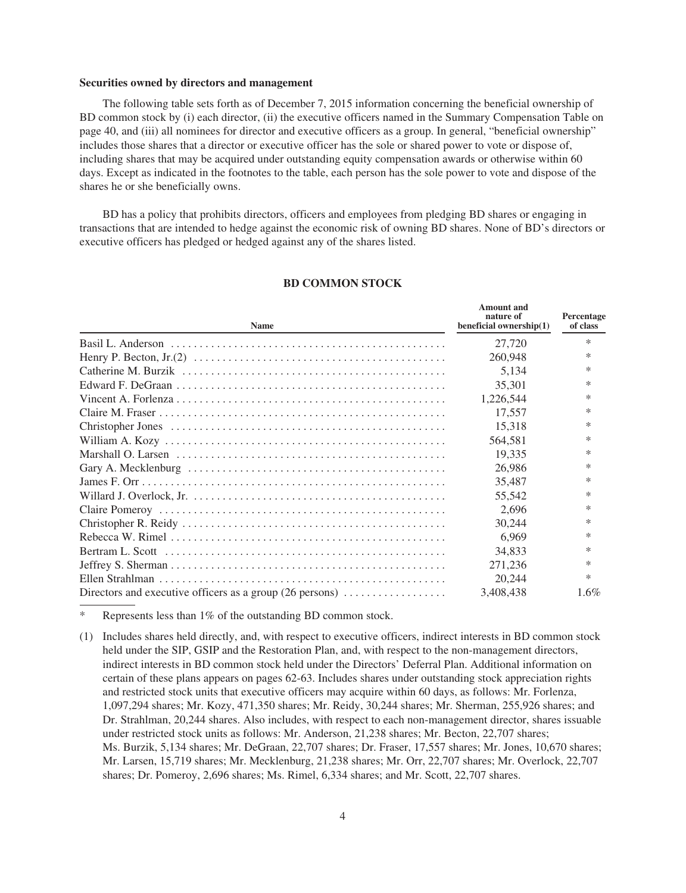#### **Securities owned by directors and management**

The following table sets forth as of December 7, 2015 information concerning the beneficial ownership of BD common stock by (i) each director, (ii) the executive officers named in the Summary Compensation Table on page 40, and (iii) all nominees for director and executive officers as a group. In general, "beneficial ownership" includes those shares that a director or executive officer has the sole or shared power to vote or dispose of, including shares that may be acquired under outstanding equity compensation awards or otherwise within 60 days. Except as indicated in the footnotes to the table, each person has the sole power to vote and dispose of the shares he or she beneficially owns.

BD has a policy that prohibits directors, officers and employees from pledging BD shares or engaging in transactions that are intended to hedge against the economic risk of owning BD shares. None of BD's directors or executive officers has pledged or hedged against any of the shares listed.

| <b>Name</b>                                                                          | nature of<br>beneficial ownership(1) | Percentage<br>of class |
|--------------------------------------------------------------------------------------|--------------------------------------|------------------------|
|                                                                                      | 27,720                               | $\ast$                 |
|                                                                                      | 260,948                              | ∗                      |
|                                                                                      | 5,134                                | ∗                      |
|                                                                                      | 35,301                               | $\ast$                 |
|                                                                                      | 1,226,544                            | $\ast$                 |
|                                                                                      | 17.557                               | ∗                      |
|                                                                                      | 15,318                               | ∗                      |
|                                                                                      | 564,581                              | ∗                      |
|                                                                                      | 19,335                               | $\ast$                 |
|                                                                                      | 26,986                               | ∗                      |
|                                                                                      | 35,487                               | $\ast$                 |
|                                                                                      | 55,542                               | ∗                      |
|                                                                                      | 2.696                                | $\ast$                 |
|                                                                                      | 30,244                               | $\ast$                 |
|                                                                                      | 6.969                                | $\ast$                 |
|                                                                                      | 34,833                               | ∗                      |
|                                                                                      | 271,236                              | $\ast$                 |
|                                                                                      | 20.244                               | $\ast$                 |
| Directors and executive officers as a group (26 persons) $\dots\dots\dots\dots\dots$ | 3,408,438                            | $1.6\%$                |

## **BD COMMON STOCK**

**Amount and**

Represents less than 1% of the outstanding BD common stock.

(1) Includes shares held directly, and, with respect to executive officers, indirect interests in BD common stock held under the SIP, GSIP and the Restoration Plan, and, with respect to the non-management directors, indirect interests in BD common stock held under the Directors' Deferral Plan. Additional information on certain of these plans appears on pages 62-63. Includes shares under outstanding stock appreciation rights and restricted stock units that executive officers may acquire within 60 days, as follows: Mr. Forlenza, 1,097,294 shares; Mr. Kozy, 471,350 shares; Mr. Reidy, 30,244 shares; Mr. Sherman, 255,926 shares; and Dr. Strahlman, 20,244 shares. Also includes, with respect to each non-management director, shares issuable under restricted stock units as follows: Mr. Anderson, 21,238 shares; Mr. Becton, 22,707 shares; Ms. Burzik, 5,134 shares; Mr. DeGraan, 22,707 shares; Dr. Fraser, 17,557 shares; Mr. Jones, 10,670 shares; Mr. Larsen, 15,719 shares; Mr. Mecklenburg, 21,238 shares; Mr. Orr, 22,707 shares; Mr. Overlock, 22,707 shares; Dr. Pomeroy, 2,696 shares; Ms. Rimel, 6,334 shares; and Mr. Scott, 22,707 shares.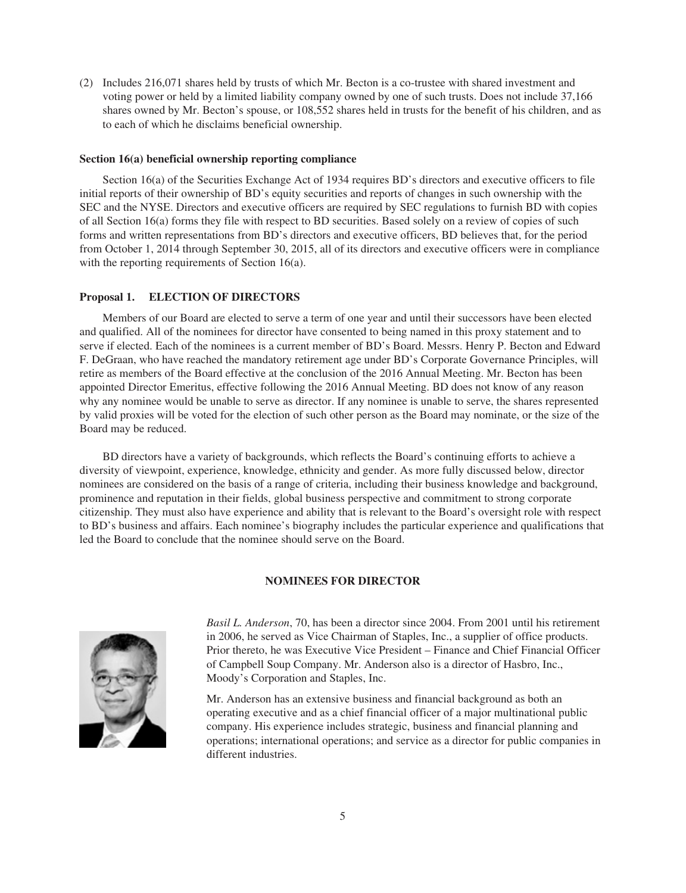(2) Includes 216,071 shares held by trusts of which Mr. Becton is a co-trustee with shared investment and voting power or held by a limited liability company owned by one of such trusts. Does not include 37,166 shares owned by Mr. Becton's spouse, or 108,552 shares held in trusts for the benefit of his children, and as to each of which he disclaims beneficial ownership.

## **Section 16(a) beneficial ownership reporting compliance**

Section 16(a) of the Securities Exchange Act of 1934 requires BD's directors and executive officers to file initial reports of their ownership of BD's equity securities and reports of changes in such ownership with the SEC and the NYSE. Directors and executive officers are required by SEC regulations to furnish BD with copies of all Section 16(a) forms they file with respect to BD securities. Based solely on a review of copies of such forms and written representations from BD's directors and executive officers, BD believes that, for the period from October 1, 2014 through September 30, 2015, all of its directors and executive officers were in compliance with the reporting requirements of Section 16(a).

## **Proposal 1. ELECTION OF DIRECTORS**

Members of our Board are elected to serve a term of one year and until their successors have been elected and qualified. All of the nominees for director have consented to being named in this proxy statement and to serve if elected. Each of the nominees is a current member of BD's Board. Messrs. Henry P. Becton and Edward F. DeGraan, who have reached the mandatory retirement age under BD's Corporate Governance Principles, will retire as members of the Board effective at the conclusion of the 2016 Annual Meeting. Mr. Becton has been appointed Director Emeritus, effective following the 2016 Annual Meeting. BD does not know of any reason why any nominee would be unable to serve as director. If any nominee is unable to serve, the shares represented by valid proxies will be voted for the election of such other person as the Board may nominate, or the size of the Board may be reduced.

BD directors have a variety of backgrounds, which reflects the Board's continuing efforts to achieve a diversity of viewpoint, experience, knowledge, ethnicity and gender. As more fully discussed below, director nominees are considered on the basis of a range of criteria, including their business knowledge and background, prominence and reputation in their fields, global business perspective and commitment to strong corporate citizenship. They must also have experience and ability that is relevant to the Board's oversight role with respect to BD's business and affairs. Each nominee's biography includes the particular experience and qualifications that led the Board to conclude that the nominee should serve on the Board.

### **NOMINEES FOR DIRECTOR**



*Basil L. Anderson*, 70, has been a director since 2004. From 2001 until his retirement in 2006, he served as Vice Chairman of Staples, Inc., a supplier of office products. Prior thereto, he was Executive Vice President – Finance and Chief Financial Officer of Campbell Soup Company. Mr. Anderson also is a director of Hasbro, Inc., Moody's Corporation and Staples, Inc.

Mr. Anderson has an extensive business and financial background as both an operating executive and as a chief financial officer of a major multinational public company. His experience includes strategic, business and financial planning and operations; international operations; and service as a director for public companies in different industries.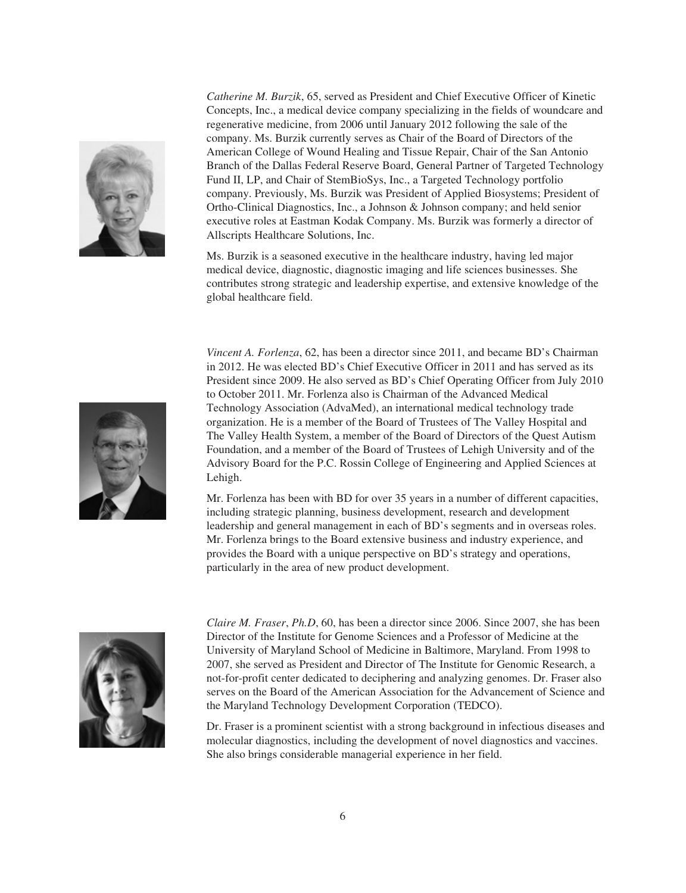

*Catherine M. Burzik*, 65, served as President and Chief Executive Officer of Kinetic Concepts, Inc., a medical device company specializing in the fields of woundcare and regenerative medicine, from 2006 until January 2012 following the sale of the company. Ms. Burzik currently serves as Chair of the Board of Directors of the American College of Wound Healing and Tissue Repair, Chair of the San Antonio Branch of the Dallas Federal Reserve Board, General Partner of Targeted Technology Fund II, LP, and Chair of StemBioSys, Inc., a Targeted Technology portfolio company. Previously, Ms. Burzik was President of Applied Biosystems; President of Ortho-Clinical Diagnostics, Inc., a Johnson & Johnson company; and held senior executive roles at Eastman Kodak Company. Ms. Burzik was formerly a director of Allscripts Healthcare Solutions, Inc.

Ms. Burzik is a seasoned executive in the healthcare industry, having led major medical device, diagnostic, diagnostic imaging and life sciences businesses. She contributes strong strategic and leadership expertise, and extensive knowledge of the global healthcare field.

*Vincent A. Forlenza*, 62, has been a director since 2011, and became BD's Chairman in 2012. He was elected BD's Chief Executive Officer in 2011 and has served as its President since 2009. He also served as BD's Chief Operating Officer from July 2010 to October 2011. Mr. Forlenza also is Chairman of the Advanced Medical Technology Association (AdvaMed), an international medical technology trade organization. He is a member of the Board of Trustees of The Valley Hospital and The Valley Health System, a member of the Board of Directors of the Quest Autism Foundation, and a member of the Board of Trustees of Lehigh University and of the Advisory Board for the P.C. Rossin College of Engineering and Applied Sciences at Lehigh.

Mr. Forlenza has been with BD for over 35 years in a number of different capacities, including strategic planning, business development, research and development leadership and general management in each of BD's segments and in overseas roles. Mr. Forlenza brings to the Board extensive business and industry experience, and provides the Board with a unique perspective on BD's strategy and operations, particularly in the area of new product development.



*Claire M. Fraser*, *Ph.D*, 60, has been a director since 2006. Since 2007, she has been Director of the Institute for Genome Sciences and a Professor of Medicine at the University of Maryland School of Medicine in Baltimore, Maryland. From 1998 to 2007, she served as President and Director of The Institute for Genomic Research, a not-for-profit center dedicated to deciphering and analyzing genomes. Dr. Fraser also serves on the Board of the American Association for the Advancement of Science and the Maryland Technology Development Corporation (TEDCO).

Dr. Fraser is a prominent scientist with a strong background in infectious diseases and molecular diagnostics, including the development of novel diagnostics and vaccines. She also brings considerable managerial experience in her field.

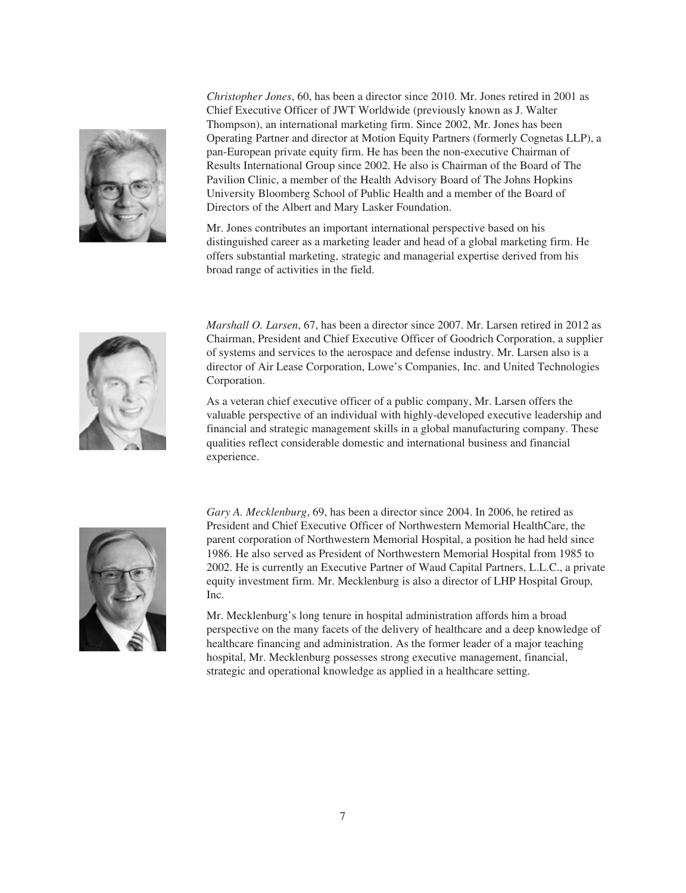

*Christopher Jones*, 60, has been a director since 2010. Mr. Jones retired in 2001 as Chief Executive Officer of JWT Worldwide (previously known as J. Walter Thompson), an international marketing firm. Since 2002, Mr. Jones has been Operating Partner and director at Motion Equity Partners (formerly Cognetas LLP), a pan-European private equity firm. He has been the non-executive Chairman of Results International Group since 2002. He also is Chairman of the Board of The Pavilion Clinic, a member of the Health Advisory Board of The Johns Hopkins University Bloomberg School of Public Health and a member of the Board of Directors of the Albert and Mary Lasker Foundation.

Mr. Jones contributes an important international perspective based on his distinguished career as a marketing leader and head of a global marketing firm. He offers substantial marketing, strategic and managerial expertise derived from his broad range of activities in the field.



*Marshall O. Larsen*, 67, has been a director since 2007. Mr. Larsen retired in 2012 as Chairman, President and Chief Executive Officer of Goodrich Corporation, a supplier of systems and services to the aerospace and defense industry. Mr. Larsen also is a director of Air Lease Corporation, Lowe's Companies, Inc. and United Technologies Corporation.

As a veteran chief executive officer of a public company, Mr. Larsen offers the valuable perspective of an individual with highly-developed executive leadership and financial and strategic management skills in a global manufacturing company. These qualities reflect considerable domestic and international business and financial experience.



*Gary A. Mecklenburg*, 69, has been a director since 2004. In 2006, he retired as President and Chief Executive Officer of Northwestern Memorial HealthCare, the parent corporation of Northwestern Memorial Hospital, a position he had held since 1986. He also served as President of Northwestern Memorial Hospital from 1985 to 2002. He is currently an Executive Partner of Waud Capital Partners, L.L.C., a private equity investment firm. Mr. Mecklenburg is also a director of LHP Hospital Group, Inc.

Mr. Mecklenburg's long tenure in hospital administration affords him a broad perspective on the many facets of the delivery of healthcare and a deep knowledge of healthcare financing and administration. As the former leader of a major teaching hospital, Mr. Mecklenburg possesses strong executive management, financial, strategic and operational knowledge as applied in a healthcare setting.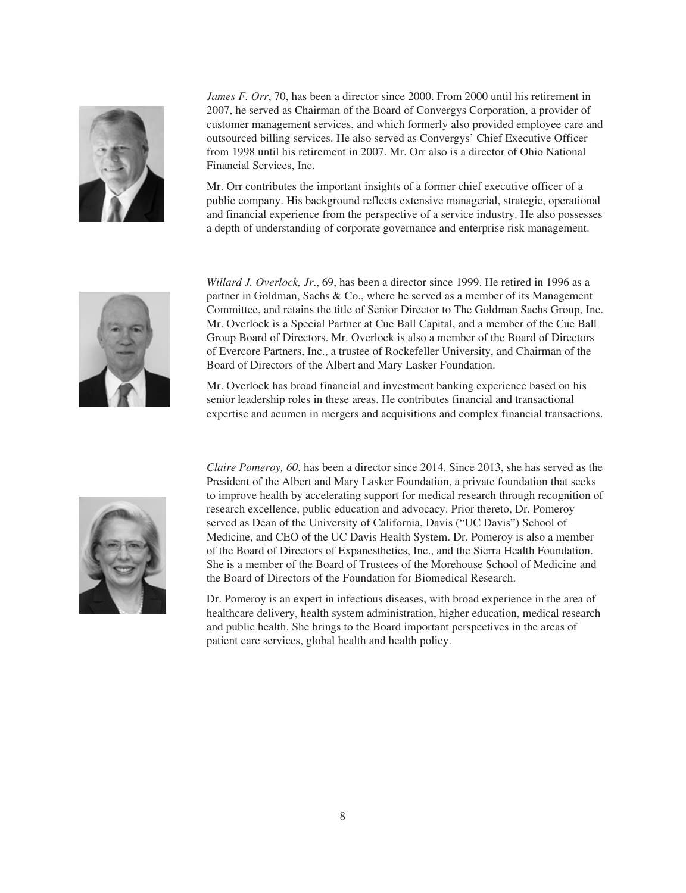

*James F. Orr*, 70, has been a director since 2000. From 2000 until his retirement in 2007, he served as Chairman of the Board of Convergys Corporation, a provider of customer management services, and which formerly also provided employee care and outsourced billing services. He also served as Convergys' Chief Executive Officer from 1998 until his retirement in 2007. Mr. Orr also is a director of Ohio National Financial Services, Inc.

Mr. Orr contributes the important insights of a former chief executive officer of a public company. His background reflects extensive managerial, strategic, operational and financial experience from the perspective of a service industry. He also possesses a depth of understanding of corporate governance and enterprise risk management.



*Willard J. Overlock, Jr*., 69, has been a director since 1999. He retired in 1996 as a partner in Goldman, Sachs & Co., where he served as a member of its Management Committee, and retains the title of Senior Director to The Goldman Sachs Group, Inc. Mr. Overlock is a Special Partner at Cue Ball Capital, and a member of the Cue Ball Group Board of Directors. Mr. Overlock is also a member of the Board of Directors of Evercore Partners, Inc., a trustee of Rockefeller University, and Chairman of the Board of Directors of the Albert and Mary Lasker Foundation.

Mr. Overlock has broad financial and investment banking experience based on his senior leadership roles in these areas. He contributes financial and transactional expertise and acumen in mergers and acquisitions and complex financial transactions.



*Claire Pomeroy, 60*, has been a director since 2014. Since 2013, she has served as the President of the Albert and Mary Lasker Foundation, a private foundation that seeks to improve health by accelerating support for medical research through recognition of research excellence, public education and advocacy. Prior thereto, Dr. Pomeroy served as Dean of the University of California, Davis ("UC Davis") School of Medicine, and CEO of the UC Davis Health System. Dr. Pomeroy is also a member of the Board of Directors of Expanesthetics, Inc., and the Sierra Health Foundation. She is a member of the Board of Trustees of the Morehouse School of Medicine and the Board of Directors of the Foundation for Biomedical Research.

Dr. Pomeroy is an expert in infectious diseases, with broad experience in the area of healthcare delivery, health system administration, higher education, medical research and public health. She brings to the Board important perspectives in the areas of patient care services, global health and health policy.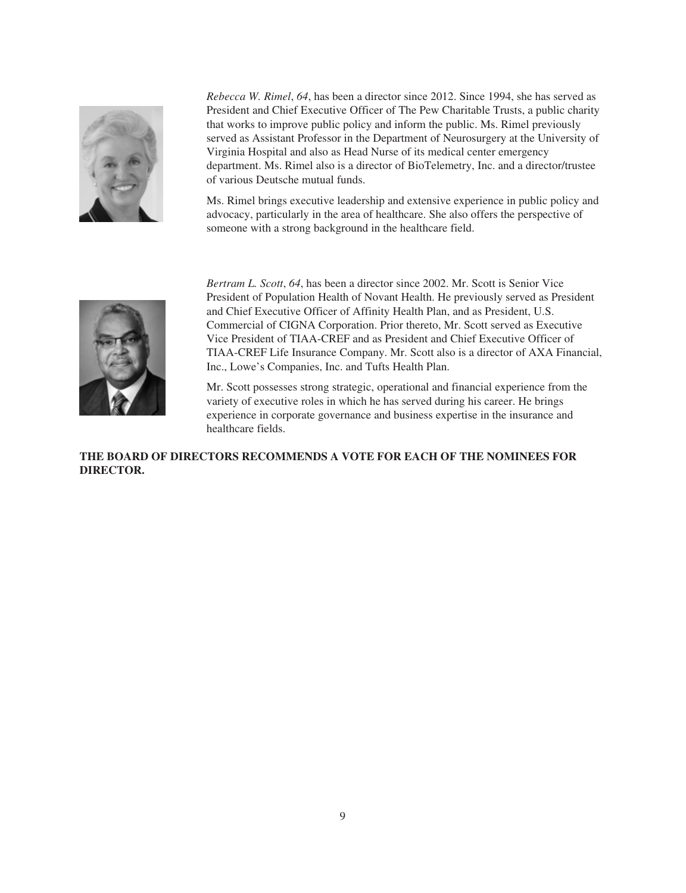

*Rebecca W. Rimel*, *64*, has been a director since 2012. Since 1994, she has served as President and Chief Executive Officer of The Pew Charitable Trusts, a public charity that works to improve public policy and inform the public. Ms. Rimel previously served as Assistant Professor in the Department of Neurosurgery at the University of Virginia Hospital and also as Head Nurse of its medical center emergency department. Ms. Rimel also is a director of BioTelemetry, Inc. and a director/trustee of various Deutsche mutual funds.

Ms. Rimel brings executive leadership and extensive experience in public policy and advocacy, particularly in the area of healthcare. She also offers the perspective of someone with a strong background in the healthcare field.



*Bertram L. Scott*, *64*, has been a director since 2002. Mr. Scott is Senior Vice President of Population Health of Novant Health. He previously served as President and Chief Executive Officer of Affinity Health Plan, and as President, U.S. Commercial of CIGNA Corporation. Prior thereto, Mr. Scott served as Executive Vice President of TIAA-CREF and as President and Chief Executive Officer of TIAA-CREF Life Insurance Company. Mr. Scott also is a director of AXA Financial, Inc., Lowe's Companies, Inc. and Tufts Health Plan.

Mr. Scott possesses strong strategic, operational and financial experience from the variety of executive roles in which he has served during his career. He brings experience in corporate governance and business expertise in the insurance and healthcare fields.

**THE BOARD OF DIRECTORS RECOMMENDS A VOTE FOR EACH OF THE NOMINEES FOR DIRECTOR.**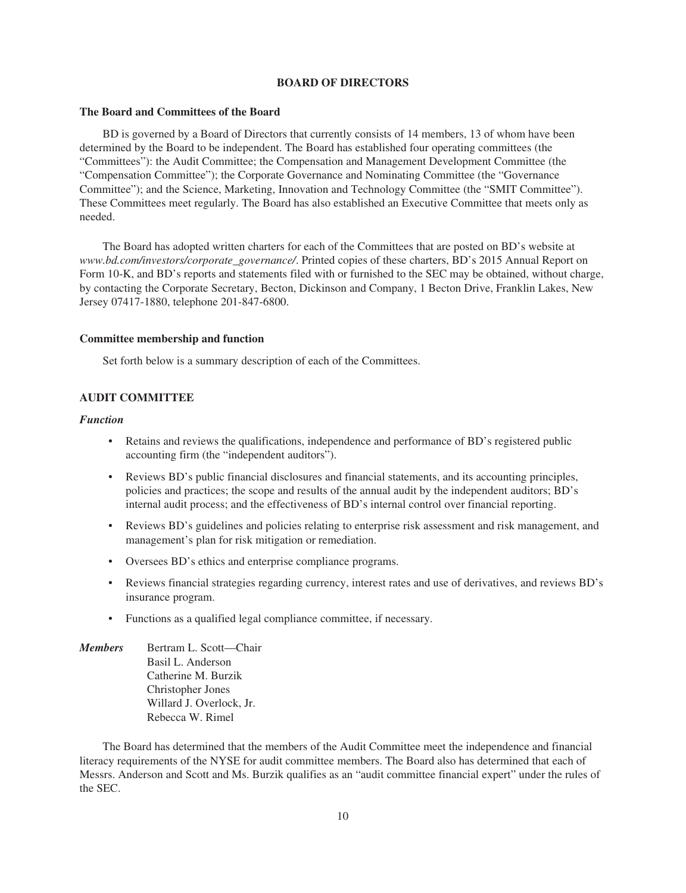## **BOARD OF DIRECTORS**

## **The Board and Committees of the Board**

BD is governed by a Board of Directors that currently consists of 14 members, 13 of whom have been determined by the Board to be independent. The Board has established four operating committees (the "Committees"): the Audit Committee; the Compensation and Management Development Committee (the "Compensation Committee"); the Corporate Governance and Nominating Committee (the "Governance Committee"); and the Science, Marketing, Innovation and Technology Committee (the "SMIT Committee"). These Committees meet regularly. The Board has also established an Executive Committee that meets only as needed.

The Board has adopted written charters for each of the Committees that are posted on BD's website at *www.bd.com/investors/corporate\_governance/*. Printed copies of these charters, BD's 2015 Annual Report on Form 10-K, and BD's reports and statements filed with or furnished to the SEC may be obtained, without charge, by contacting the Corporate Secretary, Becton, Dickinson and Company, 1 Becton Drive, Franklin Lakes, New Jersey 07417-1880, telephone 201-847-6800.

## **Committee membership and function**

Set forth below is a summary description of each of the Committees.

## **AUDIT COMMITTEE**

### *Function*

- Retains and reviews the qualifications, independence and performance of BD's registered public accounting firm (the "independent auditors").
- Reviews BD's public financial disclosures and financial statements, and its accounting principles, policies and practices; the scope and results of the annual audit by the independent auditors; BD's internal audit process; and the effectiveness of BD's internal control over financial reporting.
- Reviews BD's guidelines and policies relating to enterprise risk assessment and risk management, and management's plan for risk mitigation or remediation.
- Oversees BD's ethics and enterprise compliance programs.
- Reviews financial strategies regarding currency, interest rates and use of derivatives, and reviews BD's insurance program.
- Functions as a qualified legal compliance committee, if necessary.
- *Members* Bertram L. Scott—Chair Basil L. Anderson Catherine M. Burzik Christopher Jones Willard J. Overlock, Jr. Rebecca W. Rimel

The Board has determined that the members of the Audit Committee meet the independence and financial literacy requirements of the NYSE for audit committee members. The Board also has determined that each of Messrs. Anderson and Scott and Ms. Burzik qualifies as an "audit committee financial expert" under the rules of the SEC.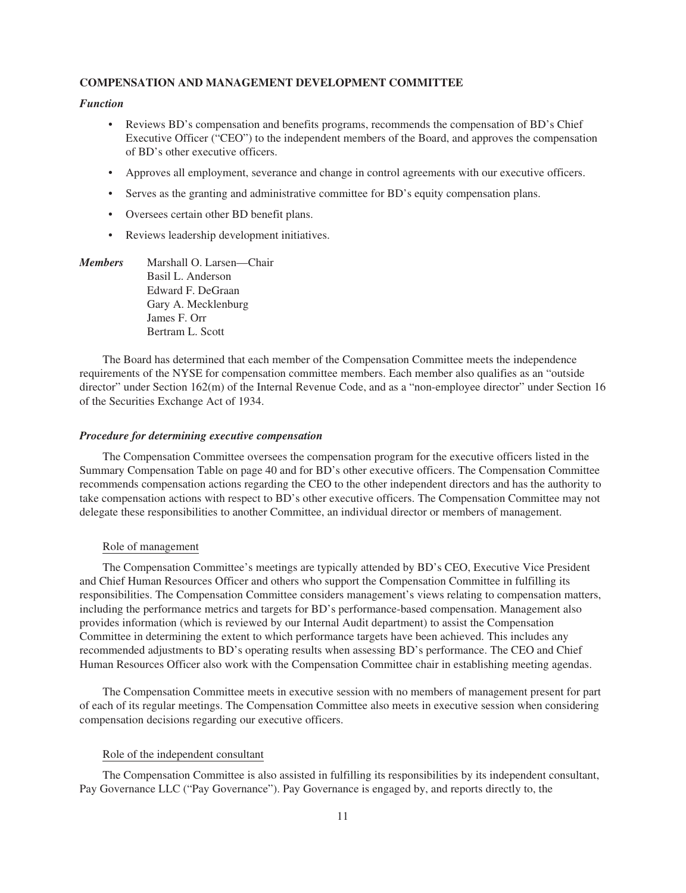## **COMPENSATION AND MANAGEMENT DEVELOPMENT COMMITTEE**

## *Function*

- Reviews BD's compensation and benefits programs, recommends the compensation of BD's Chief Executive Officer ("CEO") to the independent members of the Board, and approves the compensation of BD's other executive officers.
- Approves all employment, severance and change in control agreements with our executive officers.
- Serves as the granting and administrative committee for BD's equity compensation plans.
- Oversees certain other BD benefit plans.
- Reviews leadership development initiatives.

*Members* Marshall O. Larsen—Chair Basil L. Anderson Edward F. DeGraan Gary A. Mecklenburg James F. Orr Bertram L. Scott

The Board has determined that each member of the Compensation Committee meets the independence requirements of the NYSE for compensation committee members. Each member also qualifies as an "outside director" under Section 162(m) of the Internal Revenue Code, and as a "non-employee director" under Section 16 of the Securities Exchange Act of 1934.

## *Procedure for determining executive compensation*

The Compensation Committee oversees the compensation program for the executive officers listed in the Summary Compensation Table on page 40 and for BD's other executive officers. The Compensation Committee recommends compensation actions regarding the CEO to the other independent directors and has the authority to take compensation actions with respect to BD's other executive officers. The Compensation Committee may not delegate these responsibilities to another Committee, an individual director or members of management.

## Role of management

The Compensation Committee's meetings are typically attended by BD's CEO, Executive Vice President and Chief Human Resources Officer and others who support the Compensation Committee in fulfilling its responsibilities. The Compensation Committee considers management's views relating to compensation matters, including the performance metrics and targets for BD's performance-based compensation. Management also provides information (which is reviewed by our Internal Audit department) to assist the Compensation Committee in determining the extent to which performance targets have been achieved. This includes any recommended adjustments to BD's operating results when assessing BD's performance. The CEO and Chief Human Resources Officer also work with the Compensation Committee chair in establishing meeting agendas.

The Compensation Committee meets in executive session with no members of management present for part of each of its regular meetings. The Compensation Committee also meets in executive session when considering compensation decisions regarding our executive officers.

### Role of the independent consultant

The Compensation Committee is also assisted in fulfilling its responsibilities by its independent consultant, Pay Governance LLC ("Pay Governance"). Pay Governance is engaged by, and reports directly to, the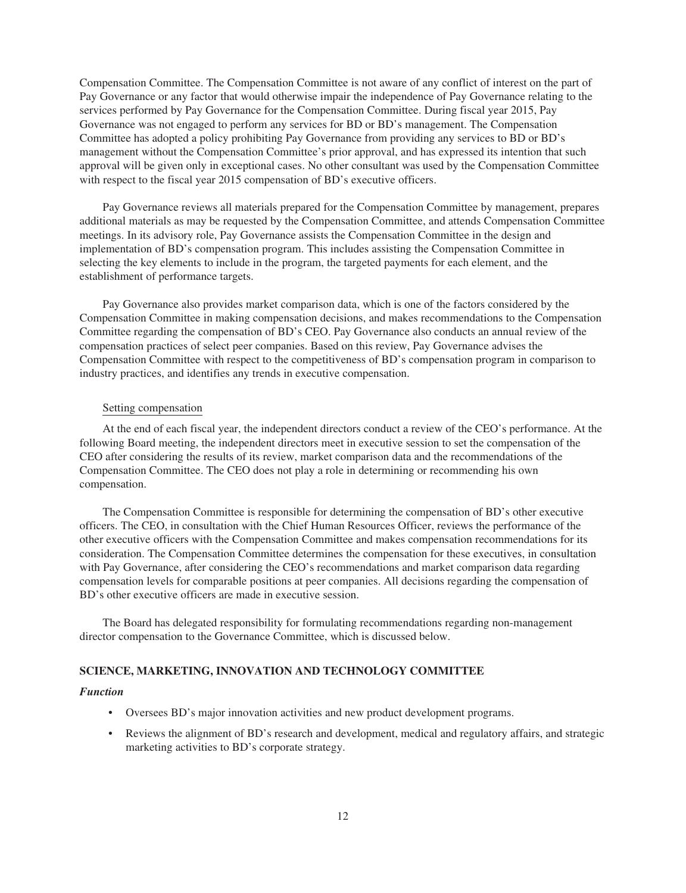Compensation Committee. The Compensation Committee is not aware of any conflict of interest on the part of Pay Governance or any factor that would otherwise impair the independence of Pay Governance relating to the services performed by Pay Governance for the Compensation Committee. During fiscal year 2015, Pay Governance was not engaged to perform any services for BD or BD's management. The Compensation Committee has adopted a policy prohibiting Pay Governance from providing any services to BD or BD's management without the Compensation Committee's prior approval, and has expressed its intention that such approval will be given only in exceptional cases. No other consultant was used by the Compensation Committee with respect to the fiscal year 2015 compensation of BD's executive officers.

Pay Governance reviews all materials prepared for the Compensation Committee by management, prepares additional materials as may be requested by the Compensation Committee, and attends Compensation Committee meetings. In its advisory role, Pay Governance assists the Compensation Committee in the design and implementation of BD's compensation program. This includes assisting the Compensation Committee in selecting the key elements to include in the program, the targeted payments for each element, and the establishment of performance targets.

Pay Governance also provides market comparison data, which is one of the factors considered by the Compensation Committee in making compensation decisions, and makes recommendations to the Compensation Committee regarding the compensation of BD's CEO. Pay Governance also conducts an annual review of the compensation practices of select peer companies. Based on this review, Pay Governance advises the Compensation Committee with respect to the competitiveness of BD's compensation program in comparison to industry practices, and identifies any trends in executive compensation.

## Setting compensation

At the end of each fiscal year, the independent directors conduct a review of the CEO's performance. At the following Board meeting, the independent directors meet in executive session to set the compensation of the CEO after considering the results of its review, market comparison data and the recommendations of the Compensation Committee. The CEO does not play a role in determining or recommending his own compensation.

The Compensation Committee is responsible for determining the compensation of BD's other executive officers. The CEO, in consultation with the Chief Human Resources Officer, reviews the performance of the other executive officers with the Compensation Committee and makes compensation recommendations for its consideration. The Compensation Committee determines the compensation for these executives, in consultation with Pay Governance, after considering the CEO's recommendations and market comparison data regarding compensation levels for comparable positions at peer companies. All decisions regarding the compensation of BD's other executive officers are made in executive session.

The Board has delegated responsibility for formulating recommendations regarding non-management director compensation to the Governance Committee, which is discussed below.

### **SCIENCE, MARKETING, INNOVATION AND TECHNOLOGY COMMITTEE**

### *Function*

- Oversees BD's major innovation activities and new product development programs.
- Reviews the alignment of BD's research and development, medical and regulatory affairs, and strategic marketing activities to BD's corporate strategy.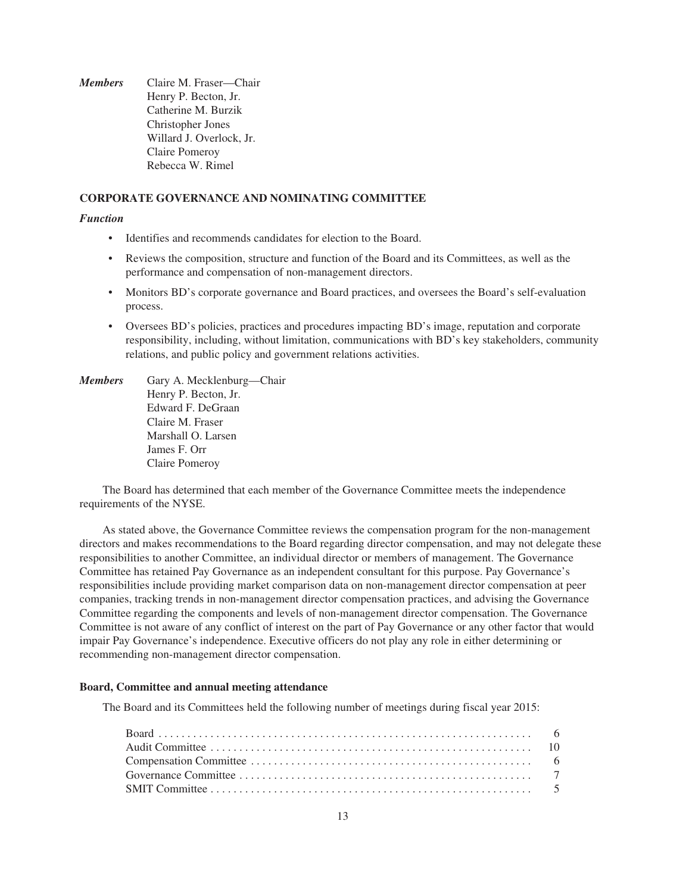*Members* Claire M. Fraser—Chair Henry P. Becton, Jr. Catherine M. Burzik Christopher Jones Willard J. Overlock, Jr. Claire Pomeroy Rebecca W. Rimel

## **CORPORATE GOVERNANCE AND NOMINATING COMMITTEE**

## *Function*

- Identifies and recommends candidates for election to the Board.
- Reviews the composition, structure and function of the Board and its Committees, as well as the performance and compensation of non-management directors.
- Monitors BD's corporate governance and Board practices, and oversees the Board's self-evaluation process.
- Oversees BD's policies, practices and procedures impacting BD's image, reputation and corporate responsibility, including, without limitation, communications with BD's key stakeholders, community relations, and public policy and government relations activities.

*Members* Gary A. Mecklenburg—Chair Henry P. Becton, Jr. Edward F. DeGraan Claire M. Fraser Marshall O. Larsen James F. Orr Claire Pomeroy

The Board has determined that each member of the Governance Committee meets the independence requirements of the NYSE.

As stated above, the Governance Committee reviews the compensation program for the non-management directors and makes recommendations to the Board regarding director compensation, and may not delegate these responsibilities to another Committee, an individual director or members of management. The Governance Committee has retained Pay Governance as an independent consultant for this purpose. Pay Governance's responsibilities include providing market comparison data on non-management director compensation at peer companies, tracking trends in non-management director compensation practices, and advising the Governance Committee regarding the components and levels of non-management director compensation. The Governance Committee is not aware of any conflict of interest on the part of Pay Governance or any other factor that would impair Pay Governance's independence. Executive officers do not play any role in either determining or recommending non-management director compensation.

### **Board, Committee and annual meeting attendance**

The Board and its Committees held the following number of meetings during fiscal year 2015: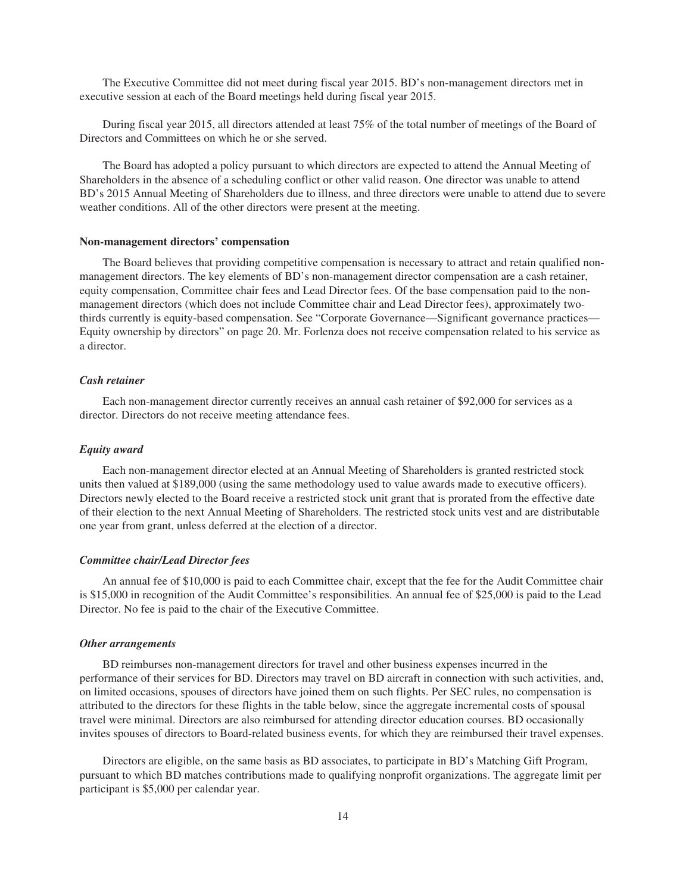The Executive Committee did not meet during fiscal year 2015. BD's non-management directors met in executive session at each of the Board meetings held during fiscal year 2015.

During fiscal year 2015, all directors attended at least 75% of the total number of meetings of the Board of Directors and Committees on which he or she served.

The Board has adopted a policy pursuant to which directors are expected to attend the Annual Meeting of Shareholders in the absence of a scheduling conflict or other valid reason. One director was unable to attend BD's 2015 Annual Meeting of Shareholders due to illness, and three directors were unable to attend due to severe weather conditions. All of the other directors were present at the meeting.

## **Non-management directors' compensation**

The Board believes that providing competitive compensation is necessary to attract and retain qualified nonmanagement directors. The key elements of BD's non-management director compensation are a cash retainer, equity compensation, Committee chair fees and Lead Director fees. Of the base compensation paid to the nonmanagement directors (which does not include Committee chair and Lead Director fees), approximately twothirds currently is equity-based compensation. See "Corporate Governance—Significant governance practices— Equity ownership by directors" on page 20. Mr. Forlenza does not receive compensation related to his service as a director.

## *Cash retainer*

Each non-management director currently receives an annual cash retainer of \$92,000 for services as a director. Directors do not receive meeting attendance fees.

## *Equity award*

Each non-management director elected at an Annual Meeting of Shareholders is granted restricted stock units then valued at \$189,000 (using the same methodology used to value awards made to executive officers). Directors newly elected to the Board receive a restricted stock unit grant that is prorated from the effective date of their election to the next Annual Meeting of Shareholders. The restricted stock units vest and are distributable one year from grant, unless deferred at the election of a director.

## *Committee chair/Lead Director fees*

An annual fee of \$10,000 is paid to each Committee chair, except that the fee for the Audit Committee chair is \$15,000 in recognition of the Audit Committee's responsibilities. An annual fee of \$25,000 is paid to the Lead Director. No fee is paid to the chair of the Executive Committee.

### *Other arrangements*

BD reimburses non-management directors for travel and other business expenses incurred in the performance of their services for BD. Directors may travel on BD aircraft in connection with such activities, and, on limited occasions, spouses of directors have joined them on such flights. Per SEC rules, no compensation is attributed to the directors for these flights in the table below, since the aggregate incremental costs of spousal travel were minimal. Directors are also reimbursed for attending director education courses. BD occasionally invites spouses of directors to Board-related business events, for which they are reimbursed their travel expenses.

Directors are eligible, on the same basis as BD associates, to participate in BD's Matching Gift Program, pursuant to which BD matches contributions made to qualifying nonprofit organizations. The aggregate limit per participant is \$5,000 per calendar year.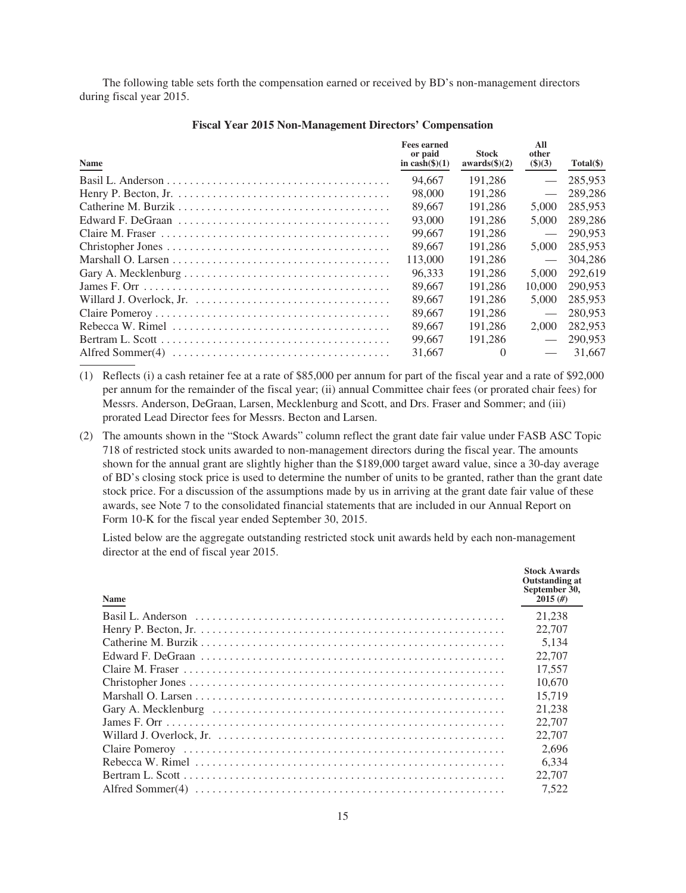The following table sets forth the compensation earned or received by BD's non-management directors during fiscal year 2015.

| Name | <b>Fees earned</b><br>or paid<br>in $\cosh(\frac{\pi}{6})(1)$ | <b>Stock</b><br>$awards(\text{S})(2)$ | All<br>other<br>$\$)(3)$ | Total(\$) |
|------|---------------------------------------------------------------|---------------------------------------|--------------------------|-----------|
|      | 94.667                                                        | 191,286                               | $\overline{\phantom{m}}$ | 285,953   |
|      | 98,000                                                        | 191.286                               |                          | 289,286   |
|      | 89,667                                                        | 191.286                               | 5,000                    | 285,953   |
|      | 93,000                                                        | 191.286                               | 5,000                    | 289,286   |
|      | 99.667                                                        | 191.286                               |                          | 290,953   |
|      | 89.667                                                        | 191.286                               | 5,000                    | 285,953   |
|      | 113,000                                                       | 191.286                               | $\overline{\phantom{m}}$ | 304.286   |
|      | 96.333                                                        | 191.286                               | 5,000                    | 292,619   |
|      | 89.667                                                        | 191.286                               | 10.000                   | 290,953   |
|      | 89.667                                                        | 191.286                               | 5,000                    | 285,953   |
|      | 89.667                                                        | 191.286                               | $\overline{\phantom{m}}$ | 280,953   |
|      | 89.667                                                        | 191.286                               | 2,000                    | 282,953   |
|      | 99.667                                                        | 191.286                               | $\overline{\phantom{m}}$ | 290,953   |
|      | 31,667                                                        |                                       |                          | 31,667    |

### **Fiscal Year 2015 Non-Management Directors' Compensation**

- (1) Reflects (i) a cash retainer fee at a rate of \$85,000 per annum for part of the fiscal year and a rate of \$92,000 per annum for the remainder of the fiscal year; (ii) annual Committee chair fees (or prorated chair fees) for Messrs. Anderson, DeGraan, Larsen, Mecklenburg and Scott, and Drs. Fraser and Sommer; and (iii) prorated Lead Director fees for Messrs. Becton and Larsen.
- (2) The amounts shown in the "Stock Awards" column reflect the grant date fair value under FASB ASC Topic 718 of restricted stock units awarded to non-management directors during the fiscal year. The amounts shown for the annual grant are slightly higher than the \$189,000 target award value, since a 30-day average of BD's closing stock price is used to determine the number of units to be granted, rather than the grant date stock price. For a discussion of the assumptions made by us in arriving at the grant date fair value of these awards, see Note 7 to the consolidated financial statements that are included in our Annual Report on Form 10-K for the fiscal year ended September 30, 2015.

Listed below are the aggregate outstanding restricted stock unit awards held by each non-management director at the end of fiscal year 2015.

| <b>Name</b> | <b>Stock Awards</b><br><b>Outstanding at</b><br>September 30,<br>2015(f) |
|-------------|--------------------------------------------------------------------------|
|             | 21.238                                                                   |
|             | 22,707                                                                   |
|             | 5.134                                                                    |
|             | 22,707                                                                   |
|             | 17.557                                                                   |
|             | 10.670                                                                   |
|             | 15.719                                                                   |
|             | 21.238                                                                   |
|             | 22.707                                                                   |
|             | 22,707                                                                   |
|             | 2.696                                                                    |
|             | 6.334                                                                    |
|             | 22,707                                                                   |
|             | 7.522                                                                    |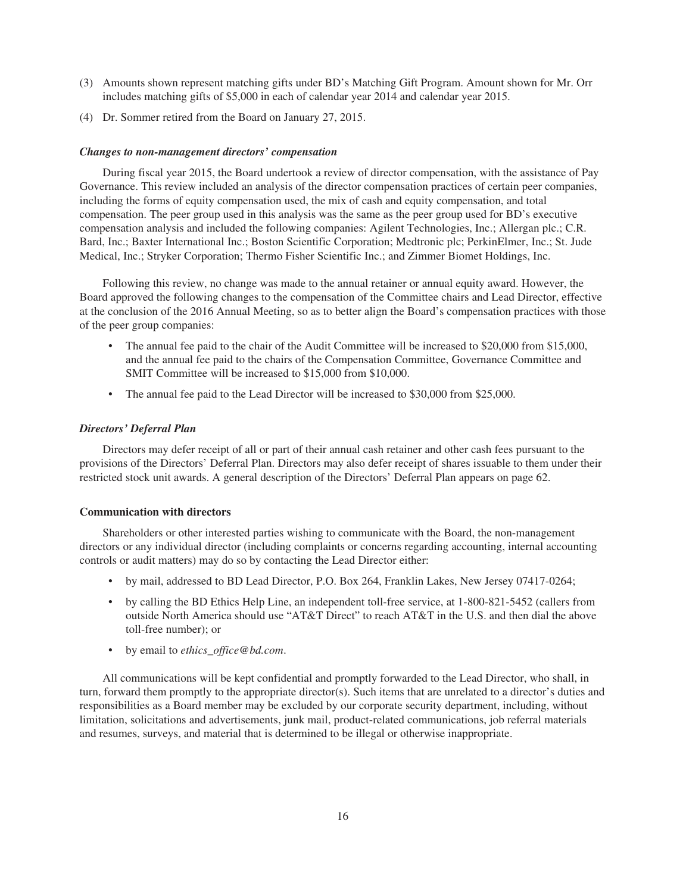- (3) Amounts shown represent matching gifts under BD's Matching Gift Program. Amount shown for Mr. Orr includes matching gifts of \$5,000 in each of calendar year 2014 and calendar year 2015.
- (4) Dr. Sommer retired from the Board on January 27, 2015.

## *Changes to non-management directors' compensation*

During fiscal year 2015, the Board undertook a review of director compensation, with the assistance of Pay Governance. This review included an analysis of the director compensation practices of certain peer companies, including the forms of equity compensation used, the mix of cash and equity compensation, and total compensation. The peer group used in this analysis was the same as the peer group used for BD's executive compensation analysis and included the following companies: Agilent Technologies, Inc.; Allergan plc.; C.R. Bard, Inc.; Baxter International Inc.; Boston Scientific Corporation; Medtronic plc; PerkinElmer, Inc.; St. Jude Medical, Inc.; Stryker Corporation; Thermo Fisher Scientific Inc.; and Zimmer Biomet Holdings, Inc.

Following this review, no change was made to the annual retainer or annual equity award. However, the Board approved the following changes to the compensation of the Committee chairs and Lead Director, effective at the conclusion of the 2016 Annual Meeting, so as to better align the Board's compensation practices with those of the peer group companies:

- The annual fee paid to the chair of the Audit Committee will be increased to \$20,000 from \$15,000, and the annual fee paid to the chairs of the Compensation Committee, Governance Committee and SMIT Committee will be increased to \$15,000 from \$10,000.
- The annual fee paid to the Lead Director will be increased to \$30,000 from \$25,000.

## *Directors' Deferral Plan*

Directors may defer receipt of all or part of their annual cash retainer and other cash fees pursuant to the provisions of the Directors' Deferral Plan. Directors may also defer receipt of shares issuable to them under their restricted stock unit awards. A general description of the Directors' Deferral Plan appears on page 62.

## **Communication with directors**

Shareholders or other interested parties wishing to communicate with the Board, the non-management directors or any individual director (including complaints or concerns regarding accounting, internal accounting controls or audit matters) may do so by contacting the Lead Director either:

- by mail, addressed to BD Lead Director, P.O. Box 264, Franklin Lakes, New Jersey 07417-0264;
- by calling the BD Ethics Help Line, an independent toll-free service, at 1-800-821-5452 (callers from outside North America should use "AT&T Direct" to reach AT&T in the U.S. and then dial the above toll-free number); or
- by email to *ethics\_office@bd.com*.

All communications will be kept confidential and promptly forwarded to the Lead Director, who shall, in turn, forward them promptly to the appropriate director(s). Such items that are unrelated to a director's duties and responsibilities as a Board member may be excluded by our corporate security department, including, without limitation, solicitations and advertisements, junk mail, product-related communications, job referral materials and resumes, surveys, and material that is determined to be illegal or otherwise inappropriate.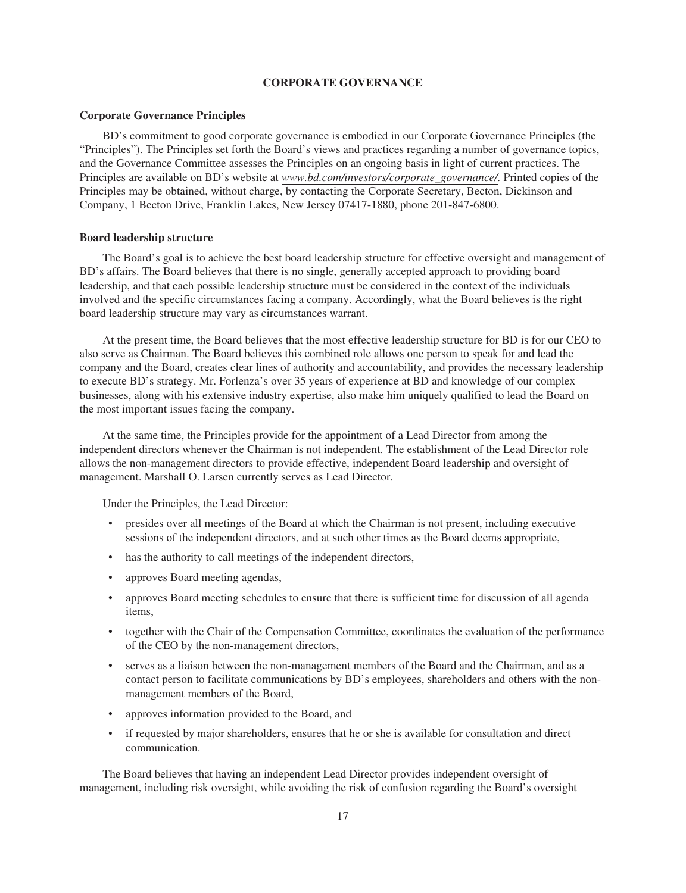## **CORPORATE GOVERNANCE**

## **Corporate Governance Principles**

BD's commitment to good corporate governance is embodied in our Corporate Governance Principles (the "Principles"). The Principles set forth the Board's views and practices regarding a number of governance topics, and the Governance Committee assesses the Principles on an ongoing basis in light of current practices. The Principles are available on BD's website at *www.bd.com/investors/corporate\_governance/*. Printed copies of the Principles may be obtained, without charge, by contacting the Corporate Secretary, Becton, Dickinson and Company, 1 Becton Drive, Franklin Lakes, New Jersey 07417-1880, phone 201-847-6800.

### **Board leadership structure**

The Board's goal is to achieve the best board leadership structure for effective oversight and management of BD's affairs. The Board believes that there is no single, generally accepted approach to providing board leadership, and that each possible leadership structure must be considered in the context of the individuals involved and the specific circumstances facing a company. Accordingly, what the Board believes is the right board leadership structure may vary as circumstances warrant.

At the present time, the Board believes that the most effective leadership structure for BD is for our CEO to also serve as Chairman. The Board believes this combined role allows one person to speak for and lead the company and the Board, creates clear lines of authority and accountability, and provides the necessary leadership to execute BD's strategy. Mr. Forlenza's over 35 years of experience at BD and knowledge of our complex businesses, along with his extensive industry expertise, also make him uniquely qualified to lead the Board on the most important issues facing the company.

At the same time, the Principles provide for the appointment of a Lead Director from among the independent directors whenever the Chairman is not independent. The establishment of the Lead Director role allows the non-management directors to provide effective, independent Board leadership and oversight of management. Marshall O. Larsen currently serves as Lead Director.

Under the Principles, the Lead Director:

- presides over all meetings of the Board at which the Chairman is not present, including executive sessions of the independent directors, and at such other times as the Board deems appropriate,
- has the authority to call meetings of the independent directors,
- approves Board meeting agendas,
- approves Board meeting schedules to ensure that there is sufficient time for discussion of all agenda items,
- together with the Chair of the Compensation Committee, coordinates the evaluation of the performance of the CEO by the non-management directors,
- serves as a liaison between the non-management members of the Board and the Chairman, and as a contact person to facilitate communications by BD's employees, shareholders and others with the nonmanagement members of the Board,
- approves information provided to the Board, and
- if requested by major shareholders, ensures that he or she is available for consultation and direct communication.

The Board believes that having an independent Lead Director provides independent oversight of management, including risk oversight, while avoiding the risk of confusion regarding the Board's oversight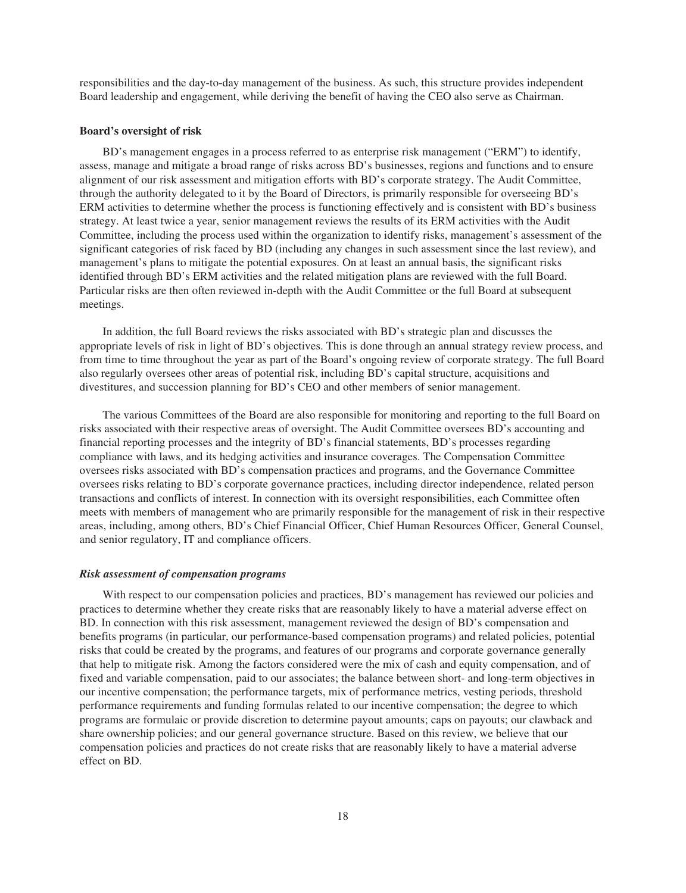responsibilities and the day-to-day management of the business. As such, this structure provides independent Board leadership and engagement, while deriving the benefit of having the CEO also serve as Chairman.

#### **Board's oversight of risk**

BD's management engages in a process referred to as enterprise risk management ("ERM") to identify, assess, manage and mitigate a broad range of risks across BD's businesses, regions and functions and to ensure alignment of our risk assessment and mitigation efforts with BD's corporate strategy. The Audit Committee, through the authority delegated to it by the Board of Directors, is primarily responsible for overseeing BD's ERM activities to determine whether the process is functioning effectively and is consistent with BD's business strategy. At least twice a year, senior management reviews the results of its ERM activities with the Audit Committee, including the process used within the organization to identify risks, management's assessment of the significant categories of risk faced by BD (including any changes in such assessment since the last review), and management's plans to mitigate the potential exposures. On at least an annual basis, the significant risks identified through BD's ERM activities and the related mitigation plans are reviewed with the full Board. Particular risks are then often reviewed in-depth with the Audit Committee or the full Board at subsequent meetings.

In addition, the full Board reviews the risks associated with BD's strategic plan and discusses the appropriate levels of risk in light of BD's objectives. This is done through an annual strategy review process, and from time to time throughout the year as part of the Board's ongoing review of corporate strategy. The full Board also regularly oversees other areas of potential risk, including BD's capital structure, acquisitions and divestitures, and succession planning for BD's CEO and other members of senior management.

The various Committees of the Board are also responsible for monitoring and reporting to the full Board on risks associated with their respective areas of oversight. The Audit Committee oversees BD's accounting and financial reporting processes and the integrity of BD's financial statements, BD's processes regarding compliance with laws, and its hedging activities and insurance coverages. The Compensation Committee oversees risks associated with BD's compensation practices and programs, and the Governance Committee oversees risks relating to BD's corporate governance practices, including director independence, related person transactions and conflicts of interest. In connection with its oversight responsibilities, each Committee often meets with members of management who are primarily responsible for the management of risk in their respective areas, including, among others, BD's Chief Financial Officer, Chief Human Resources Officer, General Counsel, and senior regulatory, IT and compliance officers.

### *Risk assessment of compensation programs*

With respect to our compensation policies and practices, BD's management has reviewed our policies and practices to determine whether they create risks that are reasonably likely to have a material adverse effect on BD. In connection with this risk assessment, management reviewed the design of BD's compensation and benefits programs (in particular, our performance-based compensation programs) and related policies, potential risks that could be created by the programs, and features of our programs and corporate governance generally that help to mitigate risk. Among the factors considered were the mix of cash and equity compensation, and of fixed and variable compensation, paid to our associates; the balance between short- and long-term objectives in our incentive compensation; the performance targets, mix of performance metrics, vesting periods, threshold performance requirements and funding formulas related to our incentive compensation; the degree to which programs are formulaic or provide discretion to determine payout amounts; caps on payouts; our clawback and share ownership policies; and our general governance structure. Based on this review, we believe that our compensation policies and practices do not create risks that are reasonably likely to have a material adverse effect on BD.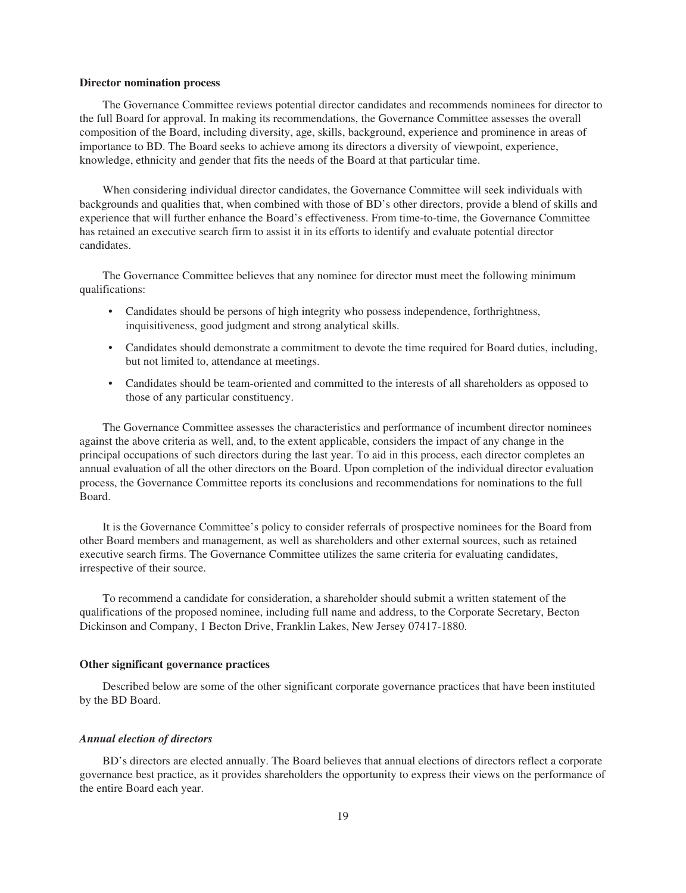#### **Director nomination process**

The Governance Committee reviews potential director candidates and recommends nominees for director to the full Board for approval. In making its recommendations, the Governance Committee assesses the overall composition of the Board, including diversity, age, skills, background, experience and prominence in areas of importance to BD. The Board seeks to achieve among its directors a diversity of viewpoint, experience, knowledge, ethnicity and gender that fits the needs of the Board at that particular time.

When considering individual director candidates, the Governance Committee will seek individuals with backgrounds and qualities that, when combined with those of BD's other directors, provide a blend of skills and experience that will further enhance the Board's effectiveness. From time-to-time, the Governance Committee has retained an executive search firm to assist it in its efforts to identify and evaluate potential director candidates.

The Governance Committee believes that any nominee for director must meet the following minimum qualifications:

- Candidates should be persons of high integrity who possess independence, forthrightness, inquisitiveness, good judgment and strong analytical skills.
- Candidates should demonstrate a commitment to devote the time required for Board duties, including, but not limited to, attendance at meetings.
- Candidates should be team-oriented and committed to the interests of all shareholders as opposed to those of any particular constituency.

The Governance Committee assesses the characteristics and performance of incumbent director nominees against the above criteria as well, and, to the extent applicable, considers the impact of any change in the principal occupations of such directors during the last year. To aid in this process, each director completes an annual evaluation of all the other directors on the Board. Upon completion of the individual director evaluation process, the Governance Committee reports its conclusions and recommendations for nominations to the full Board.

It is the Governance Committee's policy to consider referrals of prospective nominees for the Board from other Board members and management, as well as shareholders and other external sources, such as retained executive search firms. The Governance Committee utilizes the same criteria for evaluating candidates, irrespective of their source.

To recommend a candidate for consideration, a shareholder should submit a written statement of the qualifications of the proposed nominee, including full name and address, to the Corporate Secretary, Becton Dickinson and Company, 1 Becton Drive, Franklin Lakes, New Jersey 07417-1880.

## **Other significant governance practices**

Described below are some of the other significant corporate governance practices that have been instituted by the BD Board.

## *Annual election of directors*

BD's directors are elected annually. The Board believes that annual elections of directors reflect a corporate governance best practice, as it provides shareholders the opportunity to express their views on the performance of the entire Board each year.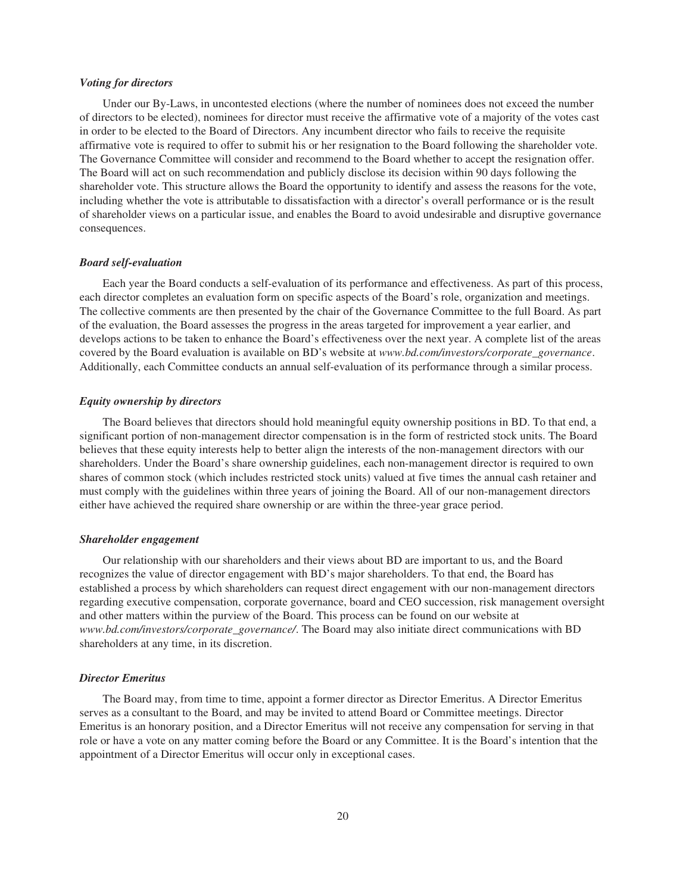#### *Voting for directors*

Under our By-Laws, in uncontested elections (where the number of nominees does not exceed the number of directors to be elected), nominees for director must receive the affirmative vote of a majority of the votes cast in order to be elected to the Board of Directors. Any incumbent director who fails to receive the requisite affirmative vote is required to offer to submit his or her resignation to the Board following the shareholder vote. The Governance Committee will consider and recommend to the Board whether to accept the resignation offer. The Board will act on such recommendation and publicly disclose its decision within 90 days following the shareholder vote. This structure allows the Board the opportunity to identify and assess the reasons for the vote, including whether the vote is attributable to dissatisfaction with a director's overall performance or is the result of shareholder views on a particular issue, and enables the Board to avoid undesirable and disruptive governance consequences.

### *Board self-evaluation*

Each year the Board conducts a self-evaluation of its performance and effectiveness. As part of this process, each director completes an evaluation form on specific aspects of the Board's role, organization and meetings. The collective comments are then presented by the chair of the Governance Committee to the full Board. As part of the evaluation, the Board assesses the progress in the areas targeted for improvement a year earlier, and develops actions to be taken to enhance the Board's effectiveness over the next year. A complete list of the areas covered by the Board evaluation is available on BD's website at *www.bd.com/investors/corporate\_governance*. Additionally, each Committee conducts an annual self-evaluation of its performance through a similar process.

## *Equity ownership by directors*

The Board believes that directors should hold meaningful equity ownership positions in BD. To that end, a significant portion of non-management director compensation is in the form of restricted stock units. The Board believes that these equity interests help to better align the interests of the non-management directors with our shareholders. Under the Board's share ownership guidelines, each non-management director is required to own shares of common stock (which includes restricted stock units) valued at five times the annual cash retainer and must comply with the guidelines within three years of joining the Board. All of our non-management directors either have achieved the required share ownership or are within the three-year grace period.

## *Shareholder engagement*

Our relationship with our shareholders and their views about BD are important to us, and the Board recognizes the value of director engagement with BD's major shareholders. To that end, the Board has established a process by which shareholders can request direct engagement with our non-management directors regarding executive compensation, corporate governance, board and CEO succession, risk management oversight and other matters within the purview of the Board. This process can be found on our website at *www.bd.com/investors/corporate\_governance/*. The Board may also initiate direct communications with BD shareholders at any time, in its discretion.

#### *Director Emeritus*

The Board may, from time to time, appoint a former director as Director Emeritus. A Director Emeritus serves as a consultant to the Board, and may be invited to attend Board or Committee meetings. Director Emeritus is an honorary position, and a Director Emeritus will not receive any compensation for serving in that role or have a vote on any matter coming before the Board or any Committee. It is the Board's intention that the appointment of a Director Emeritus will occur only in exceptional cases.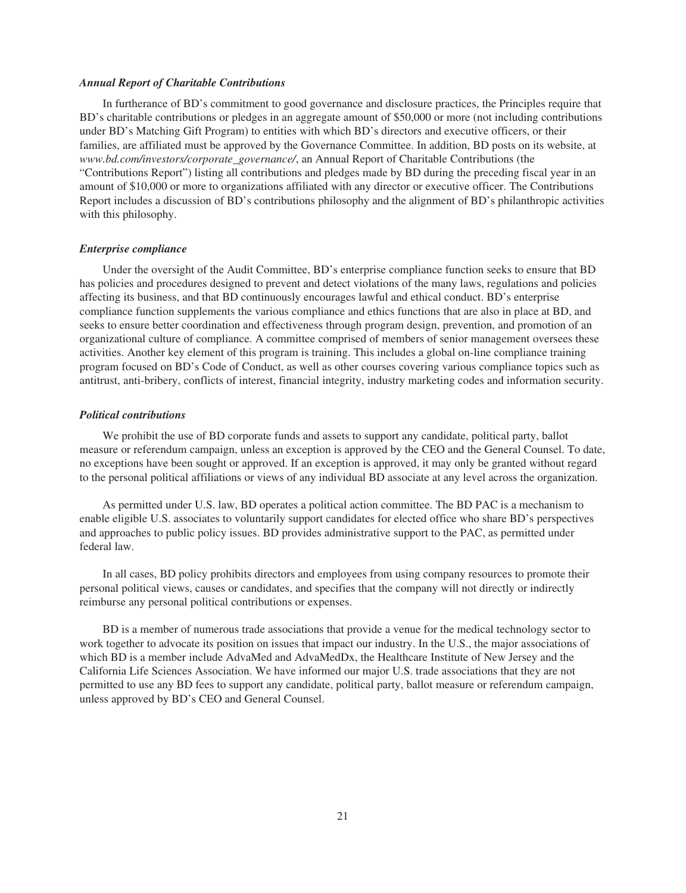#### *Annual Report of Charitable Contributions*

In furtherance of BD's commitment to good governance and disclosure practices, the Principles require that BD's charitable contributions or pledges in an aggregate amount of \$50,000 or more (not including contributions under BD's Matching Gift Program) to entities with which BD's directors and executive officers, or their families, are affiliated must be approved by the Governance Committee. In addition, BD posts on its website, at *www.bd.com/investors/corporate\_governance/*, an Annual Report of Charitable Contributions (the "Contributions Report") listing all contributions and pledges made by BD during the preceding fiscal year in an amount of \$10,000 or more to organizations affiliated with any director or executive officer. The Contributions Report includes a discussion of BD's contributions philosophy and the alignment of BD's philanthropic activities with this philosophy.

## *Enterprise compliance*

Under the oversight of the Audit Committee, BD's enterprise compliance function seeks to ensure that BD has policies and procedures designed to prevent and detect violations of the many laws, regulations and policies affecting its business, and that BD continuously encourages lawful and ethical conduct. BD's enterprise compliance function supplements the various compliance and ethics functions that are also in place at BD, and seeks to ensure better coordination and effectiveness through program design, prevention, and promotion of an organizational culture of compliance. A committee comprised of members of senior management oversees these activities. Another key element of this program is training. This includes a global on-line compliance training program focused on BD's Code of Conduct, as well as other courses covering various compliance topics such as antitrust, anti-bribery, conflicts of interest, financial integrity, industry marketing codes and information security.

## *Political contributions*

We prohibit the use of BD corporate funds and assets to support any candidate, political party, ballot measure or referendum campaign, unless an exception is approved by the CEO and the General Counsel. To date, no exceptions have been sought or approved. If an exception is approved, it may only be granted without regard to the personal political affiliations or views of any individual BD associate at any level across the organization.

As permitted under U.S. law, BD operates a political action committee. The BD PAC is a mechanism to enable eligible U.S. associates to voluntarily support candidates for elected office who share BD's perspectives and approaches to public policy issues. BD provides administrative support to the PAC, as permitted under federal law.

In all cases, BD policy prohibits directors and employees from using company resources to promote their personal political views, causes or candidates, and specifies that the company will not directly or indirectly reimburse any personal political contributions or expenses.

BD is a member of numerous trade associations that provide a venue for the medical technology sector to work together to advocate its position on issues that impact our industry. In the U.S., the major associations of which BD is a member include AdvaMed and AdvaMedDx, the Healthcare Institute of New Jersey and the California Life Sciences Association. We have informed our major U.S. trade associations that they are not permitted to use any BD fees to support any candidate, political party, ballot measure or referendum campaign, unless approved by BD's CEO and General Counsel.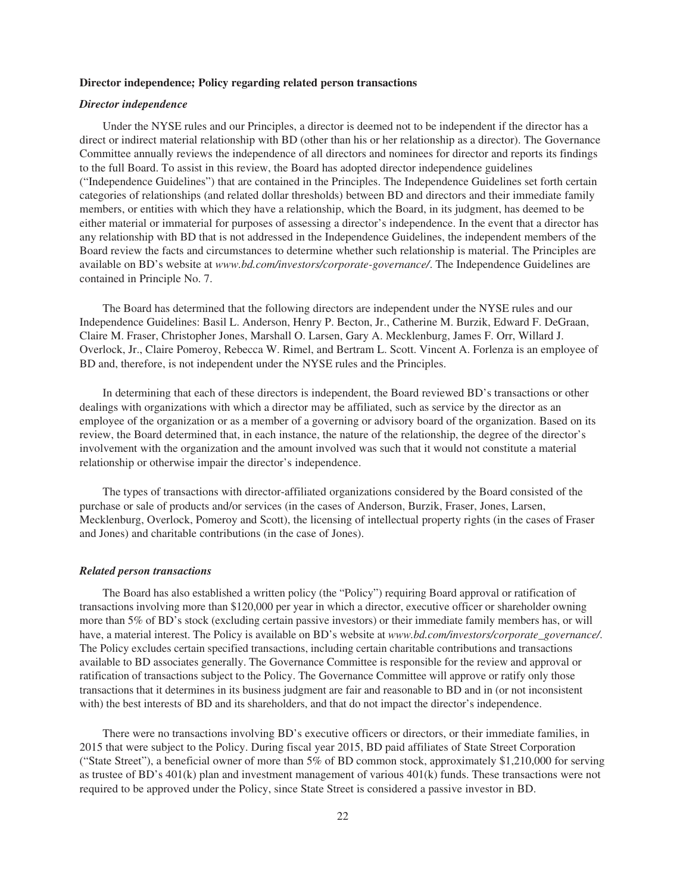#### **Director independence; Policy regarding related person transactions**

## *Director independence*

Under the NYSE rules and our Principles, a director is deemed not to be independent if the director has a direct or indirect material relationship with BD (other than his or her relationship as a director). The Governance Committee annually reviews the independence of all directors and nominees for director and reports its findings to the full Board. To assist in this review, the Board has adopted director independence guidelines ("Independence Guidelines") that are contained in the Principles. The Independence Guidelines set forth certain categories of relationships (and related dollar thresholds) between BD and directors and their immediate family members, or entities with which they have a relationship, which the Board, in its judgment, has deemed to be either material or immaterial for purposes of assessing a director's independence. In the event that a director has any relationship with BD that is not addressed in the Independence Guidelines, the independent members of the Board review the facts and circumstances to determine whether such relationship is material. The Principles are available on BD's website at *www.bd.com/investors/corporate-governance/*. The Independence Guidelines are contained in Principle No. 7.

The Board has determined that the following directors are independent under the NYSE rules and our Independence Guidelines: Basil L. Anderson, Henry P. Becton, Jr., Catherine M. Burzik, Edward F. DeGraan, Claire M. Fraser, Christopher Jones, Marshall O. Larsen, Gary A. Mecklenburg, James F. Orr, Willard J. Overlock, Jr., Claire Pomeroy, Rebecca W. Rimel, and Bertram L. Scott. Vincent A. Forlenza is an employee of BD and, therefore, is not independent under the NYSE rules and the Principles.

In determining that each of these directors is independent, the Board reviewed BD's transactions or other dealings with organizations with which a director may be affiliated, such as service by the director as an employee of the organization or as a member of a governing or advisory board of the organization. Based on its review, the Board determined that, in each instance, the nature of the relationship, the degree of the director's involvement with the organization and the amount involved was such that it would not constitute a material relationship or otherwise impair the director's independence.

The types of transactions with director-affiliated organizations considered by the Board consisted of the purchase or sale of products and/or services (in the cases of Anderson, Burzik, Fraser, Jones, Larsen, Mecklenburg, Overlock, Pomeroy and Scott), the licensing of intellectual property rights (in the cases of Fraser and Jones) and charitable contributions (in the case of Jones).

### *Related person transactions*

The Board has also established a written policy (the "Policy") requiring Board approval or ratification of transactions involving more than \$120,000 per year in which a director, executive officer or shareholder owning more than 5% of BD's stock (excluding certain passive investors) or their immediate family members has, or will have, a material interest. The Policy is available on BD's website at *www.bd.com/investors/corporate\_governance/*. The Policy excludes certain specified transactions, including certain charitable contributions and transactions available to BD associates generally. The Governance Committee is responsible for the review and approval or ratification of transactions subject to the Policy. The Governance Committee will approve or ratify only those transactions that it determines in its business judgment are fair and reasonable to BD and in (or not inconsistent with) the best interests of BD and its shareholders, and that do not impact the director's independence.

There were no transactions involving BD's executive officers or directors, or their immediate families, in 2015 that were subject to the Policy. During fiscal year 2015, BD paid affiliates of State Street Corporation ("State Street"), a beneficial owner of more than 5% of BD common stock, approximately \$1,210,000 for serving as trustee of BD's 401(k) plan and investment management of various 401(k) funds. These transactions were not required to be approved under the Policy, since State Street is considered a passive investor in BD.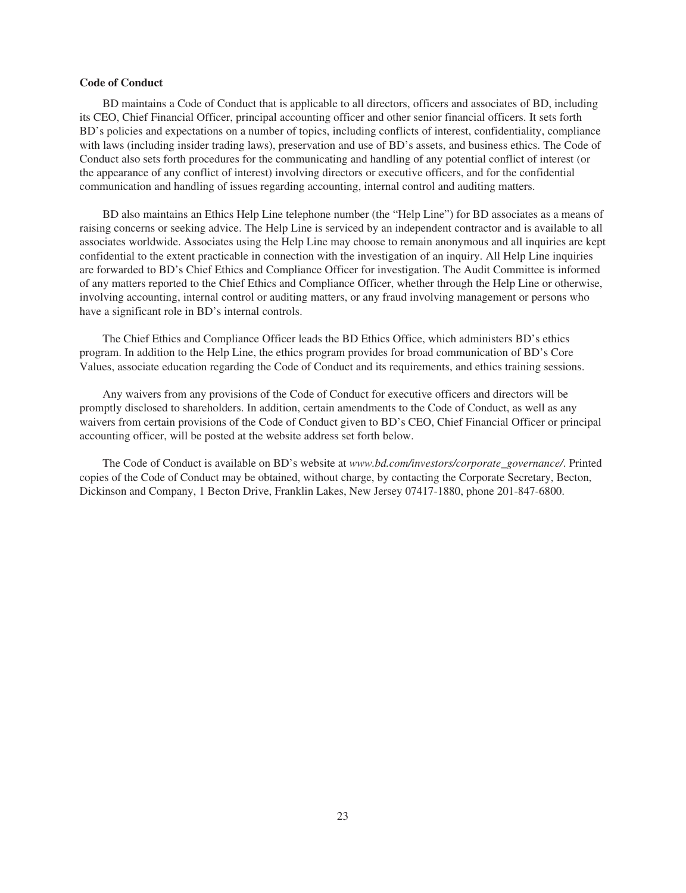## **Code of Conduct**

BD maintains a Code of Conduct that is applicable to all directors, officers and associates of BD, including its CEO, Chief Financial Officer, principal accounting officer and other senior financial officers. It sets forth BD's policies and expectations on a number of topics, including conflicts of interest, confidentiality, compliance with laws (including insider trading laws), preservation and use of BD's assets, and business ethics. The Code of Conduct also sets forth procedures for the communicating and handling of any potential conflict of interest (or the appearance of any conflict of interest) involving directors or executive officers, and for the confidential communication and handling of issues regarding accounting, internal control and auditing matters.

BD also maintains an Ethics Help Line telephone number (the "Help Line") for BD associates as a means of raising concerns or seeking advice. The Help Line is serviced by an independent contractor and is available to all associates worldwide. Associates using the Help Line may choose to remain anonymous and all inquiries are kept confidential to the extent practicable in connection with the investigation of an inquiry. All Help Line inquiries are forwarded to BD's Chief Ethics and Compliance Officer for investigation. The Audit Committee is informed of any matters reported to the Chief Ethics and Compliance Officer, whether through the Help Line or otherwise, involving accounting, internal control or auditing matters, or any fraud involving management or persons who have a significant role in BD's internal controls.

The Chief Ethics and Compliance Officer leads the BD Ethics Office, which administers BD's ethics program. In addition to the Help Line, the ethics program provides for broad communication of BD's Core Values, associate education regarding the Code of Conduct and its requirements, and ethics training sessions.

Any waivers from any provisions of the Code of Conduct for executive officers and directors will be promptly disclosed to shareholders. In addition, certain amendments to the Code of Conduct, as well as any waivers from certain provisions of the Code of Conduct given to BD's CEO, Chief Financial Officer or principal accounting officer, will be posted at the website address set forth below.

The Code of Conduct is available on BD's website at *www.bd.com/investors/corporate\_governance/*. Printed copies of the Code of Conduct may be obtained, without charge, by contacting the Corporate Secretary, Becton, Dickinson and Company, 1 Becton Drive, Franklin Lakes, New Jersey 07417-1880, phone 201-847-6800.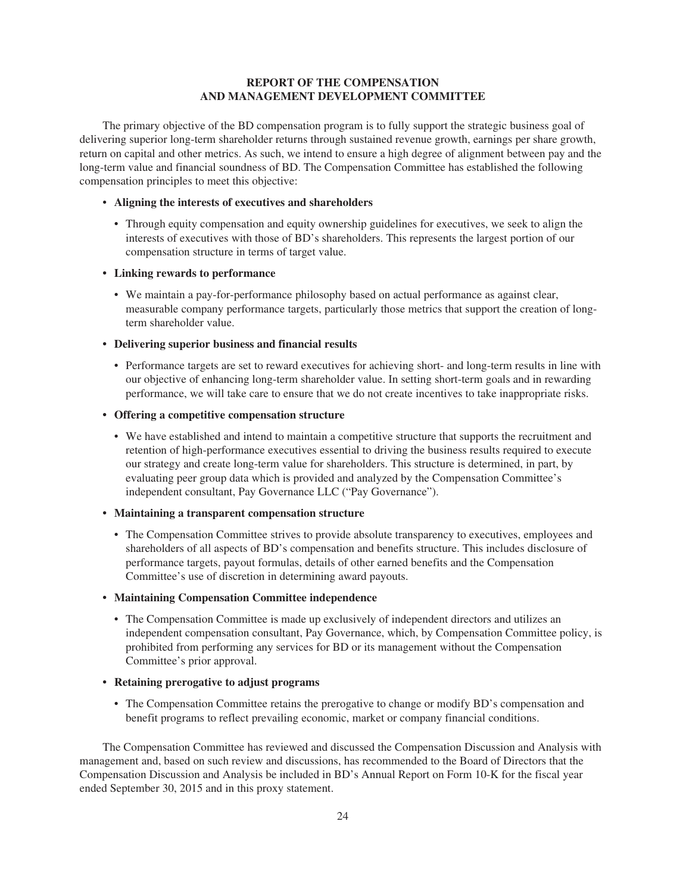# **REPORT OF THE COMPENSATION AND MANAGEMENT DEVELOPMENT COMMITTEE**

The primary objective of the BD compensation program is to fully support the strategic business goal of delivering superior long-term shareholder returns through sustained revenue growth, earnings per share growth, return on capital and other metrics. As such, we intend to ensure a high degree of alignment between pay and the long-term value and financial soundness of BD. The Compensation Committee has established the following compensation principles to meet this objective:

## • **Aligning the interests of executives and shareholders**

• Through equity compensation and equity ownership guidelines for executives, we seek to align the interests of executives with those of BD's shareholders. This represents the largest portion of our compensation structure in terms of target value.

## **• Linking rewards to performance**

• We maintain a pay-for-performance philosophy based on actual performance as against clear, measurable company performance targets, particularly those metrics that support the creation of longterm shareholder value.

## **• Delivering superior business and financial results**

• Performance targets are set to reward executives for achieving short- and long-term results in line with our objective of enhancing long-term shareholder value. In setting short-term goals and in rewarding performance, we will take care to ensure that we do not create incentives to take inappropriate risks.

## **• Offering a competitive compensation structure**

• We have established and intend to maintain a competitive structure that supports the recruitment and retention of high-performance executives essential to driving the business results required to execute our strategy and create long-term value for shareholders. This structure is determined, in part, by evaluating peer group data which is provided and analyzed by the Compensation Committee's independent consultant, Pay Governance LLC ("Pay Governance").

## **• Maintaining a transparent compensation structure**

- The Compensation Committee strives to provide absolute transparency to executives, employees and shareholders of all aspects of BD's compensation and benefits structure. This includes disclosure of performance targets, payout formulas, details of other earned benefits and the Compensation Committee's use of discretion in determining award payouts.
- **Maintaining Compensation Committee independence**
	- The Compensation Committee is made up exclusively of independent directors and utilizes an independent compensation consultant, Pay Governance, which, by Compensation Committee policy, is prohibited from performing any services for BD or its management without the Compensation Committee's prior approval.
- **Retaining prerogative to adjust programs**
	- The Compensation Committee retains the prerogative to change or modify BD's compensation and benefit programs to reflect prevailing economic, market or company financial conditions.

The Compensation Committee has reviewed and discussed the Compensation Discussion and Analysis with management and, based on such review and discussions, has recommended to the Board of Directors that the Compensation Discussion and Analysis be included in BD's Annual Report on Form 10-K for the fiscal year ended September 30, 2015 and in this proxy statement.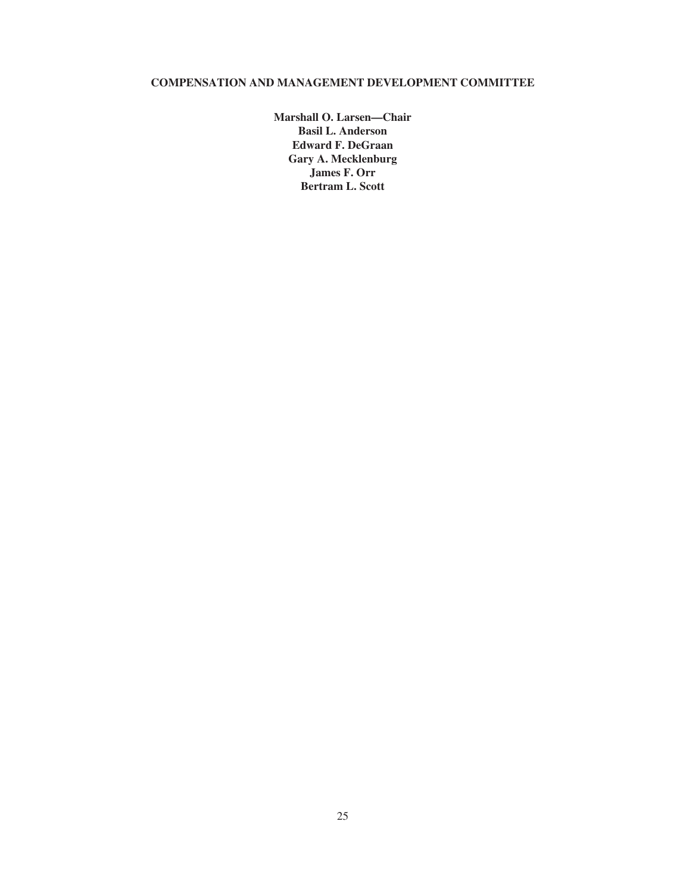# **COMPENSATION AND MANAGEMENT DEVELOPMENT COMMITTEE**

**Marshall O. Larsen—Chair Basil L. Anderson Edward F. DeGraan Gary A. Mecklenburg James F. Orr Bertram L. Scott**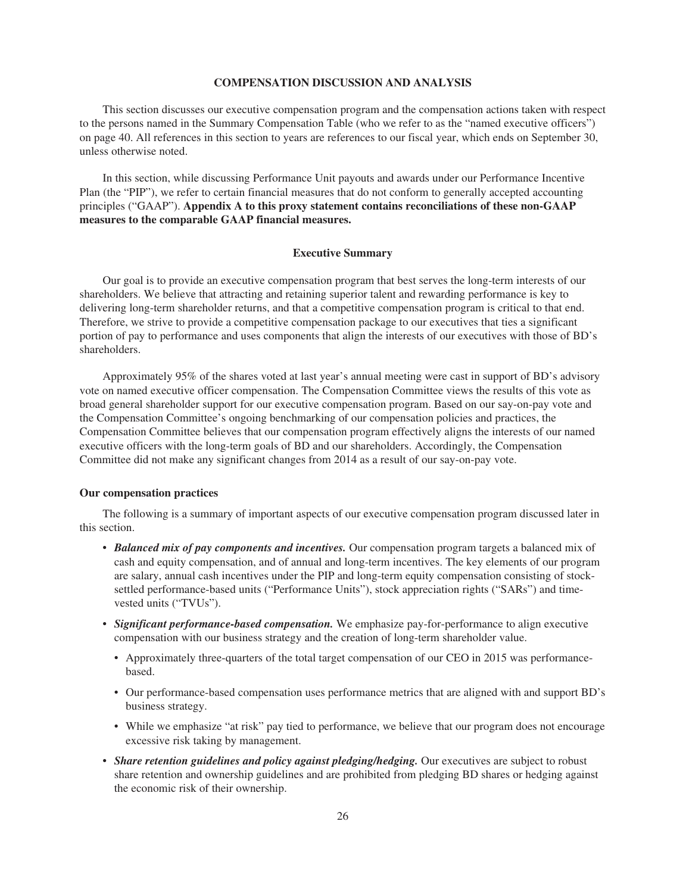## **COMPENSATION DISCUSSION AND ANALYSIS**

This section discusses our executive compensation program and the compensation actions taken with respect to the persons named in the Summary Compensation Table (who we refer to as the "named executive officers") on page 40. All references in this section to years are references to our fiscal year, which ends on September 30, unless otherwise noted.

In this section, while discussing Performance Unit payouts and awards under our Performance Incentive Plan (the "PIP"), we refer to certain financial measures that do not conform to generally accepted accounting principles ("GAAP"). **Appendix A to this proxy statement contains reconciliations of these non-GAAP measures to the comparable GAAP financial measures.**

### **Executive Summary**

Our goal is to provide an executive compensation program that best serves the long-term interests of our shareholders. We believe that attracting and retaining superior talent and rewarding performance is key to delivering long-term shareholder returns, and that a competitive compensation program is critical to that end. Therefore, we strive to provide a competitive compensation package to our executives that ties a significant portion of pay to performance and uses components that align the interests of our executives with those of BD's shareholders.

Approximately 95% of the shares voted at last year's annual meeting were cast in support of BD's advisory vote on named executive officer compensation. The Compensation Committee views the results of this vote as broad general shareholder support for our executive compensation program. Based on our say-on-pay vote and the Compensation Committee's ongoing benchmarking of our compensation policies and practices, the Compensation Committee believes that our compensation program effectively aligns the interests of our named executive officers with the long-term goals of BD and our shareholders. Accordingly, the Compensation Committee did not make any significant changes from 2014 as a result of our say-on-pay vote.

## **Our compensation practices**

The following is a summary of important aspects of our executive compensation program discussed later in this section.

- *Balanced mix of pay components and incentives.* Our compensation program targets a balanced mix of cash and equity compensation, and of annual and long-term incentives. The key elements of our program are salary, annual cash incentives under the PIP and long-term equity compensation consisting of stocksettled performance-based units ("Performance Units"), stock appreciation rights ("SARs") and timevested units ("TVUs").
- *Significant performance-based compensation.* We emphasize pay-for-performance to align executive compensation with our business strategy and the creation of long-term shareholder value.
	- Approximately three-quarters of the total target compensation of our CEO in 2015 was performancebased.
	- Our performance-based compensation uses performance metrics that are aligned with and support BD's business strategy.
	- While we emphasize "at risk" pay tied to performance, we believe that our program does not encourage excessive risk taking by management.
- *Share retention guidelines and policy against pledging/hedging.* Our executives are subject to robust share retention and ownership guidelines and are prohibited from pledging BD shares or hedging against the economic risk of their ownership.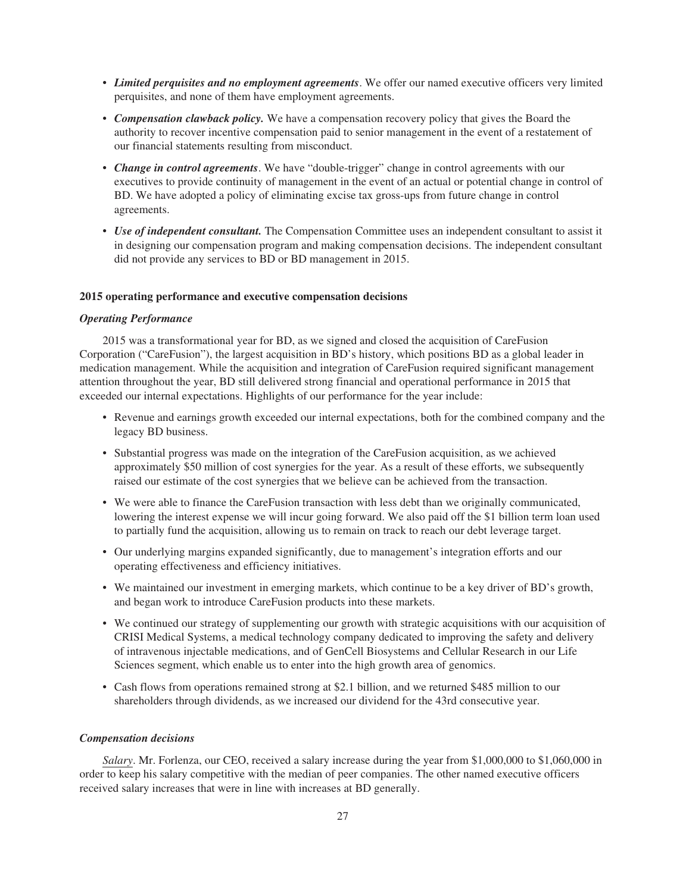- *Limited perquisites and no employment agreements*. We offer our named executive officers very limited perquisites, and none of them have employment agreements.
- *Compensation clawback policy.* We have a compensation recovery policy that gives the Board the authority to recover incentive compensation paid to senior management in the event of a restatement of our financial statements resulting from misconduct.
- *Change in control agreements*. We have "double-trigger" change in control agreements with our executives to provide continuity of management in the event of an actual or potential change in control of BD. We have adopted a policy of eliminating excise tax gross-ups from future change in control agreements.
- *Use of independent consultant*. The Compensation Committee uses an independent consultant to assist it in designing our compensation program and making compensation decisions. The independent consultant did not provide any services to BD or BD management in 2015.

## **2015 operating performance and executive compensation decisions**

## *Operating Performance*

2015 was a transformational year for BD, as we signed and closed the acquisition of CareFusion Corporation ("CareFusion"), the largest acquisition in BD's history, which positions BD as a global leader in medication management. While the acquisition and integration of CareFusion required significant management attention throughout the year, BD still delivered strong financial and operational performance in 2015 that exceeded our internal expectations. Highlights of our performance for the year include:

- Revenue and earnings growth exceeded our internal expectations, both for the combined company and the legacy BD business.
- Substantial progress was made on the integration of the CareFusion acquisition, as we achieved approximately \$50 million of cost synergies for the year. As a result of these efforts, we subsequently raised our estimate of the cost synergies that we believe can be achieved from the transaction.
- We were able to finance the CareFusion transaction with less debt than we originally communicated, lowering the interest expense we will incur going forward. We also paid off the \$1 billion term loan used to partially fund the acquisition, allowing us to remain on track to reach our debt leverage target.
- Our underlying margins expanded significantly, due to management's integration efforts and our operating effectiveness and efficiency initiatives.
- We maintained our investment in emerging markets, which continue to be a key driver of BD's growth, and began work to introduce CareFusion products into these markets.
- We continued our strategy of supplementing our growth with strategic acquisitions with our acquisition of CRISI Medical Systems, a medical technology company dedicated to improving the safety and delivery of intravenous injectable medications, and of GenCell Biosystems and Cellular Research in our Life Sciences segment, which enable us to enter into the high growth area of genomics.
- Cash flows from operations remained strong at \$2.1 billion, and we returned \$485 million to our shareholders through dividends, as we increased our dividend for the 43rd consecutive year.

## *Compensation decisions*

*Salary*. Mr. Forlenza, our CEO, received a salary increase during the year from \$1,000,000 to \$1,060,000 in order to keep his salary competitive with the median of peer companies. The other named executive officers received salary increases that were in line with increases at BD generally.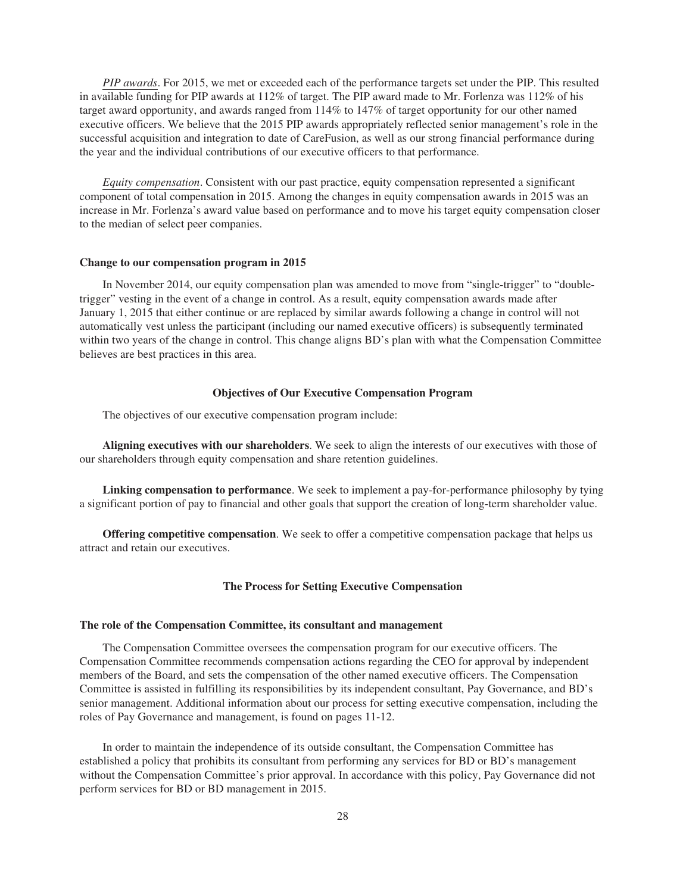*PIP awards*. For 2015, we met or exceeded each of the performance targets set under the PIP. This resulted in available funding for PIP awards at 112% of target. The PIP award made to Mr. Forlenza was 112% of his target award opportunity, and awards ranged from 114% to 147% of target opportunity for our other named executive officers. We believe that the 2015 PIP awards appropriately reflected senior management's role in the successful acquisition and integration to date of CareFusion, as well as our strong financial performance during the year and the individual contributions of our executive officers to that performance.

*Equity compensation*. Consistent with our past practice, equity compensation represented a significant component of total compensation in 2015. Among the changes in equity compensation awards in 2015 was an increase in Mr. Forlenza's award value based on performance and to move his target equity compensation closer to the median of select peer companies.

### **Change to our compensation program in 2015**

In November 2014, our equity compensation plan was amended to move from "single-trigger" to "doubletrigger" vesting in the event of a change in control. As a result, equity compensation awards made after January 1, 2015 that either continue or are replaced by similar awards following a change in control will not automatically vest unless the participant (including our named executive officers) is subsequently terminated within two years of the change in control. This change aligns BD's plan with what the Compensation Committee believes are best practices in this area.

## **Objectives of Our Executive Compensation Program**

The objectives of our executive compensation program include:

**Aligning executives with our shareholders**. We seek to align the interests of our executives with those of our shareholders through equity compensation and share retention guidelines.

**Linking compensation to performance**. We seek to implement a pay-for-performance philosophy by tying a significant portion of pay to financial and other goals that support the creation of long-term shareholder value.

**Offering competitive compensation**. We seek to offer a competitive compensation package that helps us attract and retain our executives.

## **The Process for Setting Executive Compensation**

### **The role of the Compensation Committee, its consultant and management**

The Compensation Committee oversees the compensation program for our executive officers. The Compensation Committee recommends compensation actions regarding the CEO for approval by independent members of the Board, and sets the compensation of the other named executive officers. The Compensation Committee is assisted in fulfilling its responsibilities by its independent consultant, Pay Governance, and BD's senior management. Additional information about our process for setting executive compensation, including the roles of Pay Governance and management, is found on pages 11-12.

In order to maintain the independence of its outside consultant, the Compensation Committee has established a policy that prohibits its consultant from performing any services for BD or BD's management without the Compensation Committee's prior approval. In accordance with this policy, Pay Governance did not perform services for BD or BD management in 2015.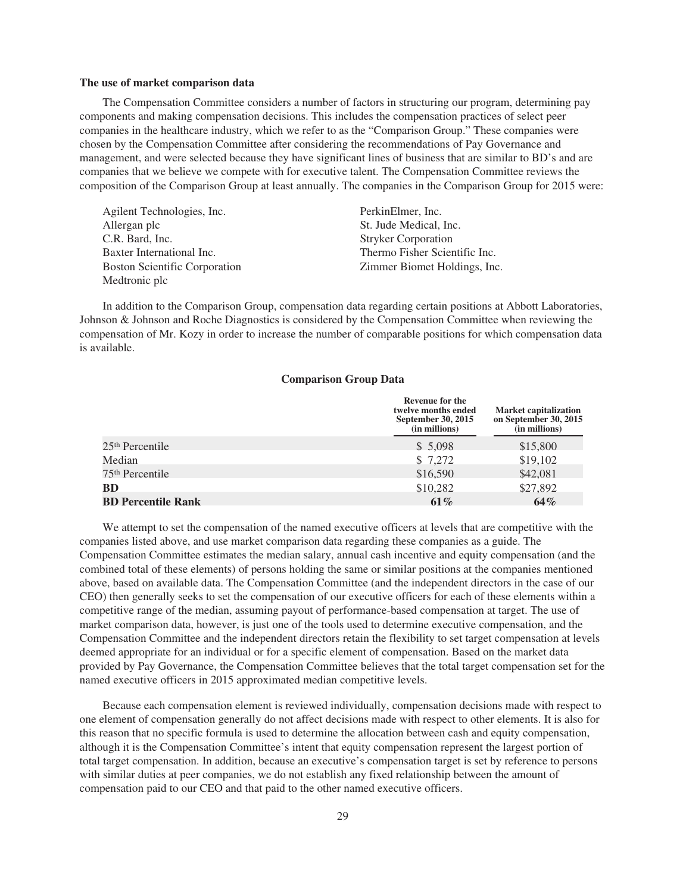#### **The use of market comparison data**

The Compensation Committee considers a number of factors in structuring our program, determining pay components and making compensation decisions. This includes the compensation practices of select peer companies in the healthcare industry, which we refer to as the "Comparison Group." These companies were chosen by the Compensation Committee after considering the recommendations of Pay Governance and management, and were selected because they have significant lines of business that are similar to BD's and are companies that we believe we compete with for executive talent. The Compensation Committee reviews the composition of the Comparison Group at least annually. The companies in the Comparison Group for 2015 were:

| Agilent Technologies, Inc.           | PerkinElmer, Inc.             |
|--------------------------------------|-------------------------------|
| Allergan plc                         | St. Jude Medical, Inc.        |
| C.R. Bard, Inc.                      | <b>Stryker Corporation</b>    |
| Baxter International Inc.            | Thermo Fisher Scientific Inc. |
| <b>Boston Scientific Corporation</b> | Zimmer Biomet Holdings, Inc.  |
| Medtronic plc                        |                               |

In addition to the Comparison Group, compensation data regarding certain positions at Abbott Laboratories, Johnson & Johnson and Roche Diagnostics is considered by the Compensation Committee when reviewing the compensation of Mr. Kozy in order to increase the number of comparable positions for which compensation data is available.

## **Comparison Group Data**

|                             | <b>Revenue for the</b><br>twelve months ended<br>September 30, 2015<br>(in millions) | <b>Market capitalization</b><br>on September 30, 2015<br>(in millions) |
|-----------------------------|--------------------------------------------------------------------------------------|------------------------------------------------------------------------|
| $25th$ Percentile           | \$5,098                                                                              | \$15,800                                                               |
| Median                      | \$7,272                                                                              | \$19,102                                                               |
| 75 <sup>th</sup> Percentile | \$16,590                                                                             | \$42,081                                                               |
| <b>BD</b>                   | \$10,282                                                                             | \$27,892                                                               |
| <b>BD Percentile Rank</b>   | 61%                                                                                  | 64%                                                                    |

We attempt to set the compensation of the named executive officers at levels that are competitive with the companies listed above, and use market comparison data regarding these companies as a guide. The Compensation Committee estimates the median salary, annual cash incentive and equity compensation (and the combined total of these elements) of persons holding the same or similar positions at the companies mentioned above, based on available data. The Compensation Committee (and the independent directors in the case of our CEO) then generally seeks to set the compensation of our executive officers for each of these elements within a competitive range of the median, assuming payout of performance-based compensation at target. The use of market comparison data, however, is just one of the tools used to determine executive compensation, and the Compensation Committee and the independent directors retain the flexibility to set target compensation at levels deemed appropriate for an individual or for a specific element of compensation. Based on the market data provided by Pay Governance, the Compensation Committee believes that the total target compensation set for the named executive officers in 2015 approximated median competitive levels.

Because each compensation element is reviewed individually, compensation decisions made with respect to one element of compensation generally do not affect decisions made with respect to other elements. It is also for this reason that no specific formula is used to determine the allocation between cash and equity compensation, although it is the Compensation Committee's intent that equity compensation represent the largest portion of total target compensation. In addition, because an executive's compensation target is set by reference to persons with similar duties at peer companies, we do not establish any fixed relationship between the amount of compensation paid to our CEO and that paid to the other named executive officers.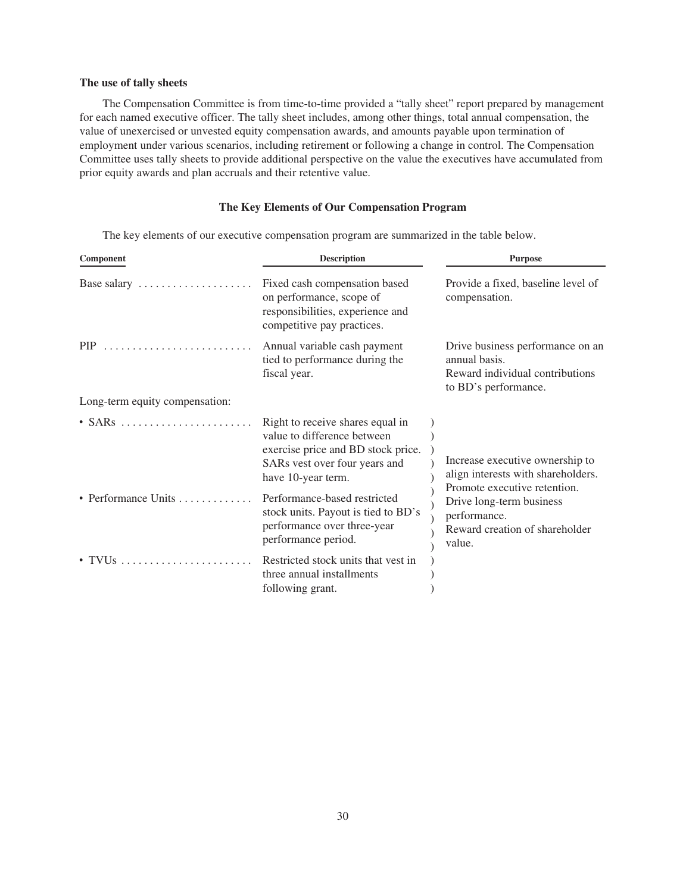## **The use of tally sheets**

The Compensation Committee is from time-to-time provided a "tally sheet" report prepared by management for each named executive officer. The tally sheet includes, among other things, total annual compensation, the value of unexercised or unvested equity compensation awards, and amounts payable upon termination of employment under various scenarios, including retirement or following a change in control. The Compensation Committee uses tally sheets to provide additional perspective on the value the executives have accumulated from prior equity awards and plan accruals and their retentive value.

# **The Key Elements of Our Compensation Program**

The key elements of our executive compensation program are summarized in the table below.

| Component                                         | <b>Description</b>                                                                                                                                           | <b>Purpose</b>                                                                                                       |  |
|---------------------------------------------------|--------------------------------------------------------------------------------------------------------------------------------------------------------------|----------------------------------------------------------------------------------------------------------------------|--|
| Base salary $\dots \dots \dots \dots \dots \dots$ | Fixed cash compensation based<br>on performance, scope of<br>responsibilities, experience and<br>competitive pay practices.                                  | Provide a fixed, baseline level of<br>compensation.                                                                  |  |
| $\text{PIP}$                                      | Annual variable cash payment<br>tied to performance during the<br>fiscal year.                                                                               | Drive business performance on an<br>annual basis.<br>Reward individual contributions<br>to BD's performance.         |  |
| Long-term equity compensation:                    |                                                                                                                                                              |                                                                                                                      |  |
| $\cdot$ SARs                                      | Right to receive shares equal in<br>value to difference between<br>exercise price and BD stock price.<br>SARs vest over four years and<br>have 10-year term. | Increase executive ownership to<br>align interests with shareholders.                                                |  |
| • Performance Units $\ldots$                      | Performance-based restricted<br>stock units. Payout is tied to BD's<br>performance over three-year<br>performance period.                                    | Promote executive retention.<br>Drive long-term business<br>performance.<br>Reward creation of shareholder<br>value. |  |
|                                                   | Restricted stock units that yest in<br>three annual installments<br>following grant.                                                                         |                                                                                                                      |  |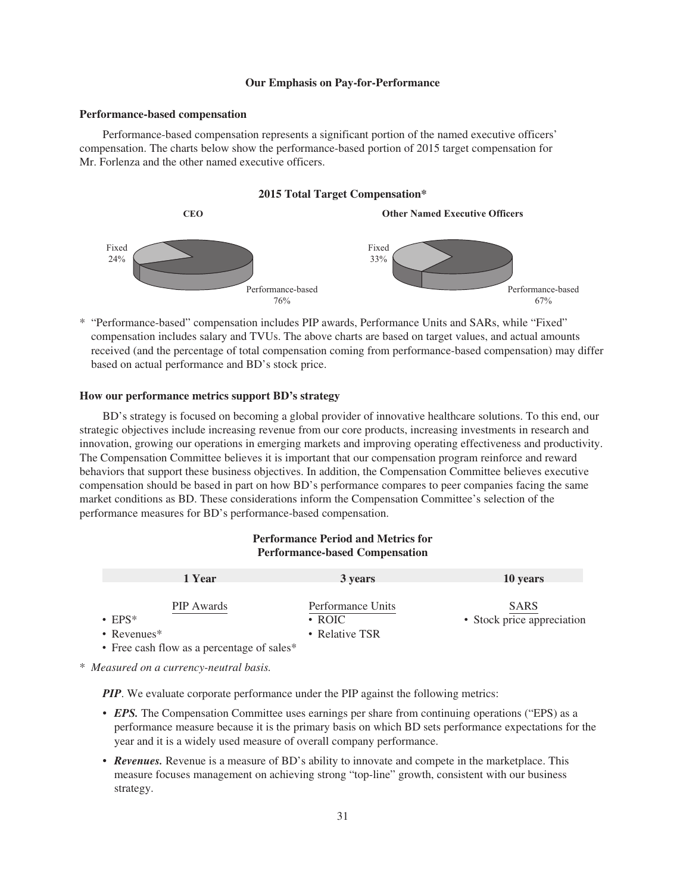#### **Our Emphasis on Pay-for-Performance**

#### **Performance-based compensation**

Performance-based compensation represents a significant portion of the named executive officers' compensation. The charts below show the performance-based portion of 2015 target compensation for Mr. Forlenza and the other named executive officers.

### **2015 Total Target Compensation\***



\* "Performance-based" compensation includes PIP awards, Performance Units and SARs, while "Fixed" compensation includes salary and TVUs. The above charts are based on target values, and actual amounts received (and the percentage of total compensation coming from performance-based compensation) may differ based on actual performance and BD's stock price.

## **How our performance metrics support BD's strategy**

BD's strategy is focused on becoming a global provider of innovative healthcare solutions. To this end, our strategic objectives include increasing revenue from our core products, increasing investments in research and innovation, growing our operations in emerging markets and improving operating effectiveness and productivity. The Compensation Committee believes it is important that our compensation program reinforce and reward behaviors that support these business objectives. In addition, the Compensation Committee believes executive compensation should be based in part on how BD's performance compares to peer companies facing the same market conditions as BD. These considerations inform the Compensation Committee's selection of the performance measures for BD's performance-based compensation.

## **Performance Period and Metrics for Performance-based Compensation 1 Year 10 years** 10 years 10 years PIP Awards **Performance Units** SARS ‰ EPS\* ‰ Revenues\* • Free cash flow as a percentage of sales\* ‰ ROIC ‰ Relative TSR • Stock price appreciation

\* *Measured on a currency-neutral basis.*

*PIP*. We evaluate corporate performance under the PIP against the following metrics:

- *EPS*. The Compensation Committee uses earnings per share from continuing operations ("EPS) as a performance measure because it is the primary basis on which BD sets performance expectations for the year and it is a widely used measure of overall company performance.
- *Revenues.* Revenue is a measure of BD's ability to innovate and compete in the marketplace. This measure focuses management on achieving strong "top-line" growth, consistent with our business strategy.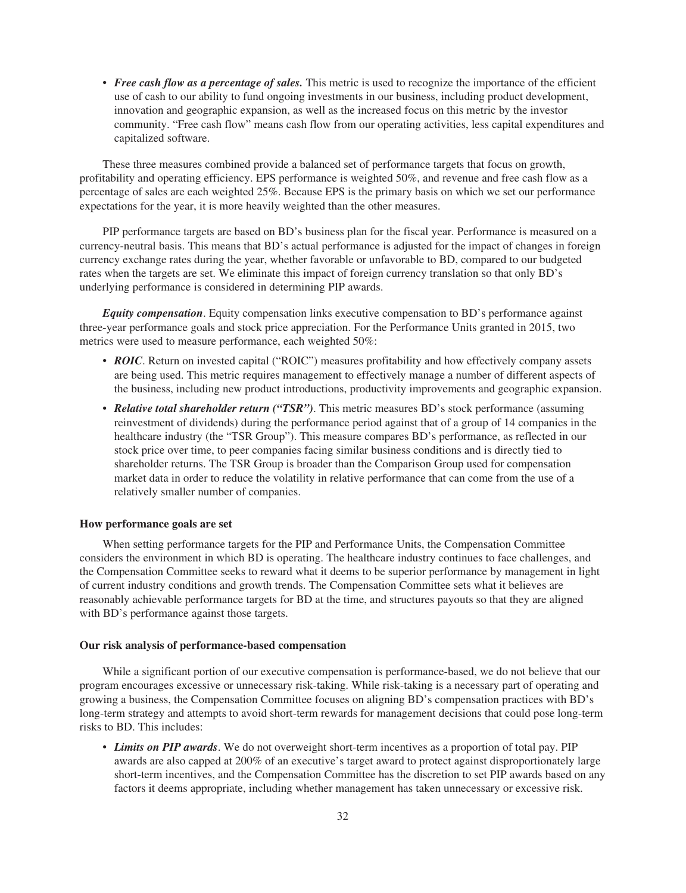• *Free cash flow as a percentage of sales*. This metric is used to recognize the importance of the efficient use of cash to our ability to fund ongoing investments in our business, including product development, innovation and geographic expansion, as well as the increased focus on this metric by the investor community. "Free cash flow" means cash flow from our operating activities, less capital expenditures and capitalized software.

These three measures combined provide a balanced set of performance targets that focus on growth, profitability and operating efficiency. EPS performance is weighted 50%, and revenue and free cash flow as a percentage of sales are each weighted 25%. Because EPS is the primary basis on which we set our performance expectations for the year, it is more heavily weighted than the other measures.

PIP performance targets are based on BD's business plan for the fiscal year. Performance is measured on a currency-neutral basis. This means that BD's actual performance is adjusted for the impact of changes in foreign currency exchange rates during the year, whether favorable or unfavorable to BD, compared to our budgeted rates when the targets are set. We eliminate this impact of foreign currency translation so that only BD's underlying performance is considered in determining PIP awards.

*Equity compensation*. Equity compensation links executive compensation to BD's performance against three-year performance goals and stock price appreciation. For the Performance Units granted in 2015, two metrics were used to measure performance, each weighted 50%:

- *ROIC*. Return on invested capital ("ROIC") measures profitability and how effectively company assets are being used. This metric requires management to effectively manage a number of different aspects of the business, including new product introductions, productivity improvements and geographic expansion.
- *Relative total shareholder return ("TSR")*. This metric measures BD's stock performance (assuming reinvestment of dividends) during the performance period against that of a group of 14 companies in the healthcare industry (the "TSR Group"). This measure compares BD's performance, as reflected in our stock price over time, to peer companies facing similar business conditions and is directly tied to shareholder returns. The TSR Group is broader than the Comparison Group used for compensation market data in order to reduce the volatility in relative performance that can come from the use of a relatively smaller number of companies.

### **How performance goals are set**

When setting performance targets for the PIP and Performance Units, the Compensation Committee considers the environment in which BD is operating. The healthcare industry continues to face challenges, and the Compensation Committee seeks to reward what it deems to be superior performance by management in light of current industry conditions and growth trends. The Compensation Committee sets what it believes are reasonably achievable performance targets for BD at the time, and structures payouts so that they are aligned with BD's performance against those targets.

## **Our risk analysis of performance-based compensation**

While a significant portion of our executive compensation is performance-based, we do not believe that our program encourages excessive or unnecessary risk-taking. While risk-taking is a necessary part of operating and growing a business, the Compensation Committee focuses on aligning BD's compensation practices with BD's long-term strategy and attempts to avoid short-term rewards for management decisions that could pose long-term risks to BD. This includes:

• *Limits on PIP awards*. We do not overweight short-term incentives as a proportion of total pay. PIP awards are also capped at 200% of an executive's target award to protect against disproportionately large short-term incentives, and the Compensation Committee has the discretion to set PIP awards based on any factors it deems appropriate, including whether management has taken unnecessary or excessive risk.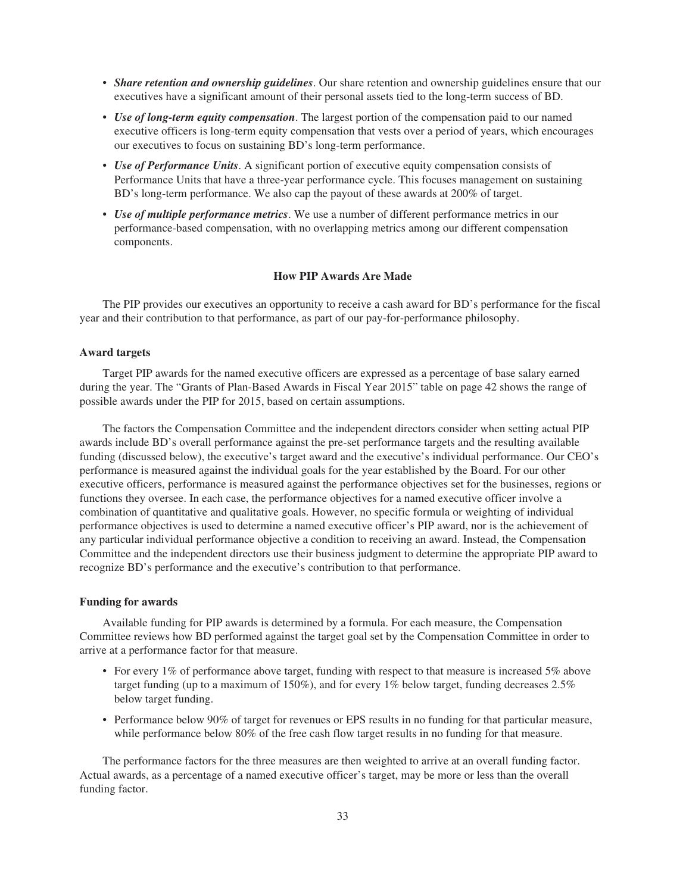- *Share retention and ownership guidelines*. Our share retention and ownership guidelines ensure that our executives have a significant amount of their personal assets tied to the long-term success of BD.
- *Use of long-term equity compensation*. The largest portion of the compensation paid to our named executive officers is long-term equity compensation that vests over a period of years, which encourages our executives to focus on sustaining BD's long-term performance.
- *Use of Performance Units*. A significant portion of executive equity compensation consists of Performance Units that have a three-year performance cycle. This focuses management on sustaining BD's long-term performance. We also cap the payout of these awards at 200% of target.
- *Use of multiple performance metrics*. We use a number of different performance metrics in our performance-based compensation, with no overlapping metrics among our different compensation components.

## **How PIP Awards Are Made**

The PIP provides our executives an opportunity to receive a cash award for BD's performance for the fiscal year and their contribution to that performance, as part of our pay-for-performance philosophy.

## **Award targets**

Target PIP awards for the named executive officers are expressed as a percentage of base salary earned during the year. The "Grants of Plan-Based Awards in Fiscal Year 2015" table on page 42 shows the range of possible awards under the PIP for 2015, based on certain assumptions.

The factors the Compensation Committee and the independent directors consider when setting actual PIP awards include BD's overall performance against the pre-set performance targets and the resulting available funding (discussed below), the executive's target award and the executive's individual performance. Our CEO's performance is measured against the individual goals for the year established by the Board. For our other executive officers, performance is measured against the performance objectives set for the businesses, regions or functions they oversee. In each case, the performance objectives for a named executive officer involve a combination of quantitative and qualitative goals. However, no specific formula or weighting of individual performance objectives is used to determine a named executive officer's PIP award, nor is the achievement of any particular individual performance objective a condition to receiving an award. Instead, the Compensation Committee and the independent directors use their business judgment to determine the appropriate PIP award to recognize BD's performance and the executive's contribution to that performance.

## **Funding for awards**

Available funding for PIP awards is determined by a formula. For each measure, the Compensation Committee reviews how BD performed against the target goal set by the Compensation Committee in order to arrive at a performance factor for that measure.

- For every 1% of performance above target, funding with respect to that measure is increased 5% above target funding (up to a maximum of 150%), and for every 1% below target, funding decreases 2.5% below target funding.
- Performance below 90% of target for revenues or EPS results in no funding for that particular measure, while performance below 80% of the free cash flow target results in no funding for that measure.

The performance factors for the three measures are then weighted to arrive at an overall funding factor. Actual awards, as a percentage of a named executive officer's target, may be more or less than the overall funding factor.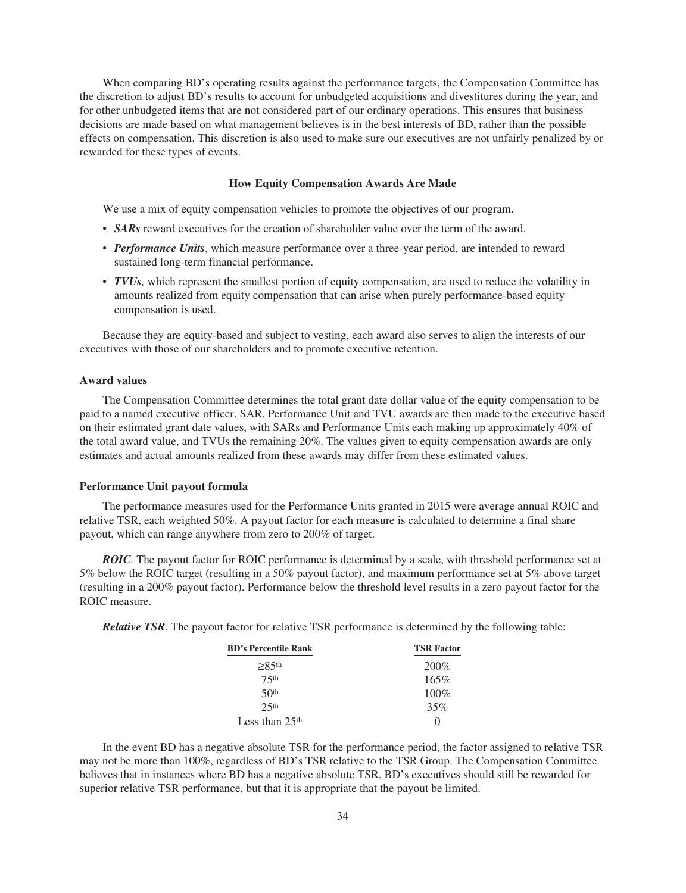When comparing BD's operating results against the performance targets, the Compensation Committee has the discretion to adjust BD's results to account for unbudgeted acquisitions and divestitures during the year, and for other unbudgeted items that are not considered part of our ordinary operations. This ensures that business decisions are made based on what management believes is in the best interests of BD, rather than the possible effects on compensation. This discretion is also used to make sure our executives are not unfairly penalized by or rewarded for these types of events.

## **How Equity Compensation Awards Are Made**

We use a mix of equity compensation vehicles to promote the objectives of our program.

- **SARs** reward executives for the creation of shareholder value over the term of the award.
- *Performance Units*, which measure performance over a three-year period, are intended to reward sustained long-term financial performance.
- *TVUs*, which represent the smallest portion of equity compensation, are used to reduce the volatility in amounts realized from equity compensation that can arise when purely performance-based equity compensation is used.

Because they are equity-based and subject to vesting, each award also serves to align the interests of our executives with those of our shareholders and to promote executive retention.

### **Award values**

The Compensation Committee determines the total grant date dollar value of the equity compensation to be paid to a named executive officer. SAR, Performance Unit and TVU awards are then made to the executive based on their estimated grant date values, with SARs and Performance Units each making up approximately 40% of the total award value, and TVUs the remaining 20%. The values given to equity compensation awards are only estimates and actual amounts realized from these awards may differ from these estimated values.

### **Performance Unit payout formula**

The performance measures used for the Performance Units granted in 2015 were average annual ROIC and relative TSR, each weighted 50%. A payout factor for each measure is calculated to determine a final share payout, which can range anywhere from zero to 200% of target.

*ROIC.* The payout factor for ROIC performance is determined by a scale, with threshold performance set at 5% below the ROIC target (resulting in a 50% payout factor), and maximum performance set at 5% above target (resulting in a 200% payout factor). Performance below the threshold level results in a zero payout factor for the ROIC measure.

*Relative TSR*. The payout factor for relative TSR performance is determined by the following table:

| <b>BD's Percentile Rank</b> | <b>TSR Factor</b> |  |  |
|-----------------------------|-------------------|--|--|
| $\geq$ 85th                 | $200\%$           |  |  |
| 75 <sup>th</sup>            | 165%              |  |  |
| 50 <sup>th</sup>            | $100\%$           |  |  |
| 2.5 <sup>th</sup>           | 35%               |  |  |
| Less than $25th$            | $\mathbf{0}$      |  |  |

In the event BD has a negative absolute TSR for the performance period, the factor assigned to relative TSR may not be more than 100%, regardless of BD's TSR relative to the TSR Group. The Compensation Committee believes that in instances where BD has a negative absolute TSR, BD's executives should still be rewarded for superior relative TSR performance, but that it is appropriate that the payout be limited.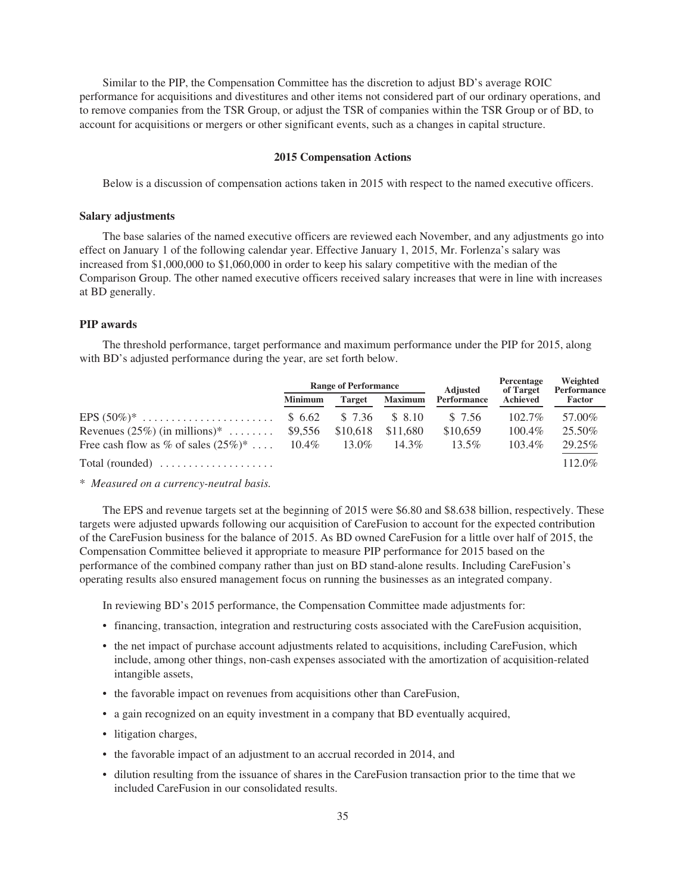Similar to the PIP, the Compensation Committee has the discretion to adjust BD's average ROIC performance for acquisitions and divestitures and other items not considered part of our ordinary operations, and to remove companies from the TSR Group, or adjust the TSR of companies within the TSR Group or of BD, to account for acquisitions or mergers or other significant events, such as a changes in capital structure.

### **2015 Compensation Actions**

Below is a discussion of compensation actions taken in 2015 with respect to the named executive officers.

### **Salary adjustments**

The base salaries of the named executive officers are reviewed each November, and any adjustments go into effect on January 1 of the following calendar year. Effective January 1, 2015, Mr. Forlenza's salary was increased from \$1,000,000 to \$1,060,000 in order to keep his salary competitive with the median of the Comparison Group. The other named executive officers received salary increases that were in line with increases at BD generally.

## **PIP awards**

The threshold performance, target performance and maximum performance under the PIP for 2015, along with BD's adjusted performance during the year, are set forth below.

|                                                       |                | <b>Range of Performance</b> |                | <b>Adjusted</b> | Percentage<br>of Target | Weighted<br>Performance<br>Factor |  |
|-------------------------------------------------------|----------------|-----------------------------|----------------|-----------------|-------------------------|-----------------------------------|--|
|                                                       | <b>Minimum</b> | <b>Target</b>               | <b>Maximum</b> | Performance     | Achieved                |                                   |  |
|                                                       |                | \$ 7.36                     | \$ 8.10        | \$ 7.56         | $102.7\%$               | 57.00%                            |  |
| Revenues $(25\%)$ (in millions)*  \$9,556             |                | \$10.618                    | \$11.680       | \$10,659        | $100.4\%$               | 25.50%                            |  |
| Free cash flow as % of sales $(25\%)^*$ 10.4%         |                | 13.0%                       | $14.3\%$       | $13.5\%$        | $103.4\%$               | 29.25%                            |  |
| $Total (rounded) \dots \dots \dots \dots \dots \dots$ |                |                             |                |                 |                         | $112.0\%$                         |  |

\* *Measured on a currency-neutral basis.*

The EPS and revenue targets set at the beginning of 2015 were \$6.80 and \$8.638 billion, respectively. These targets were adjusted upwards following our acquisition of CareFusion to account for the expected contribution of the CareFusion business for the balance of 2015. As BD owned CareFusion for a little over half of 2015, the Compensation Committee believed it appropriate to measure PIP performance for 2015 based on the performance of the combined company rather than just on BD stand-alone results. Including CareFusion's operating results also ensured management focus on running the businesses as an integrated company.

In reviewing BD's 2015 performance, the Compensation Committee made adjustments for:

- financing, transaction, integration and restructuring costs associated with the CareFusion acquisition,
- the net impact of purchase account adjustments related to acquisitions, including CareFusion, which include, among other things, non-cash expenses associated with the amortization of acquisition-related intangible assets,
- the favorable impact on revenues from acquisitions other than CareFusion,
- a gain recognized on an equity investment in a company that BD eventually acquired,
- litigation charges,
- the favorable impact of an adjustment to an accrual recorded in 2014, and
- dilution resulting from the issuance of shares in the CareFusion transaction prior to the time that we included CareFusion in our consolidated results.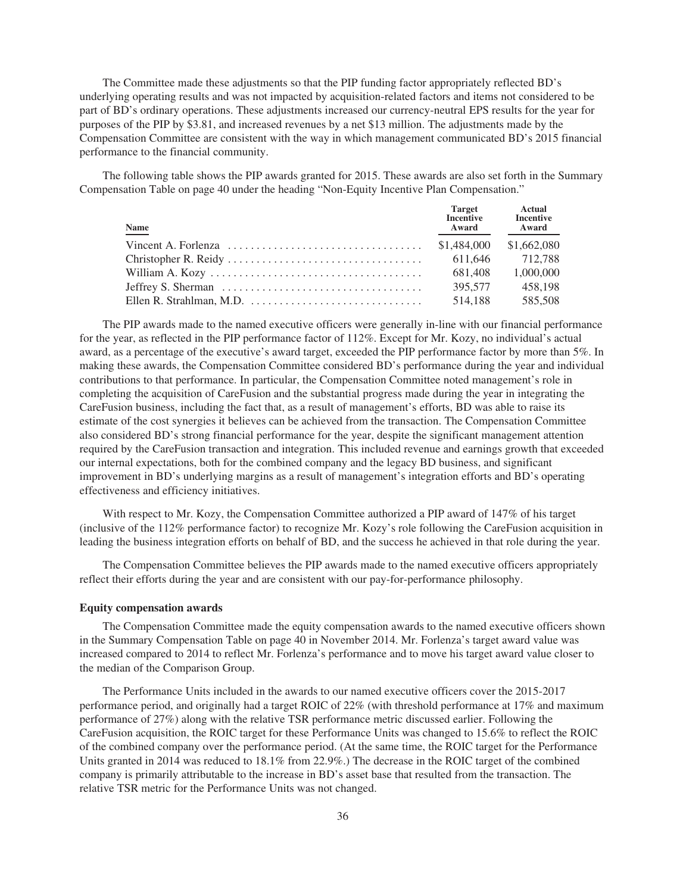The Committee made these adjustments so that the PIP funding factor appropriately reflected BD's underlying operating results and was not impacted by acquisition-related factors and items not considered to be part of BD's ordinary operations. These adjustments increased our currency-neutral EPS results for the year for purposes of the PIP by \$3.81, and increased revenues by a net \$13 million. The adjustments made by the Compensation Committee are consistent with the way in which management communicated BD's 2015 financial performance to the financial community.

The following table shows the PIP awards granted for 2015. These awards are also set forth in the Summary Compensation Table on page 40 under the heading "Non-Equity Incentive Plan Compensation."

| <b>Name</b> | <b>Target</b><br><b>Incentive</b><br>Award | <b>Actual</b><br><b>Incentive</b><br>Award |
|-------------|--------------------------------------------|--------------------------------------------|
|             | \$1,484,000                                | \$1,662,080                                |
|             | 611.646                                    | 712.788                                    |
|             | 681.408                                    | 1,000,000                                  |
|             | 395,577                                    | 458.198                                    |
|             | 514.188                                    | 585,508                                    |

The PIP awards made to the named executive officers were generally in-line with our financial performance for the year, as reflected in the PIP performance factor of 112%. Except for Mr. Kozy, no individual's actual award, as a percentage of the executive's award target, exceeded the PIP performance factor by more than 5%. In making these awards, the Compensation Committee considered BD's performance during the year and individual contributions to that performance. In particular, the Compensation Committee noted management's role in completing the acquisition of CareFusion and the substantial progress made during the year in integrating the CareFusion business, including the fact that, as a result of management's efforts, BD was able to raise its estimate of the cost synergies it believes can be achieved from the transaction. The Compensation Committee also considered BD's strong financial performance for the year, despite the significant management attention required by the CareFusion transaction and integration. This included revenue and earnings growth that exceeded our internal expectations, both for the combined company and the legacy BD business, and significant improvement in BD's underlying margins as a result of management's integration efforts and BD's operating effectiveness and efficiency initiatives.

With respect to Mr. Kozy, the Compensation Committee authorized a PIP award of 147% of his target (inclusive of the 112% performance factor) to recognize Mr. Kozy's role following the CareFusion acquisition in leading the business integration efforts on behalf of BD, and the success he achieved in that role during the year.

The Compensation Committee believes the PIP awards made to the named executive officers appropriately reflect their efforts during the year and are consistent with our pay-for-performance philosophy.

### **Equity compensation awards**

The Compensation Committee made the equity compensation awards to the named executive officers shown in the Summary Compensation Table on page 40 in November 2014. Mr. Forlenza's target award value was increased compared to 2014 to reflect Mr. Forlenza's performance and to move his target award value closer to the median of the Comparison Group.

The Performance Units included in the awards to our named executive officers cover the 2015-2017 performance period, and originally had a target ROIC of 22% (with threshold performance at 17% and maximum performance of 27%) along with the relative TSR performance metric discussed earlier. Following the CareFusion acquisition, the ROIC target for these Performance Units was changed to 15.6% to reflect the ROIC of the combined company over the performance period. (At the same time, the ROIC target for the Performance Units granted in 2014 was reduced to 18.1% from 22.9%.) The decrease in the ROIC target of the combined company is primarily attributable to the increase in BD's asset base that resulted from the transaction. The relative TSR metric for the Performance Units was not changed.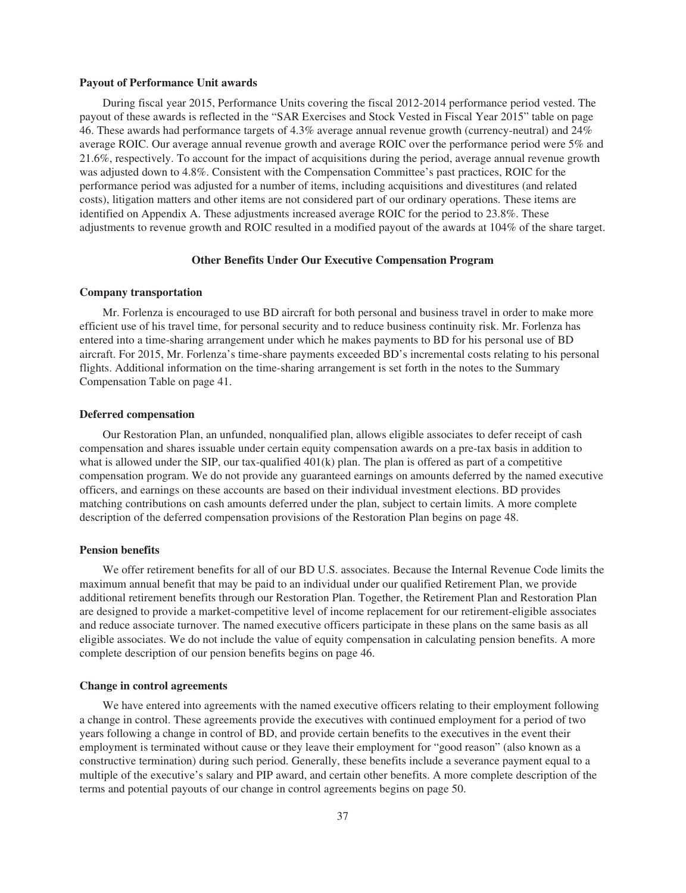#### **Payout of Performance Unit awards**

During fiscal year 2015, Performance Units covering the fiscal 2012-2014 performance period vested. The payout of these awards is reflected in the "SAR Exercises and Stock Vested in Fiscal Year 2015" table on page 46. These awards had performance targets of 4.3% average annual revenue growth (currency-neutral) and 24% average ROIC. Our average annual revenue growth and average ROIC over the performance period were 5% and 21.6%, respectively. To account for the impact of acquisitions during the period, average annual revenue growth was adjusted down to 4.8%. Consistent with the Compensation Committee's past practices, ROIC for the performance period was adjusted for a number of items, including acquisitions and divestitures (and related costs), litigation matters and other items are not considered part of our ordinary operations. These items are identified on Appendix A. These adjustments increased average ROIC for the period to 23.8%. These adjustments to revenue growth and ROIC resulted in a modified payout of the awards at 104% of the share target.

# **Other Benefits Under Our Executive Compensation Program**

## **Company transportation**

Mr. Forlenza is encouraged to use BD aircraft for both personal and business travel in order to make more efficient use of his travel time, for personal security and to reduce business continuity risk. Mr. Forlenza has entered into a time-sharing arrangement under which he makes payments to BD for his personal use of BD aircraft. For 2015, Mr. Forlenza's time-share payments exceeded BD's incremental costs relating to his personal flights. Additional information on the time-sharing arrangement is set forth in the notes to the Summary Compensation Table on page 41.

### **Deferred compensation**

Our Restoration Plan, an unfunded, nonqualified plan, allows eligible associates to defer receipt of cash compensation and shares issuable under certain equity compensation awards on a pre-tax basis in addition to what is allowed under the SIP, our tax-qualified  $401(k)$  plan. The plan is offered as part of a competitive compensation program. We do not provide any guaranteed earnings on amounts deferred by the named executive officers, and earnings on these accounts are based on their individual investment elections. BD provides matching contributions on cash amounts deferred under the plan, subject to certain limits. A more complete description of the deferred compensation provisions of the Restoration Plan begins on page 48.

### **Pension benefits**

We offer retirement benefits for all of our BD U.S. associates. Because the Internal Revenue Code limits the maximum annual benefit that may be paid to an individual under our qualified Retirement Plan, we provide additional retirement benefits through our Restoration Plan. Together, the Retirement Plan and Restoration Plan are designed to provide a market-competitive level of income replacement for our retirement-eligible associates and reduce associate turnover. The named executive officers participate in these plans on the same basis as all eligible associates. We do not include the value of equity compensation in calculating pension benefits. A more complete description of our pension benefits begins on page 46.

#### **Change in control agreements**

We have entered into agreements with the named executive officers relating to their employment following a change in control. These agreements provide the executives with continued employment for a period of two years following a change in control of BD, and provide certain benefits to the executives in the event their employment is terminated without cause or they leave their employment for "good reason" (also known as a constructive termination) during such period. Generally, these benefits include a severance payment equal to a multiple of the executive's salary and PIP award, and certain other benefits. A more complete description of the terms and potential payouts of our change in control agreements begins on page 50.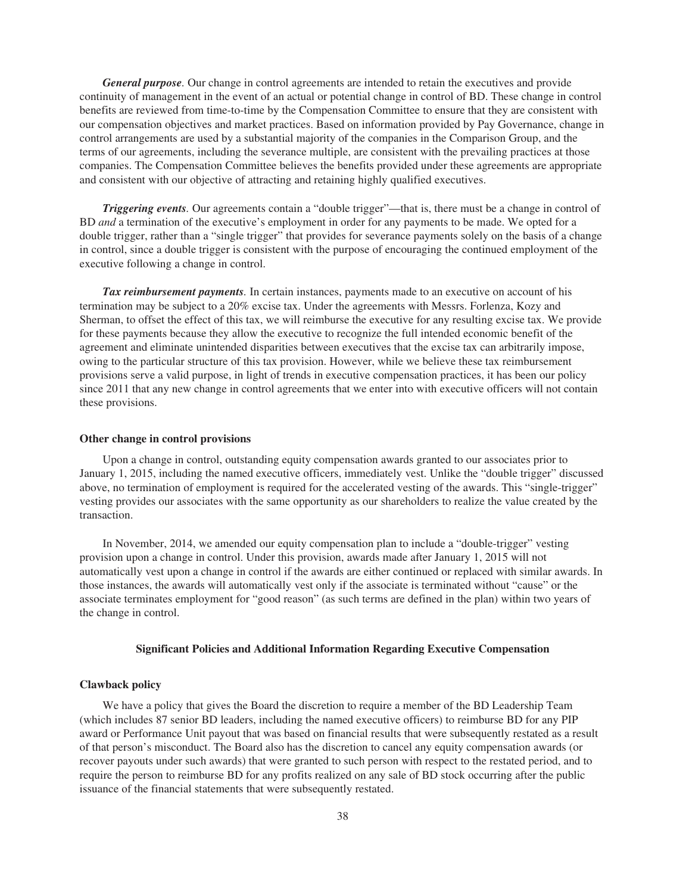*General purpose.* Our change in control agreements are intended to retain the executives and provide continuity of management in the event of an actual or potential change in control of BD. These change in control benefits are reviewed from time-to-time by the Compensation Committee to ensure that they are consistent with our compensation objectives and market practices. Based on information provided by Pay Governance, change in control arrangements are used by a substantial majority of the companies in the Comparison Group, and the terms of our agreements, including the severance multiple, are consistent with the prevailing practices at those companies. The Compensation Committee believes the benefits provided under these agreements are appropriate and consistent with our objective of attracting and retaining highly qualified executives.

*Triggering events.* Our agreements contain a "double trigger"—that is, there must be a change in control of BD *and* a termination of the executive's employment in order for any payments to be made. We opted for a double trigger, rather than a "single trigger" that provides for severance payments solely on the basis of a change in control, since a double trigger is consistent with the purpose of encouraging the continued employment of the executive following a change in control.

*Tax reimbursement payments.* In certain instances, payments made to an executive on account of his termination may be subject to a 20% excise tax. Under the agreements with Messrs. Forlenza, Kozy and Sherman, to offset the effect of this tax, we will reimburse the executive for any resulting excise tax. We provide for these payments because they allow the executive to recognize the full intended economic benefit of the agreement and eliminate unintended disparities between executives that the excise tax can arbitrarily impose, owing to the particular structure of this tax provision. However, while we believe these tax reimbursement provisions serve a valid purpose, in light of trends in executive compensation practices, it has been our policy since 2011 that any new change in control agreements that we enter into with executive officers will not contain these provisions.

### **Other change in control provisions**

Upon a change in control, outstanding equity compensation awards granted to our associates prior to January 1, 2015, including the named executive officers, immediately vest. Unlike the "double trigger" discussed above, no termination of employment is required for the accelerated vesting of the awards. This "single-trigger" vesting provides our associates with the same opportunity as our shareholders to realize the value created by the transaction.

In November, 2014, we amended our equity compensation plan to include a "double-trigger" vesting provision upon a change in control. Under this provision, awards made after January 1, 2015 will not automatically vest upon a change in control if the awards are either continued or replaced with similar awards. In those instances, the awards will automatically vest only if the associate is terminated without "cause" or the associate terminates employment for "good reason" (as such terms are defined in the plan) within two years of the change in control.

## **Significant Policies and Additional Information Regarding Executive Compensation**

#### **Clawback policy**

We have a policy that gives the Board the discretion to require a member of the BD Leadership Team (which includes 87 senior BD leaders, including the named executive officers) to reimburse BD for any PIP award or Performance Unit payout that was based on financial results that were subsequently restated as a result of that person's misconduct. The Board also has the discretion to cancel any equity compensation awards (or recover payouts under such awards) that were granted to such person with respect to the restated period, and to require the person to reimburse BD for any profits realized on any sale of BD stock occurring after the public issuance of the financial statements that were subsequently restated.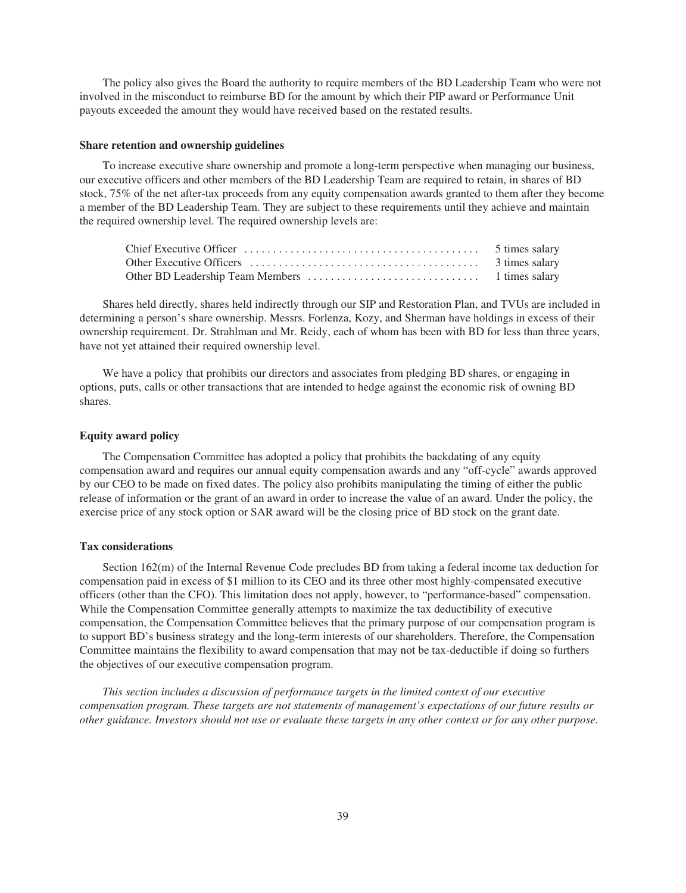The policy also gives the Board the authority to require members of the BD Leadership Team who were not involved in the misconduct to reimburse BD for the amount by which their PIP award or Performance Unit payouts exceeded the amount they would have received based on the restated results.

#### **Share retention and ownership guidelines**

To increase executive share ownership and promote a long-term perspective when managing our business, our executive officers and other members of the BD Leadership Team are required to retain, in shares of BD stock, 75% of the net after-tax proceeds from any equity compensation awards granted to them after they become a member of the BD Leadership Team. They are subject to these requirements until they achieve and maintain the required ownership level. The required ownership levels are:

Shares held directly, shares held indirectly through our SIP and Restoration Plan, and TVUs are included in determining a person's share ownership. Messrs. Forlenza, Kozy, and Sherman have holdings in excess of their ownership requirement. Dr. Strahlman and Mr. Reidy, each of whom has been with BD for less than three years, have not yet attained their required ownership level.

We have a policy that prohibits our directors and associates from pledging BD shares, or engaging in options, puts, calls or other transactions that are intended to hedge against the economic risk of owning BD shares.

## **Equity award policy**

The Compensation Committee has adopted a policy that prohibits the backdating of any equity compensation award and requires our annual equity compensation awards and any "off-cycle" awards approved by our CEO to be made on fixed dates. The policy also prohibits manipulating the timing of either the public release of information or the grant of an award in order to increase the value of an award. Under the policy, the exercise price of any stock option or SAR award will be the closing price of BD stock on the grant date.

### **Tax considerations**

Section 162(m) of the Internal Revenue Code precludes BD from taking a federal income tax deduction for compensation paid in excess of \$1 million to its CEO and its three other most highly-compensated executive officers (other than the CFO). This limitation does not apply, however, to "performance-based" compensation. While the Compensation Committee generally attempts to maximize the tax deductibility of executive compensation, the Compensation Committee believes that the primary purpose of our compensation program is to support BD's business strategy and the long-term interests of our shareholders. Therefore, the Compensation Committee maintains the flexibility to award compensation that may not be tax-deductible if doing so furthers the objectives of our executive compensation program.

*This section includes a discussion of performance targets in the limited context of our executive compensation program. These targets are not statements of management's expectations of our future results or other guidance. Investors should not use or evaluate these targets in any other context or for any other purpose.*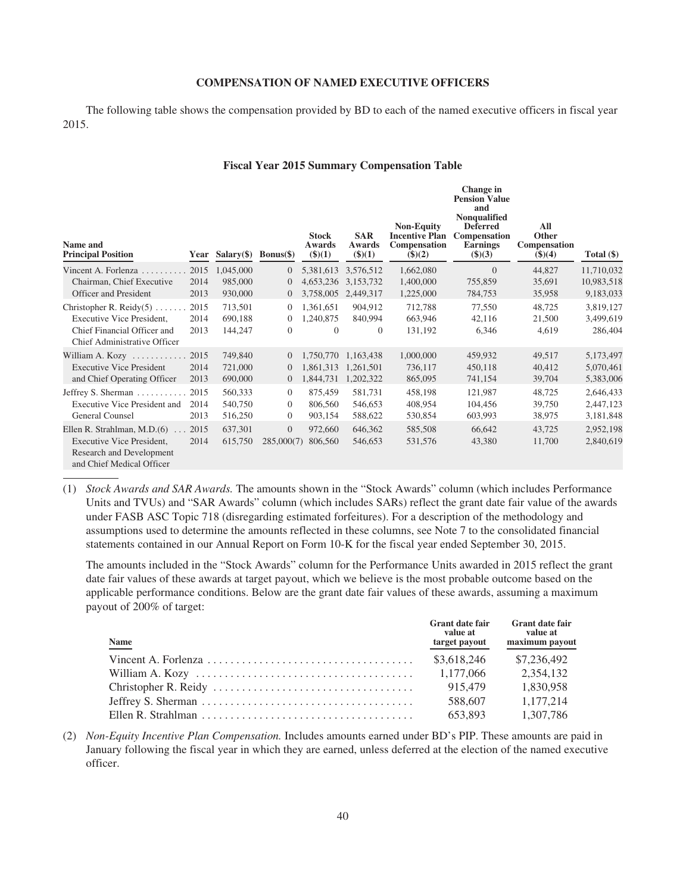## **COMPENSATION OF NAMED EXECUTIVE OFFICERS**

The following table shows the compensation provided by BD to each of the named executive officers in fiscal year 2015.

### **Fiscal Year 2015 Summary Compensation Table**

| Name and<br><b>Principal Position</b>                                                                                       | Year                 | $Salary(\text{\$})$           | $Bonus(\$)$                            | <b>Stock</b><br>Awards<br>(3)(1)         | <b>SAR</b><br>Awards<br>(3)(1) | <b>Non-Equity</b><br><b>Incentive Plan</b><br>Compensation<br>$($ \$ $)(2)$ | Change in<br><b>Pension Value</b><br>and<br><b>Nonqualified</b><br><b>Deferred</b><br>Compensation<br><b>Earnings</b><br>$\$)(3)$ | All<br><b>Other</b><br>Compensation<br>\$)(4) | Total (\$)                        |
|-----------------------------------------------------------------------------------------------------------------------------|----------------------|-------------------------------|----------------------------------------|------------------------------------------|--------------------------------|-----------------------------------------------------------------------------|-----------------------------------------------------------------------------------------------------------------------------------|-----------------------------------------------|-----------------------------------|
| Vincent A. Forlenza                                                                                                         | 2015                 | 1,045,000                     | $\mathbf{0}$                           | 5,381,613                                | 3,576,512                      | 1,662,080                                                                   | $\overline{0}$                                                                                                                    | 44,827                                        | 11,710,032                        |
| Chairman, Chief Executive                                                                                                   | 2014                 | 985,000                       | $\overline{0}$                         | 4,653,236                                | 3,153,732                      | 1,400,000                                                                   | 755,859                                                                                                                           | 35,691                                        | 10,983,518                        |
| Officer and President                                                                                                       | 2013                 | 930,000                       | $\mathbf{0}$                           | 3,758,005                                | 2,449,317                      | 1,225,000                                                                   | 784,753                                                                                                                           | 35,958                                        | 9,183,033                         |
| Christopher R. Reidy $(5)$<br>Executive Vice President.<br>Chief Financial Officer and<br>Chief Administrative Officer      | 2015<br>2014<br>2013 | 713,501<br>690,188<br>144,247 | $\overline{0}$<br>$\theta$<br>$\theta$ | 1,361,651<br>1,240,875<br>$\overline{0}$ | 904,912<br>840,994<br>$\theta$ | 712,788<br>663,946<br>131,192                                               | 77,550<br>42,116<br>6,346                                                                                                         | 48,725<br>21,500<br>4,619                     | 3,819,127<br>3,499,619<br>286,404 |
| William A. Kozy                                                                                                             | 2015                 | 749,840                       | $\overline{0}$                         | 1,750,770                                | 1,163,438                      | 1,000,000                                                                   | 459,932                                                                                                                           | 49,517                                        | 5,173,497                         |
| <b>Executive Vice President</b>                                                                                             | 2014                 | 721,000                       | $\overline{0}$                         | 1,861,313                                | 1,261,501                      | 736,117                                                                     | 450,118                                                                                                                           | 40,412                                        | 5,070,461                         |
| and Chief Operating Officer                                                                                                 | 2013                 | 690,000                       | $\overline{0}$                         | 1,844,731                                | 1,202,322                      | 865,095                                                                     | 741,154                                                                                                                           | 39,704                                        | 5,383,006                         |
| Jeffrey S. Sherman                                                                                                          | 2015                 | 560,333                       | $\overline{0}$                         | 875,459                                  | 581,731                        | 458,198                                                                     | 121,987                                                                                                                           | 48,725                                        | 2,646,433                         |
| <b>Executive Vice President and</b>                                                                                         | 2014                 | 540,750                       | $\mathbf{0}$                           | 806,560                                  | 546,653                        | 408,954                                                                     | 104,456                                                                                                                           | 39,750                                        | 2,447,123                         |
| General Counsel                                                                                                             | 2013                 | 516,250                       | $\theta$                               | 903,154                                  | 588,622                        | 530,854                                                                     | 603,993                                                                                                                           | 38,975                                        | 3,181,848                         |
| Ellen R. Strahlman, M.D.(6)<br>$\sim$<br>Executive Vice President,<br>Research and Development<br>and Chief Medical Officer | 2015<br>2014         | 637,301<br>615,750            | $\overline{0}$<br>285,000(7)           | 972,660<br>806,560                       | 646,362<br>546,653             | 585,508<br>531,576                                                          | 66,642<br>43,380                                                                                                                  | 43,725<br>11,700                              | 2,952,198<br>2,840,619            |

(1) *Stock Awards and SAR Awards.* The amounts shown in the "Stock Awards" column (which includes Performance Units and TVUs) and "SAR Awards" column (which includes SARs) reflect the grant date fair value of the awards under FASB ASC Topic 718 (disregarding estimated forfeitures). For a description of the methodology and assumptions used to determine the amounts reflected in these columns, see Note 7 to the consolidated financial statements contained in our Annual Report on Form 10-K for the fiscal year ended September 30, 2015.

The amounts included in the "Stock Awards" column for the Performance Units awarded in 2015 reflect the grant date fair values of these awards at target payout, which we believe is the most probable outcome based on the applicable performance conditions. Below are the grant date fair values of these awards, assuming a maximum payout of 200% of target:

| <b>Name</b> | <b>Grant date fair</b><br>value at<br>target payout | <b>Grant date fair</b><br>value at<br>maximum payout |
|-------------|-----------------------------------------------------|------------------------------------------------------|
|             | \$3,618,246                                         | \$7,236,492                                          |
|             | 1.177.066                                           | 2,354,132                                            |
|             | 915.479                                             | 1.830.958                                            |
|             | 588,607                                             | 1.177.214                                            |
|             | 653.893                                             | 1.307.786                                            |

(2) *Non-Equity Incentive Plan Compensation.* Includes amounts earned under BD's PIP. These amounts are paid in January following the fiscal year in which they are earned, unless deferred at the election of the named executive officer.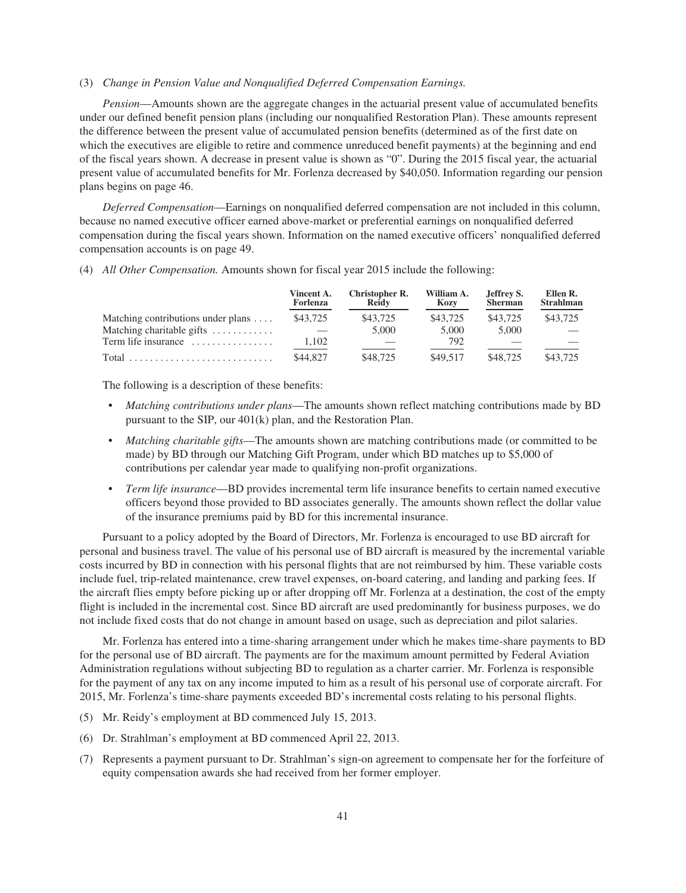#### (3) *Change in Pension Value and Nonqualified Deferred Compensation Earnings.*

*Pension*—Amounts shown are the aggregate changes in the actuarial present value of accumulated benefits under our defined benefit pension plans (including our nonqualified Restoration Plan). These amounts represent the difference between the present value of accumulated pension benefits (determined as of the first date on which the executives are eligible to retire and commence unreduced benefit payments) at the beginning and end of the fiscal years shown. A decrease in present value is shown as "0". During the 2015 fiscal year, the actuarial present value of accumulated benefits for Mr. Forlenza decreased by \$40,050. Information regarding our pension plans begins on page 46.

*Deferred Compensation*—Earnings on nonqualified deferred compensation are not included in this column, because no named executive officer earned above-market or preferential earnings on nonqualified deferred compensation during the fiscal years shown. Information on the named executive officers' nonqualified deferred compensation accounts is on page 49.

(4) *All Other Compensation.* Amounts shown for fiscal year 2015 include the following:

|                                            | Vincent A.<br>Forlenza | Christopher R.<br><b>Reidy</b> | William A.<br>Kozy | Jeffrey S.<br><b>Sherman</b> | Ellen R.<br><b>Strahlman</b> |
|--------------------------------------------|------------------------|--------------------------------|--------------------|------------------------------|------------------------------|
| Matching contributions under plans $\dots$ | \$43,725               | \$43,725                       | \$43,725           | \$43,725                     | \$43,725                     |
| Matching charitable gifts                  |                        | 5,000                          | 5,000              | 5,000                        |                              |
| Term life insurance                        | 1.102                  |                                | 792                |                              |                              |
|                                            | \$44,827               | \$48,725                       | \$49.517           | \$48,725                     | \$43,725                     |

The following is a description of these benefits:

- *Matching contributions under plans*—The amounts shown reflect matching contributions made by BD pursuant to the SIP, our 401(k) plan, and the Restoration Plan.
- *Matching charitable gifts*—The amounts shown are matching contributions made (or committed to be made) by BD through our Matching Gift Program, under which BD matches up to \$5,000 of contributions per calendar year made to qualifying non-profit organizations.
- *Term life insurance*—BD provides incremental term life insurance benefits to certain named executive officers beyond those provided to BD associates generally. The amounts shown reflect the dollar value of the insurance premiums paid by BD for this incremental insurance.

Pursuant to a policy adopted by the Board of Directors, Mr. Forlenza is encouraged to use BD aircraft for personal and business travel. The value of his personal use of BD aircraft is measured by the incremental variable costs incurred by BD in connection with his personal flights that are not reimbursed by him. These variable costs include fuel, trip-related maintenance, crew travel expenses, on-board catering, and landing and parking fees. If the aircraft flies empty before picking up or after dropping off Mr. Forlenza at a destination, the cost of the empty flight is included in the incremental cost. Since BD aircraft are used predominantly for business purposes, we do not include fixed costs that do not change in amount based on usage, such as depreciation and pilot salaries.

Mr. Forlenza has entered into a time-sharing arrangement under which he makes time-share payments to BD for the personal use of BD aircraft. The payments are for the maximum amount permitted by Federal Aviation Administration regulations without subjecting BD to regulation as a charter carrier. Mr. Forlenza is responsible for the payment of any tax on any income imputed to him as a result of his personal use of corporate aircraft. For 2015, Mr. Forlenza's time-share payments exceeded BD's incremental costs relating to his personal flights.

- (5) Mr. Reidy's employment at BD commenced July 15, 2013.
- (6) Dr. Strahlman's employment at BD commenced April 22, 2013.
- (7) Represents a payment pursuant to Dr. Strahlman's sign-on agreement to compensate her for the forfeiture of equity compensation awards she had received from her former employer.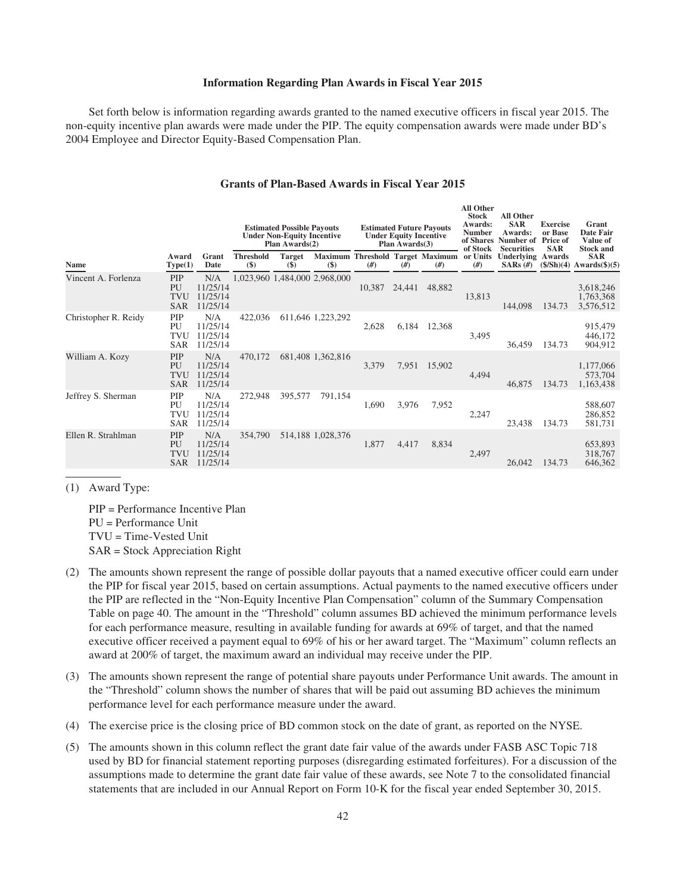### **Information Regarding Plan Awards in Fiscal Year 2015**

Set forth below is information regarding awards granted to the named executive officers in fiscal year 2015. The non-equity incentive plan awards were made under the PIP. The equity compensation awards were made under BD's 2004 Employee and Director Equity-Based Compensation Plan.

|                             |                                       |                                         | <b>Estimated Possible Payouts</b><br><b>Under Non-Equity Incentive</b><br>Plan Awards(2) |                              | <b>Estimated Future Payouts</b><br><b>Under Equity Incentive</b><br>Plan Awards(3) |        |        | Ali Other<br><b>Stock</b><br>Awards:<br><b>Number</b><br>of Shares<br>of Stock | <b>All Other</b><br><b>SAR</b><br>Awards:<br>Number of<br><b>Securities</b> | <b>Exercise</b><br>or Base<br><b>Price of</b><br><b>SAR</b> | Grant<br><b>Date Fair</b><br>Value of<br><b>Stock and</b> |                                                                                |
|-----------------------------|---------------------------------------|-----------------------------------------|------------------------------------------------------------------------------------------|------------------------------|------------------------------------------------------------------------------------|--------|--------|--------------------------------------------------------------------------------|-----------------------------------------------------------------------------|-------------------------------------------------------------|-----------------------------------------------------------|--------------------------------------------------------------------------------|
| $\mathbf{r}$<br><b>Name</b> | Award<br>Type(1)                      | Grant<br>Date                           | <b>Threshold</b><br>$(\$)$                                                               | <b>Target</b><br><b>(\$)</b> | $(\$)$                                                                             | #)     | #)     | Maximum Threshold Target Maximum<br>#)                                         | or Units<br>#)                                                              | Underlying<br>$SARS (\#)$                                   | Awards                                                    | <b>SAR</b><br>$(\frac{\xi}{\text{Sh}})(4)$ Awards $(\frac{\xi}{\text{Sh}})(5)$ |
| Vincent A. Forlenza         | PIP<br>PU<br>TVU<br><b>SAR</b>        | N/A<br>11/25/14<br>11/25/14<br>11/25/14 |                                                                                          |                              | 1,023,960 1,484,000 2,968,000                                                      | 10,387 | 24,441 | 48,882                                                                         | 13,813                                                                      | 144,098                                                     | 134.73                                                    | 3,618,246<br>1,763,368<br>3,576,512                                            |
| Christopher R. Reidy        | PIP<br>PU<br>TVU<br>SAR               | N/A<br>11/25/14<br>11/25/14<br>11/25/14 | 422,036                                                                                  |                              | 611,646 1,223,292                                                                  | 2,628  | 6,184  | 12,368                                                                         | 3,495                                                                       | 36,459                                                      | 134.73                                                    | 915,479<br>446,172<br>904,912                                                  |
| William A. Kozy             | PIP<br>PU<br>TVU<br><b>SAR</b>        | N/A<br>11/25/14<br>11/25/14<br>11/25/14 | 470,172                                                                                  |                              | 681,408 1,362,816                                                                  | 3,379  | 7,951  | 15,902                                                                         | 4,494                                                                       | 46,875                                                      | 134.73                                                    | 1,177,066<br>573,704<br>1,163,438                                              |
| Jeffrey S. Sherman          | PIP<br>PU<br>TVU<br><b>SAR</b>        | N/A<br>11/25/14<br>11/25/14<br>11/25/14 | 272,948                                                                                  | 395,577                      | 791,154                                                                            | 1,690  | 3,976  | 7,952                                                                          | 2,247                                                                       | 23,438                                                      | 134.73                                                    | 588,607<br>286,852<br>581,731                                                  |
| Ellen R. Strahlman          | PIP<br>PU<br><b>TVU</b><br><b>SAR</b> | N/A<br>11/25/14<br>11/25/14<br>11/25/14 | 354,790                                                                                  |                              | 514,188 1,028,376                                                                  | 1,877  | 4,417  | 8,834                                                                          | 2,497                                                                       | 26,042                                                      | 134.73                                                    | 653,893<br>318,767<br>646,362                                                  |

## **Grants of Plan-Based Awards in Fiscal Year 2015**

**All Other**

(1) Award Type:

PIP = Performance Incentive Plan PU = Performance Unit TVU = Time-Vested Unit SAR = Stock Appreciation Right

- (2) The amounts shown represent the range of possible dollar payouts that a named executive officer could earn under the PIP for fiscal year 2015, based on certain assumptions. Actual payments to the named executive officers under the PIP are reflected in the "Non-Equity Incentive Plan Compensation" column of the Summary Compensation Table on page 40. The amount in the "Threshold" column assumes BD achieved the minimum performance levels for each performance measure, resulting in available funding for awards at 69% of target, and that the named executive officer received a payment equal to 69% of his or her award target. The "Maximum" column reflects an award at 200% of target, the maximum award an individual may receive under the PIP.
- (3) The amounts shown represent the range of potential share payouts under Performance Unit awards. The amount in the "Threshold" column shows the number of shares that will be paid out assuming BD achieves the minimum performance level for each performance measure under the award.
- (4) The exercise price is the closing price of BD common stock on the date of grant, as reported on the NYSE.
- (5) The amounts shown in this column reflect the grant date fair value of the awards under FASB ASC Topic 718 used by BD for financial statement reporting purposes (disregarding estimated forfeitures). For a discussion of the assumptions made to determine the grant date fair value of these awards, see Note 7 to the consolidated financial statements that are included in our Annual Report on Form 10-K for the fiscal year ended September 30, 2015.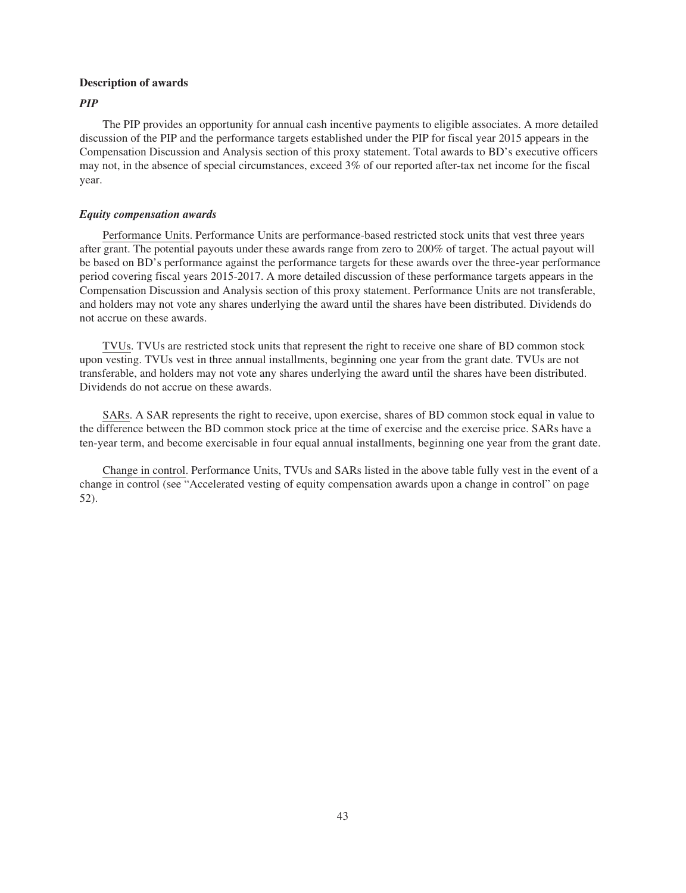### **Description of awards**

## *PIP*

The PIP provides an opportunity for annual cash incentive payments to eligible associates. A more detailed discussion of the PIP and the performance targets established under the PIP for fiscal year 2015 appears in the Compensation Discussion and Analysis section of this proxy statement. Total awards to BD's executive officers may not, in the absence of special circumstances, exceed 3% of our reported after-tax net income for the fiscal year.

### *Equity compensation awards*

Performance Units. Performance Units are performance-based restricted stock units that vest three years after grant. The potential payouts under these awards range from zero to 200% of target. The actual payout will be based on BD's performance against the performance targets for these awards over the three-year performance period covering fiscal years 2015-2017. A more detailed discussion of these performance targets appears in the Compensation Discussion and Analysis section of this proxy statement. Performance Units are not transferable, and holders may not vote any shares underlying the award until the shares have been distributed. Dividends do not accrue on these awards.

TVUs. TVUs are restricted stock units that represent the right to receive one share of BD common stock upon vesting. TVUs vest in three annual installments, beginning one year from the grant date. TVUs are not transferable, and holders may not vote any shares underlying the award until the shares have been distributed. Dividends do not accrue on these awards.

SARs. A SAR represents the right to receive, upon exercise, shares of BD common stock equal in value to the difference between the BD common stock price at the time of exercise and the exercise price. SARs have a ten-year term, and become exercisable in four equal annual installments, beginning one year from the grant date.

Change in control. Performance Units, TVUs and SARs listed in the above table fully vest in the event of a change in control (see "Accelerated vesting of equity compensation awards upon a change in control" on page 52).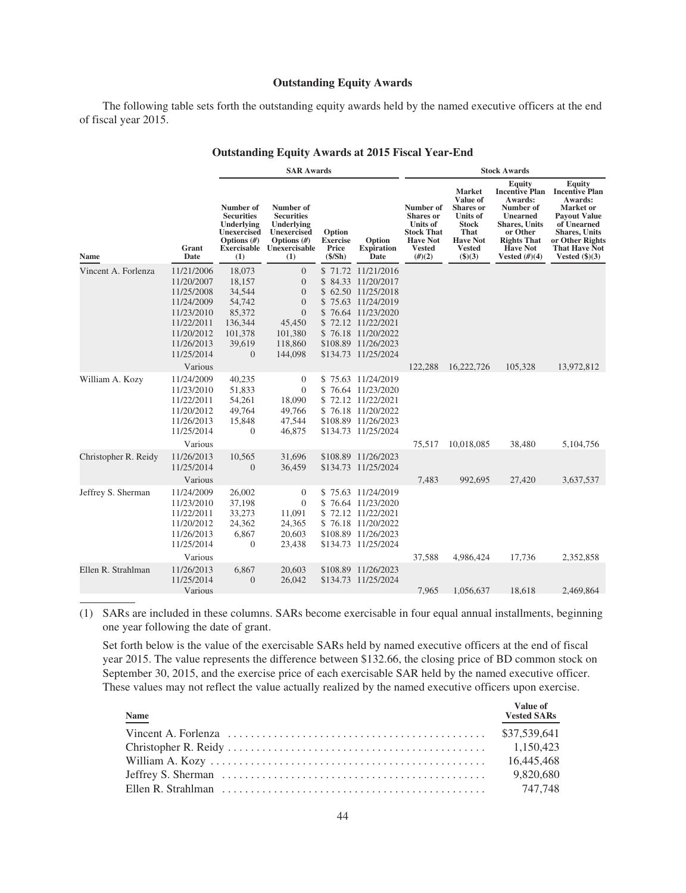### **Outstanding Equity Awards**

The following table sets forth the outstanding equity awards held by the named executive officers at the end of fiscal year 2015.

|                      |                                                                                                                                       |                                                                                                  | <b>SAR Awards</b>                                                                                                         |                                               |                                                                                                                                                                                                      | <b>Stock Awards</b>                                                                                                 |                                                                                                                                        |                                                                                                                                                                              |                                                                                                                                                                                              |
|----------------------|---------------------------------------------------------------------------------------------------------------------------------------|--------------------------------------------------------------------------------------------------|---------------------------------------------------------------------------------------------------------------------------|-----------------------------------------------|------------------------------------------------------------------------------------------------------------------------------------------------------------------------------------------------------|---------------------------------------------------------------------------------------------------------------------|----------------------------------------------------------------------------------------------------------------------------------------|------------------------------------------------------------------------------------------------------------------------------------------------------------------------------|----------------------------------------------------------------------------------------------------------------------------------------------------------------------------------------------|
| Name                 | Grant<br>Date                                                                                                                         | Number of<br><b>Securities</b><br>Underlying<br><b>Unexercised</b><br>Options $(H)$<br>(1)       | Number of<br><b>Securities</b><br>Underlying<br><b>Unexercised</b><br>Options $(H)$<br>Exercisable Unexercisable<br>(1)   | Option<br><b>Exercise</b><br>Price<br>(\$/Sh) | Option<br><b>Expiration</b><br>Date                                                                                                                                                                  | Number of<br><b>Shares</b> or<br><b>Units of</b><br><b>Stock That</b><br><b>Have Not</b><br><b>Vested</b><br>(H)(2) | <b>Market</b><br>Value of<br><b>Shares</b> or<br><b>Units of</b><br><b>Stock</b><br>That<br><b>Have Not</b><br><b>Vested</b><br>\$)(3) | Equity<br><b>Incentive Plan</b><br>Awards:<br>Number of<br><b>Unearned</b><br><b>Shares</b> , Units<br>or Other<br><b>Rights That</b><br><b>Have Not</b><br>Vested $(\#)(4)$ | Equity<br><b>Incentive Plan</b><br>Awards:<br>Market or<br><b>Payout Value</b><br>of Unearned<br><b>Shares</b> , Units<br>or Other Rights<br><b>That Have Not</b><br>Vested $(\text{$}5)(3)$ |
| Vincent A. Forlenza  | 11/21/2006<br>11/20/2007<br>11/25/2008<br>11/24/2009<br>11/23/2010<br>11/22/2011<br>11/20/2012<br>11/26/2013<br>11/25/2014<br>Various | 18,073<br>18,157<br>34,544<br>54,742<br>85,372<br>136,344<br>101,378<br>39,619<br>$\overline{0}$ | $\overline{0}$<br>$\boldsymbol{0}$<br>$\mathbf{0}$<br>$\mathbf{0}$<br>$\Omega$<br>45,450<br>101,380<br>118,860<br>144,098 |                                               | \$71.72 11/21/2016<br>\$84.33 11/20/2017<br>\$62.50 11/25/2018<br>\$75.63 11/24/2019<br>\$76.64 11/23/2020<br>\$72.12 11/22/2021<br>\$76.18 11/20/2022<br>\$108.89 11/26/2023<br>\$134.73 11/25/2024 | 122,288                                                                                                             | 16,222,726                                                                                                                             | 105,328                                                                                                                                                                      | 13,972,812                                                                                                                                                                                   |
| William A. Kozy      | 11/24/2009<br>11/23/2010<br>11/22/2011<br>11/20/2012<br>11/26/2013<br>11/25/2014<br>Various                                           | 40,235<br>51,833<br>54,261<br>49,764<br>15,848<br>$\overline{0}$                                 | $\mathbf{0}$<br>$\overline{0}$<br>18,090<br>49,766<br>47,544<br>46,875                                                    |                                               | \$75.63 11/24/2019<br>\$76.64 11/23/2020<br>\$72.12 11/22/2021<br>\$76.18 11/20/2022<br>\$108.89 11/26/2023<br>\$134.73 11/25/2024                                                                   | 75,517                                                                                                              | 10,018,085                                                                                                                             | 38,480                                                                                                                                                                       | 5,104,756                                                                                                                                                                                    |
| Christopher R. Reidy | 11/26/2013<br>11/25/2014<br>Various                                                                                                   | 10,565<br>$\mathbf{0}$                                                                           | 31,696<br>36,459                                                                                                          |                                               | \$108.89 11/26/2023<br>\$134.73 11/25/2024                                                                                                                                                           | 7,483                                                                                                               | 992,695                                                                                                                                | 27,420                                                                                                                                                                       | 3,637,537                                                                                                                                                                                    |
| Jeffrey S. Sherman   | 11/24/2009<br>11/23/2010<br>11/22/2011<br>11/20/2012<br>11/26/2013<br>11/25/2014<br>Various                                           | 26,002<br>37,198<br>33,273<br>24,362<br>6,867<br>$\mathbf{0}$                                    | $\mathbf{0}$<br>$\overline{0}$<br>11,091<br>24,365<br>20,603<br>23,438                                                    |                                               | \$75.63 11/24/2019<br>\$76.64 11/23/2020<br>\$72.12 11/22/2021<br>\$76.18 11/20/2022<br>\$108.89 11/26/2023<br>\$134.73 11/25/2024                                                                   | 37,588                                                                                                              | 4,986,424                                                                                                                              | 17,736                                                                                                                                                                       | 2,352,858                                                                                                                                                                                    |
| Ellen R. Strahlman   | 11/26/2013<br>11/25/2014<br>Various                                                                                                   | 6,867<br>$\overline{0}$                                                                          | 20,603<br>26,042                                                                                                          |                                               | \$108.89 11/26/2023<br>\$134.73 11/25/2024                                                                                                                                                           | 7.965                                                                                                               | 1,056,637                                                                                                                              | 18.618                                                                                                                                                                       | 2.469.864                                                                                                                                                                                    |

# **Outstanding Equity Awards at 2015 Fiscal Year-End**

(1) SARs are included in these columns. SARs become exercisable in four equal annual installments, beginning one year following the date of grant.

Set forth below is the value of the exercisable SARs held by named executive officers at the end of fiscal year 2015. The value represents the difference between \$132.66, the closing price of BD common stock on September 30, 2015, and the exercise price of each exercisable SAR held by the named executive officer. These values may not reflect the value actually realized by the named executive officers upon exercise.

| <b>Name</b> | Value of<br><b>Vested SARs</b> |
|-------------|--------------------------------|
|             |                                |
|             |                                |
|             | 16.445.468                     |
|             | 9.820.680                      |
|             | 747.748                        |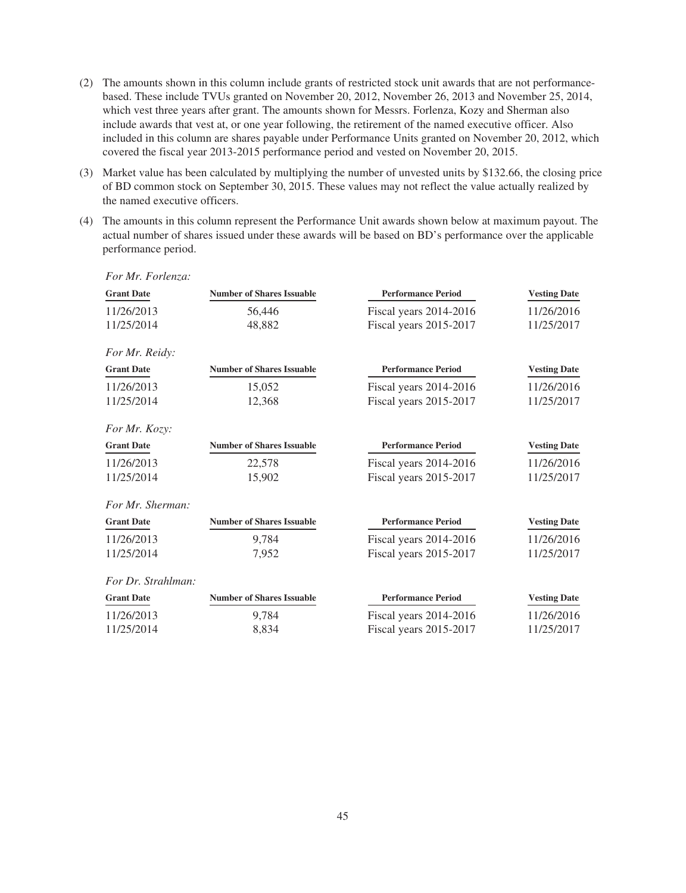- (2) The amounts shown in this column include grants of restricted stock unit awards that are not performancebased. These include TVUs granted on November 20, 2012, November 26, 2013 and November 25, 2014, which vest three years after grant. The amounts shown for Messrs. Forlenza, Kozy and Sherman also include awards that vest at, or one year following, the retirement of the named executive officer. Also included in this column are shares payable under Performance Units granted on November 20, 2012, which covered the fiscal year 2013-2015 performance period and vested on November 20, 2015.
- (3) Market value has been calculated by multiplying the number of unvested units by \$132.66, the closing price of BD common stock on September 30, 2015. These values may not reflect the value actually realized by the named executive officers.
- (4) The amounts in this column represent the Performance Unit awards shown below at maximum payout. The actual number of shares issued under these awards will be based on BD's performance over the applicable performance period.

*For Mr. Forlenza:*

| <b>Grant Date</b>  | <b>Number of Shares Issuable</b> | <b>Performance Period</b> |                     |
|--------------------|----------------------------------|---------------------------|---------------------|
| 11/26/2013         | 56,446                           | Fiscal years 2014-2016    | 11/26/2016          |
| 11/25/2014         | 48,882                           | Fiscal years 2015-2017    | 11/25/2017          |
| For Mr. Reidy:     |                                  |                           |                     |
| <b>Grant Date</b>  | <b>Number of Shares Issuable</b> | <b>Performance Period</b> | <b>Vesting Date</b> |
| 11/26/2013         | 15,052                           | Fiscal years 2014-2016    | 11/26/2016          |
| 11/25/2014         | 12,368                           | Fiscal years 2015-2017    | 11/25/2017          |
|                    |                                  |                           |                     |
| For Mr. Kozy:      |                                  |                           |                     |
| <b>Grant Date</b>  | <b>Number of Shares Issuable</b> | <b>Performance Period</b> | <b>Vesting Date</b> |
| 11/26/2013         | 22,578                           | Fiscal years 2014-2016    | 11/26/2016          |
| 11/25/2014         | 15,902                           | Fiscal years 2015-2017    | 11/25/2017          |
| For Mr. Sherman:   |                                  |                           |                     |
| <b>Grant Date</b>  | <b>Number of Shares Issuable</b> | <b>Performance Period</b> | <b>Vesting Date</b> |
| 11/26/2013         | 9,784                            | Fiscal years 2014-2016    | 11/26/2016          |
| 11/25/2014         | 7,952                            | Fiscal years 2015-2017    | 11/25/2017          |
| For Dr. Strahlman: |                                  |                           |                     |
| <b>Grant Date</b>  | <b>Number of Shares Issuable</b> | <b>Performance Period</b> | <b>Vesting Date</b> |
| 11/26/2013         | 9,784                            | Fiscal years 2014-2016    | 11/26/2016          |
| 11/25/2014         | 8,834                            | Fiscal years 2015-2017    | 11/25/2017          |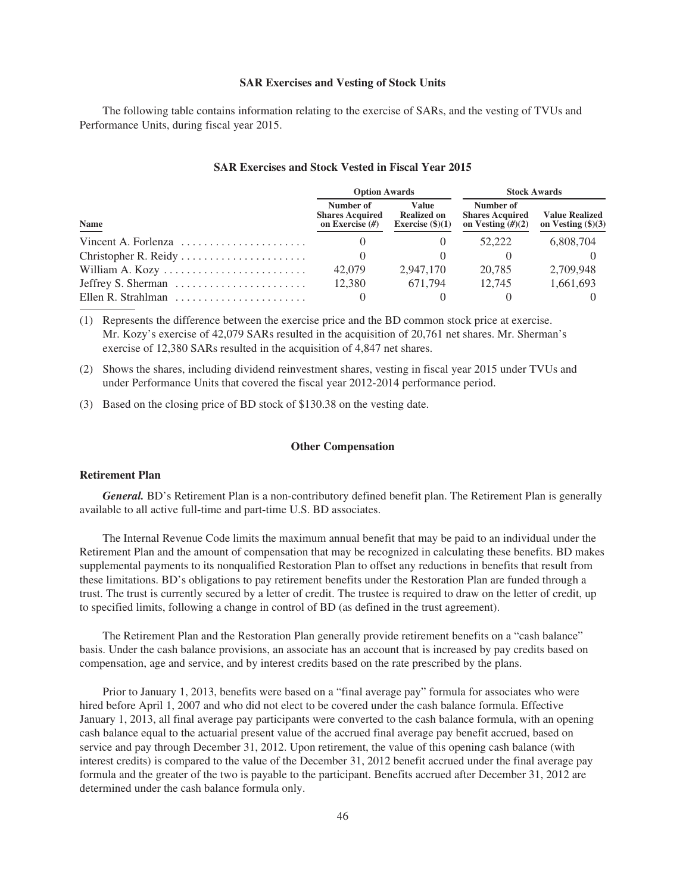#### **SAR Exercises and Vesting of Stock Units**

The following table contains information relating to the exercise of SARs, and the vesting of TVUs and Performance Units, during fiscal year 2015.

| <b>SAR Exercises and Stock Vested in Fiscal Year 2015</b> |  |  |  |
|-----------------------------------------------------------|--|--|--|
|-----------------------------------------------------------|--|--|--|

|                                                                 | <b>Option Awards</b>                                     |                                                          | <b>Stock Awards</b>                                        |                                                      |  |
|-----------------------------------------------------------------|----------------------------------------------------------|----------------------------------------------------------|------------------------------------------------------------|------------------------------------------------------|--|
| Name                                                            | Number of<br><b>Shares Acquired</b><br>on Exercise $(H)$ | <b>Value</b><br><b>Realized on</b><br>Exercise $(\$)(1)$ | Number of<br><b>Shares Acquired</b><br>on Vesting $(H)(2)$ | <b>Value Realized</b><br>on Vesting $(\text{$}5)(3)$ |  |
| Vincent A. Forlenza $\ldots \ldots \ldots \ldots \ldots \ldots$ |                                                          | $\theta$                                                 | 52.222                                                     | 6,808,704                                            |  |
|                                                                 |                                                          |                                                          |                                                            |                                                      |  |
|                                                                 | 42,079                                                   | 2.947.170                                                | 20.785                                                     | 2.709.948                                            |  |
| Jeffrey S. Sherman                                              | 12,380                                                   | 671.794                                                  | 12.745                                                     | 1,661,693                                            |  |
| Ellen R. Strahlman $\ldots \ldots \ldots \ldots \ldots \ldots$  |                                                          |                                                          |                                                            |                                                      |  |

(1) Represents the difference between the exercise price and the BD common stock price at exercise. Mr. Kozy's exercise of 42,079 SARs resulted in the acquisition of 20,761 net shares. Mr. Sherman's exercise of 12,380 SARs resulted in the acquisition of 4,847 net shares.

(2) Shows the shares, including dividend reinvestment shares, vesting in fiscal year 2015 under TVUs and under Performance Units that covered the fiscal year 2012-2014 performance period.

(3) Based on the closing price of BD stock of \$130.38 on the vesting date.

# **Other Compensation**

## **Retirement Plan**

*General.* BD's Retirement Plan is a non-contributory defined benefit plan. The Retirement Plan is generally available to all active full-time and part-time U.S. BD associates.

The Internal Revenue Code limits the maximum annual benefit that may be paid to an individual under the Retirement Plan and the amount of compensation that may be recognized in calculating these benefits. BD makes supplemental payments to its nonqualified Restoration Plan to offset any reductions in benefits that result from these limitations. BD's obligations to pay retirement benefits under the Restoration Plan are funded through a trust. The trust is currently secured by a letter of credit. The trustee is required to draw on the letter of credit, up to specified limits, following a change in control of BD (as defined in the trust agreement).

The Retirement Plan and the Restoration Plan generally provide retirement benefits on a "cash balance" basis. Under the cash balance provisions, an associate has an account that is increased by pay credits based on compensation, age and service, and by interest credits based on the rate prescribed by the plans.

Prior to January 1, 2013, benefits were based on a "final average pay" formula for associates who were hired before April 1, 2007 and who did not elect to be covered under the cash balance formula. Effective January 1, 2013, all final average pay participants were converted to the cash balance formula, with an opening cash balance equal to the actuarial present value of the accrued final average pay benefit accrued, based on service and pay through December 31, 2012. Upon retirement, the value of this opening cash balance (with interest credits) is compared to the value of the December 31, 2012 benefit accrued under the final average pay formula and the greater of the two is payable to the participant. Benefits accrued after December 31, 2012 are determined under the cash balance formula only.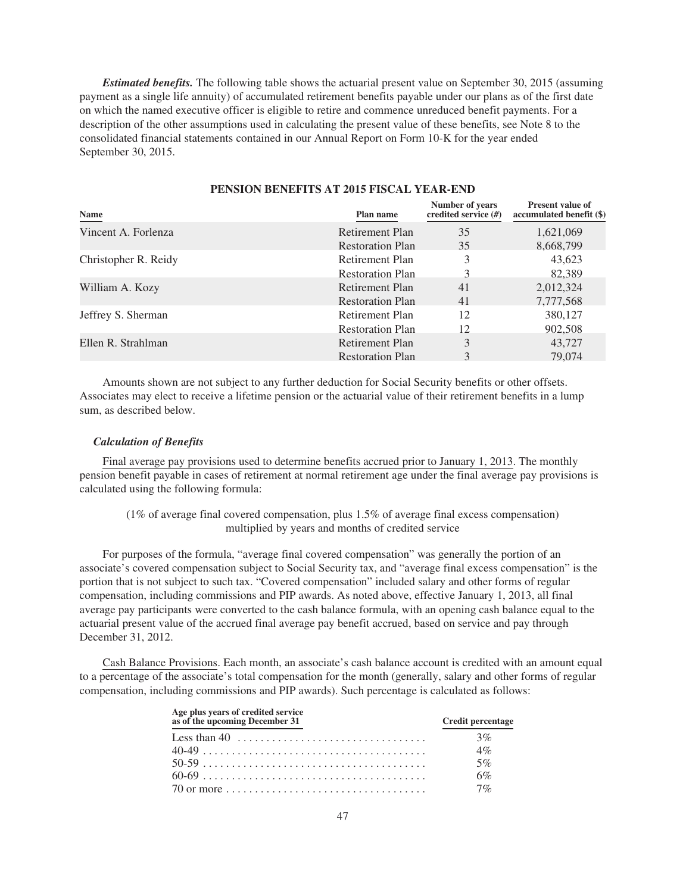*Estimated benefits.* The following table shows the actuarial present value on September 30, 2015 (assuming payment as a single life annuity) of accumulated retirement benefits payable under our plans as of the first date on which the named executive officer is eligible to retire and commence unreduced benefit payments. For a description of the other assumptions used in calculating the present value of these benefits, see Note 8 to the consolidated financial statements contained in our Annual Report on Form 10-K for the year ended September 30, 2015.

| Name                 | Plan name               | Number of years<br>credited service (#) | <b>Present value of</b><br>accumulated benefit (\$) |
|----------------------|-------------------------|-----------------------------------------|-----------------------------------------------------|
| Vincent A. Forlenza  | Retirement Plan         | 35                                      | 1,621,069                                           |
|                      | <b>Restoration Plan</b> | 35                                      | 8,668,799                                           |
| Christopher R. Reidy | Retirement Plan         | 3                                       | 43,623                                              |
|                      | <b>Restoration Plan</b> |                                         | 82,389                                              |
| William A. Kozy      | Retirement Plan         | 41                                      | 2,012,324                                           |
|                      | <b>Restoration Plan</b> | 41                                      | 7,777,568                                           |
| Jeffrey S. Sherman   | Retirement Plan         | 12                                      | 380,127                                             |
|                      | <b>Restoration Plan</b> | 12                                      | 902,508                                             |
| Ellen R. Strahlman   | Retirement Plan         | 3                                       | 43,727                                              |
|                      | <b>Restoration Plan</b> |                                         | 79,074                                              |

# **PENSION BENEFITS AT 2015 FISCAL YEAR-END**

Amounts shown are not subject to any further deduction for Social Security benefits or other offsets. Associates may elect to receive a lifetime pension or the actuarial value of their retirement benefits in a lump sum, as described below.

### *Calculation of Benefits*

Final average pay provisions used to determine benefits accrued prior to January 1, 2013. The monthly pension benefit payable in cases of retirement at normal retirement age under the final average pay provisions is calculated using the following formula:

(1% of average final covered compensation, plus 1.5% of average final excess compensation) multiplied by years and months of credited service

For purposes of the formula, "average final covered compensation" was generally the portion of an associate's covered compensation subject to Social Security tax, and "average final excess compensation" is the portion that is not subject to such tax. "Covered compensation" included salary and other forms of regular compensation, including commissions and PIP awards. As noted above, effective January 1, 2013, all final average pay participants were converted to the cash balance formula, with an opening cash balance equal to the actuarial present value of the accrued final average pay benefit accrued, based on service and pay through December 31, 2012.

Cash Balance Provisions. Each month, an associate's cash balance account is credited with an amount equal to a percentage of the associate's total compensation for the month (generally, salary and other forms of regular compensation, including commissions and PIP awards). Such percentage is calculated as follows:

| Age plus years of credited service<br>as of the upcoming December 31 | Credit percentage |
|----------------------------------------------------------------------|-------------------|
|                                                                      | 3%                |
|                                                                      | 4%                |
|                                                                      | 5%                |
|                                                                      | 6%                |
|                                                                      | $7\%$             |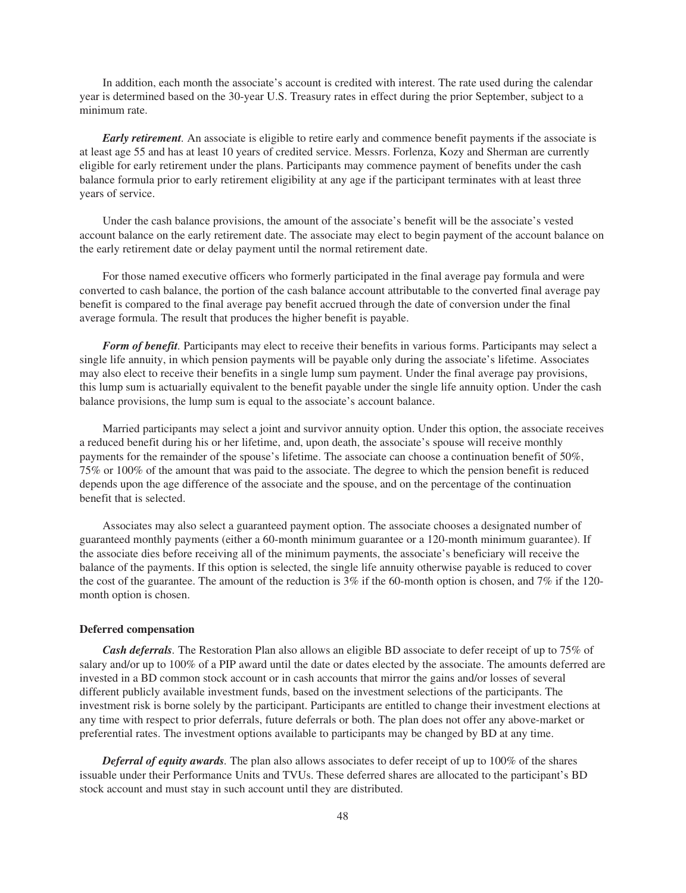In addition, each month the associate's account is credited with interest. The rate used during the calendar year is determined based on the 30-year U.S. Treasury rates in effect during the prior September, subject to a minimum rate.

*Early retirement.* An associate is eligible to retire early and commence benefit payments if the associate is at least age 55 and has at least 10 years of credited service. Messrs. Forlenza, Kozy and Sherman are currently eligible for early retirement under the plans. Participants may commence payment of benefits under the cash balance formula prior to early retirement eligibility at any age if the participant terminates with at least three years of service.

Under the cash balance provisions, the amount of the associate's benefit will be the associate's vested account balance on the early retirement date. The associate may elect to begin payment of the account balance on the early retirement date or delay payment until the normal retirement date.

For those named executive officers who formerly participated in the final average pay formula and were converted to cash balance, the portion of the cash balance account attributable to the converted final average pay benefit is compared to the final average pay benefit accrued through the date of conversion under the final average formula. The result that produces the higher benefit is payable.

*Form of benefit.* Participants may elect to receive their benefits in various forms. Participants may select a single life annuity, in which pension payments will be payable only during the associate's lifetime. Associates may also elect to receive their benefits in a single lump sum payment. Under the final average pay provisions, this lump sum is actuarially equivalent to the benefit payable under the single life annuity option. Under the cash balance provisions, the lump sum is equal to the associate's account balance.

Married participants may select a joint and survivor annuity option. Under this option, the associate receives a reduced benefit during his or her lifetime, and, upon death, the associate's spouse will receive monthly payments for the remainder of the spouse's lifetime. The associate can choose a continuation benefit of 50%, 75% or 100% of the amount that was paid to the associate. The degree to which the pension benefit is reduced depends upon the age difference of the associate and the spouse, and on the percentage of the continuation benefit that is selected.

Associates may also select a guaranteed payment option. The associate chooses a designated number of guaranteed monthly payments (either a 60-month minimum guarantee or a 120-month minimum guarantee). If the associate dies before receiving all of the minimum payments, the associate's beneficiary will receive the balance of the payments. If this option is selected, the single life annuity otherwise payable is reduced to cover the cost of the guarantee. The amount of the reduction is  $3\%$  if the 60-month option is chosen, and 7% if the 120month option is chosen.

## **Deferred compensation**

*Cash deferrals.* The Restoration Plan also allows an eligible BD associate to defer receipt of up to 75% of salary and/or up to 100% of a PIP award until the date or dates elected by the associate. The amounts deferred are invested in a BD common stock account or in cash accounts that mirror the gains and/or losses of several different publicly available investment funds, based on the investment selections of the participants. The investment risk is borne solely by the participant. Participants are entitled to change their investment elections at any time with respect to prior deferrals, future deferrals or both. The plan does not offer any above-market or preferential rates. The investment options available to participants may be changed by BD at any time.

*Deferral of equity awards.* The plan also allows associates to defer receipt of up to 100% of the shares issuable under their Performance Units and TVUs. These deferred shares are allocated to the participant's BD stock account and must stay in such account until they are distributed.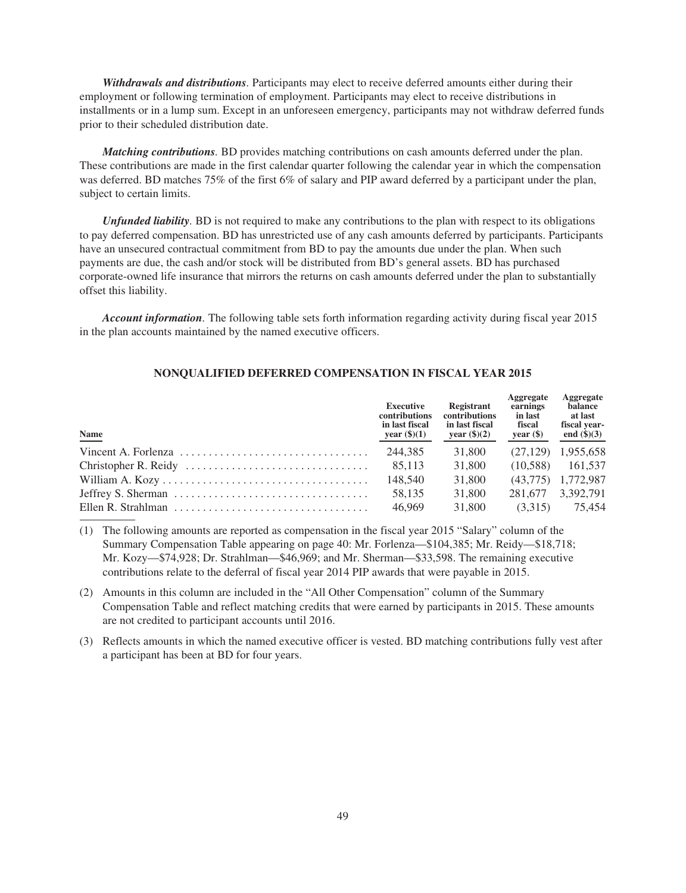*Withdrawals and distributions.* Participants may elect to receive deferred amounts either during their employment or following termination of employment. Participants may elect to receive distributions in installments or in a lump sum. Except in an unforeseen emergency, participants may not withdraw deferred funds prior to their scheduled distribution date.

*Matching contributions.* BD provides matching contributions on cash amounts deferred under the plan. These contributions are made in the first calendar quarter following the calendar year in which the compensation was deferred. BD matches 75% of the first 6% of salary and PIP award deferred by a participant under the plan, subject to certain limits.

*Unfunded liability.* BD is not required to make any contributions to the plan with respect to its obligations to pay deferred compensation. BD has unrestricted use of any cash amounts deferred by participants. Participants have an unsecured contractual commitment from BD to pay the amounts due under the plan. When such payments are due, the cash and/or stock will be distributed from BD's general assets. BD has purchased corporate-owned life insurance that mirrors the returns on cash amounts deferred under the plan to substantially offset this liability.

*Account information.* The following table sets forth information regarding activity during fiscal year 2015 in the plan accounts maintained by the named executive officers.

# **NONQUALIFIED DEFERRED COMPENSATION IN FISCAL YEAR 2015**

| Name                                                                                         | <b>Executive</b><br>contributions<br>in last fiscal<br>year $(\$)(1)$ | Registrant<br>contributions<br>in last fiscal<br>year $(\$)(2)$ | Aggregate<br>earnings<br>in last<br>fiscal<br>year $(\$)$ | Aggregate<br>balance<br>at last<br>fiscal year-<br>end $(\$)(3)$ |
|----------------------------------------------------------------------------------------------|-----------------------------------------------------------------------|-----------------------------------------------------------------|-----------------------------------------------------------|------------------------------------------------------------------|
|                                                                                              | 244.385                                                               | 31,800                                                          |                                                           | $(27.129)$ 1.955.658                                             |
| Christopher R. Reidy $\ldots \ldots \ldots \ldots \ldots \ldots \ldots \ldots \ldots$ 85,113 |                                                                       | 31,800                                                          | (10.588)                                                  | 161.537                                                          |
|                                                                                              | 148,540                                                               | 31,800                                                          |                                                           | $(43.775)$ 1.772.987                                             |
|                                                                                              | 58.135                                                                | 31,800                                                          | 281.677                                                   | 3,392,791                                                        |
|                                                                                              | 46,969                                                                | 31,800                                                          | (3.315)                                                   | 75.454                                                           |

(1) The following amounts are reported as compensation in the fiscal year 2015 "Salary" column of the Summary Compensation Table appearing on page 40: Mr. Forlenza—\$104,385; Mr. Reidy—\$18,718; Mr. Kozy—\$74,928; Dr. Strahlman—\$46,969; and Mr. Sherman—\$33,598. The remaining executive contributions relate to the deferral of fiscal year 2014 PIP awards that were payable in 2015.

- (2) Amounts in this column are included in the "All Other Compensation" column of the Summary Compensation Table and reflect matching credits that were earned by participants in 2015. These amounts are not credited to participant accounts until 2016.
- (3) Reflects amounts in which the named executive officer is vested. BD matching contributions fully vest after a participant has been at BD for four years.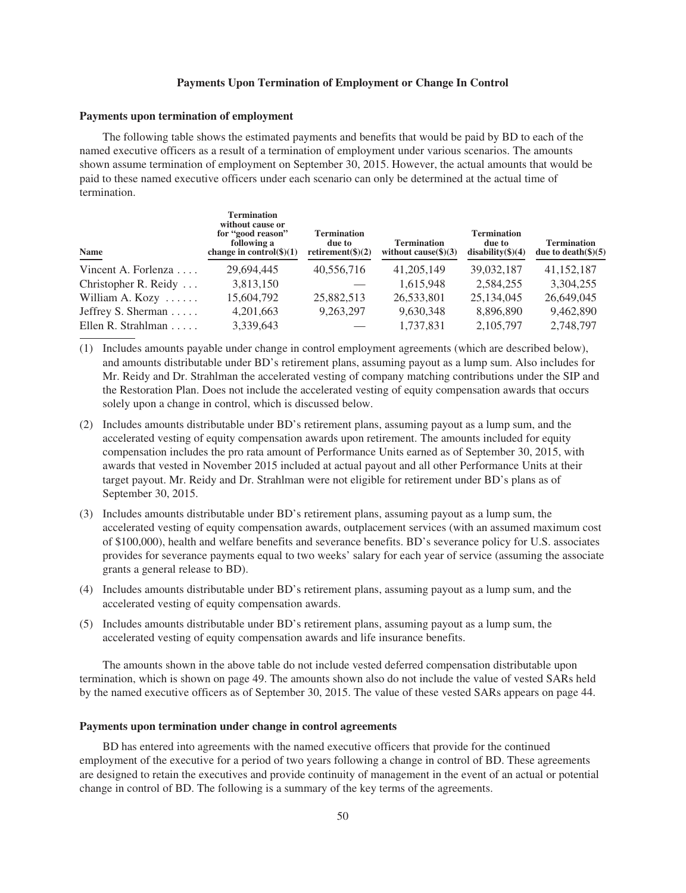## **Payments Upon Termination of Employment or Change In Control**

### **Payments upon termination of employment**

The following table shows the estimated payments and benefits that would be paid by BD to each of the named executive officers as a result of a termination of employment under various scenarios. The amounts shown assume termination of employment on September 30, 2015. However, the actual amounts that would be paid to these named executive officers under each scenario can only be determined at the actual time of termination.

| <b>Name</b>                   | <b>Termination</b><br>without cause or<br>for "good reason"<br>following a<br>change in control $(\$)(1)$ | <b>Termination</b><br>due to<br>retirement( $\$(2)$ | <b>Termination</b><br>without cause $(\text{$}5)(3)$ | <b>Termination</b><br>due to<br>$disability(\$)(4))$ | <b>Termination</b><br>due to death $(\$)(5)$ |
|-------------------------------|-----------------------------------------------------------------------------------------------------------|-----------------------------------------------------|------------------------------------------------------|------------------------------------------------------|----------------------------------------------|
| Vincent A. Forlenza $\dots$   | 29,694,445                                                                                                | 40,556,716                                          | 41,205,149                                           | 39,032,187                                           | 41, 152, 187                                 |
| Christopher R. Reidy $\dots$  | 3,813,150                                                                                                 |                                                     | 1,615,948                                            | 2,584,255                                            | 3,304,255                                    |
| William A. Kozy $\dots$       | 15,604,792                                                                                                | 25,882,513                                          | 26,533,801                                           | 25,134,045                                           | 26,649,045                                   |
| Jeffrey S. Sherman            | 4,201,663                                                                                                 | 9,263,297                                           | 9,630,348                                            | 8,896,890                                            | 9,462,890                                    |
| Ellen R. Strahlman $\ldots$ . | 3,339,643                                                                                                 |                                                     | 1,737,831                                            | 2,105,797                                            | 2,748,797                                    |

(1) Includes amounts payable under change in control employment agreements (which are described below), and amounts distributable under BD's retirement plans, assuming payout as a lump sum. Also includes for Mr. Reidy and Dr. Strahlman the accelerated vesting of company matching contributions under the SIP and the Restoration Plan. Does not include the accelerated vesting of equity compensation awards that occurs solely upon a change in control, which is discussed below.

- (2) Includes amounts distributable under BD's retirement plans, assuming payout as a lump sum, and the accelerated vesting of equity compensation awards upon retirement. The amounts included for equity compensation includes the pro rata amount of Performance Units earned as of September 30, 2015, with awards that vested in November 2015 included at actual payout and all other Performance Units at their target payout. Mr. Reidy and Dr. Strahlman were not eligible for retirement under BD's plans as of September 30, 2015.
- (3) Includes amounts distributable under BD's retirement plans, assuming payout as a lump sum, the accelerated vesting of equity compensation awards, outplacement services (with an assumed maximum cost of \$100,000), health and welfare benefits and severance benefits. BD's severance policy for U.S. associates provides for severance payments equal to two weeks' salary for each year of service (assuming the associate grants a general release to BD).
- (4) Includes amounts distributable under BD's retirement plans, assuming payout as a lump sum, and the accelerated vesting of equity compensation awards.
- (5) Includes amounts distributable under BD's retirement plans, assuming payout as a lump sum, the accelerated vesting of equity compensation awards and life insurance benefits.

The amounts shown in the above table do not include vested deferred compensation distributable upon termination, which is shown on page 49. The amounts shown also do not include the value of vested SARs held by the named executive officers as of September 30, 2015. The value of these vested SARs appears on page 44.

### **Payments upon termination under change in control agreements**

BD has entered into agreements with the named executive officers that provide for the continued employment of the executive for a period of two years following a change in control of BD. These agreements are designed to retain the executives and provide continuity of management in the event of an actual or potential change in control of BD. The following is a summary of the key terms of the agreements.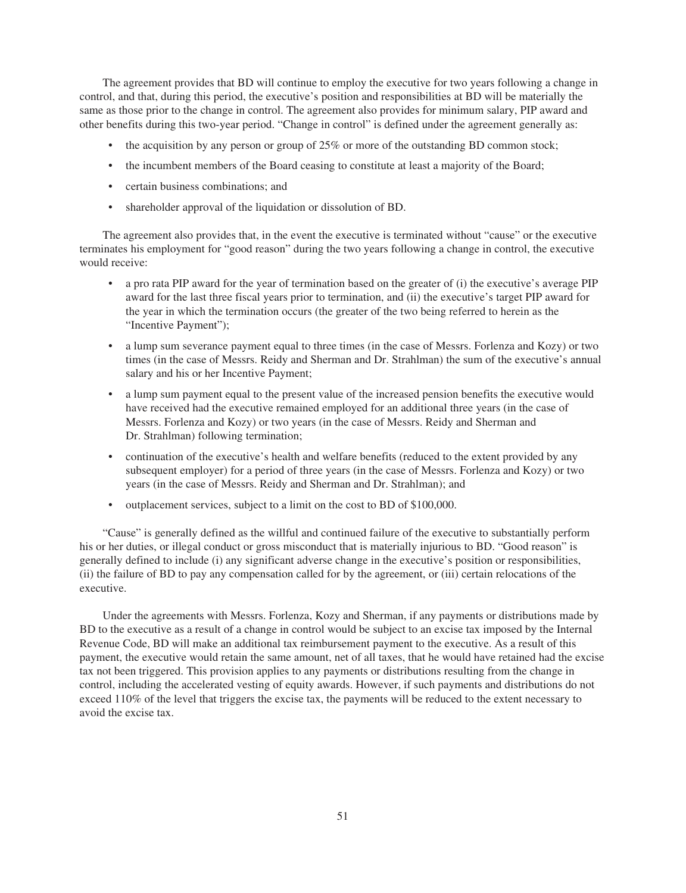The agreement provides that BD will continue to employ the executive for two years following a change in control, and that, during this period, the executive's position and responsibilities at BD will be materially the same as those prior to the change in control. The agreement also provides for minimum salary, PIP award and other benefits during this two-year period. "Change in control" is defined under the agreement generally as:

- the acquisition by any person or group of 25% or more of the outstanding BD common stock;
- the incumbent members of the Board ceasing to constitute at least a majority of the Board;
- certain business combinations; and
- shareholder approval of the liquidation or dissolution of BD.

The agreement also provides that, in the event the executive is terminated without "cause" or the executive terminates his employment for "good reason" during the two years following a change in control, the executive would receive:

- a pro rata PIP award for the year of termination based on the greater of (i) the executive's average PIP award for the last three fiscal years prior to termination, and (ii) the executive's target PIP award for the year in which the termination occurs (the greater of the two being referred to herein as the "Incentive Payment");
- a lump sum severance payment equal to three times (in the case of Messrs. Forlenza and Kozy) or two times (in the case of Messrs. Reidy and Sherman and Dr. Strahlman) the sum of the executive's annual salary and his or her Incentive Payment;
- a lump sum payment equal to the present value of the increased pension benefits the executive would have received had the executive remained employed for an additional three years (in the case of Messrs. Forlenza and Kozy) or two years (in the case of Messrs. Reidy and Sherman and Dr. Strahlman) following termination;
- continuation of the executive's health and welfare benefits (reduced to the extent provided by any subsequent employer) for a period of three years (in the case of Messrs. Forlenza and Kozy) or two years (in the case of Messrs. Reidy and Sherman and Dr. Strahlman); and
- outplacement services, subject to a limit on the cost to BD of \$100,000.

"Cause" is generally defined as the willful and continued failure of the executive to substantially perform his or her duties, or illegal conduct or gross misconduct that is materially injurious to BD. "Good reason" is generally defined to include (i) any significant adverse change in the executive's position or responsibilities, (ii) the failure of BD to pay any compensation called for by the agreement, or (iii) certain relocations of the executive.

Under the agreements with Messrs. Forlenza, Kozy and Sherman, if any payments or distributions made by BD to the executive as a result of a change in control would be subject to an excise tax imposed by the Internal Revenue Code, BD will make an additional tax reimbursement payment to the executive. As a result of this payment, the executive would retain the same amount, net of all taxes, that he would have retained had the excise tax not been triggered. This provision applies to any payments or distributions resulting from the change in control, including the accelerated vesting of equity awards. However, if such payments and distributions do not exceed 110% of the level that triggers the excise tax, the payments will be reduced to the extent necessary to avoid the excise tax.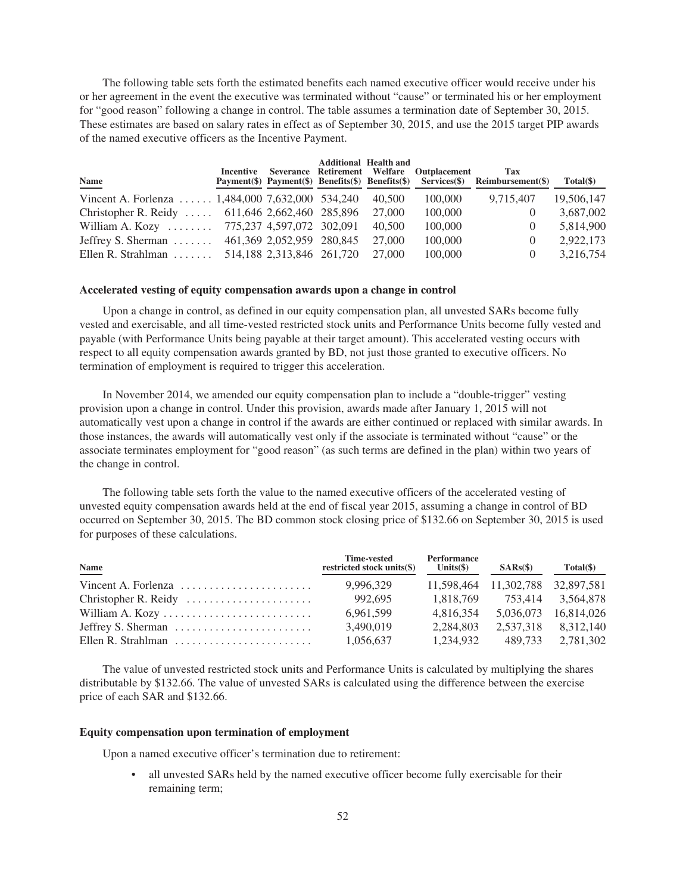The following table sets forth the estimated benefits each named executive officer would receive under his or her agreement in the event the executive was terminated without "cause" or terminated his or her employment for "good reason" following a change in control. The table assumes a termination date of September 30, 2015. These estimates are based on salary rates in effect as of September 30, 2015, and use the 2015 target PIP awards of the named executive officers as the Incentive Payment.

| Name                                              | Incentive |                           | <b>Additional Health and</b> | Severance Retirement Welfare Outplacement | Tax<br>Payment(\$) Payment(\$) Benefits(\$) Benefits(\$) Services(\$) Reimbursement(\$) | $Total(\$)$ |
|---------------------------------------------------|-----------|---------------------------|------------------------------|-------------------------------------------|-----------------------------------------------------------------------------------------|-------------|
| Vincent A. Forlenza $1,484,000$ 7,632,000 534,240 |           |                           | 40.500                       | 100,000                                   | 9,715,407                                                                               | 19,506,147  |
| Christopher R. Reidy  611,646 2,662,460 285,896   |           |                           | 27,000                       | 100,000                                   | $\theta$                                                                                | 3,687,002   |
| William A. Kozy $\dots \dots$                     |           | 775,237 4,597,072 302,091 | 40,500                       | 100,000                                   | $\left( \right)$                                                                        | 5,814,900   |
| Jeffrey S. Sherman $\dots$                        |           | 461,369 2,052,959 280,845 | 27,000                       | 100,000                                   | $\theta$                                                                                | 2,922,173   |
| Ellen R. Strahlman $\ldots \ldots$                |           | 514,188 2,313,846 261,720 | 27,000                       | 100,000                                   | $\theta$                                                                                | 3,216,754   |

### **Accelerated vesting of equity compensation awards upon a change in control**

Upon a change in control, as defined in our equity compensation plan, all unvested SARs become fully vested and exercisable, and all time-vested restricted stock units and Performance Units become fully vested and payable (with Performance Units being payable at their target amount). This accelerated vesting occurs with respect to all equity compensation awards granted by BD, not just those granted to executive officers. No termination of employment is required to trigger this acceleration.

In November 2014, we amended our equity compensation plan to include a "double-trigger" vesting provision upon a change in control. Under this provision, awards made after January 1, 2015 will not automatically vest upon a change in control if the awards are either continued or replaced with similar awards. In those instances, the awards will automatically vest only if the associate is terminated without "cause" or the associate terminates employment for "good reason" (as such terms are defined in the plan) within two years of the change in control.

The following table sets forth the value to the named executive officers of the accelerated vesting of unvested equity compensation awards held at the end of fiscal year 2015, assuming a change in control of BD occurred on September 30, 2015. The BD common stock closing price of \$132.66 on September 30, 2015 is used for purposes of these calculations.

| Name                                                                | Time-vested<br>restricted stock units(\$) | <b>Performance</b><br>Units $(\$)$ | SARS(S)                          | Total(\$)            |
|---------------------------------------------------------------------|-------------------------------------------|------------------------------------|----------------------------------|----------------------|
| Vincent A. Forlenza $\ldots \ldots \ldots \ldots \ldots \ldots$     | 9.996.329                                 |                                    | 11,598,464 11,302,788 32,897,581 |                      |
|                                                                     | 992.695                                   | 1.818.769                          |                                  | 753.414 3.564.878    |
| William A. Kozy                                                     | 6.961.599                                 | 4.816.354                          |                                  | 5,036,073 16,814,026 |
| Jeffrey S. Sherman $\dots \dots \dots \dots \dots \dots \dots$      | 3.490.019                                 | 2.284.803                          | 2.537.318                        | 8,312,140            |
| Ellen R. Strahlman $\ldots, \ldots, \ldots, \ldots, \ldots, \ldots$ | 1,056,637                                 | 1.234.932                          | 489.733                          | 2.781.302            |

The value of unvested restricted stock units and Performance Units is calculated by multiplying the shares distributable by \$132.66. The value of unvested SARs is calculated using the difference between the exercise price of each SAR and \$132.66.

### **Equity compensation upon termination of employment**

Upon a named executive officer's termination due to retirement:

• all unvested SARs held by the named executive officer become fully exercisable for their remaining term;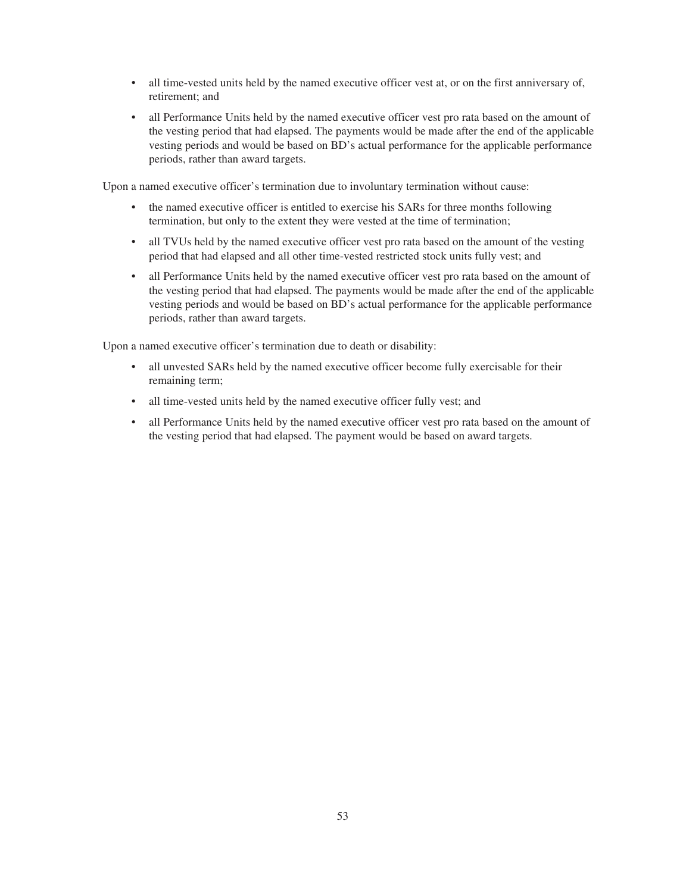- all time-vested units held by the named executive officer vest at, or on the first anniversary of, retirement; and
- all Performance Units held by the named executive officer vest pro rata based on the amount of the vesting period that had elapsed. The payments would be made after the end of the applicable vesting periods and would be based on BD's actual performance for the applicable performance periods, rather than award targets.

Upon a named executive officer's termination due to involuntary termination without cause:

- the named executive officer is entitled to exercise his SARs for three months following termination, but only to the extent they were vested at the time of termination;
- all TVUs held by the named executive officer vest pro rata based on the amount of the vesting period that had elapsed and all other time-vested restricted stock units fully vest; and
- all Performance Units held by the named executive officer vest pro rata based on the amount of the vesting period that had elapsed. The payments would be made after the end of the applicable vesting periods and would be based on BD's actual performance for the applicable performance periods, rather than award targets.

Upon a named executive officer's termination due to death or disability:

- all unvested SARs held by the named executive officer become fully exercisable for their remaining term;
- all time-vested units held by the named executive officer fully vest; and
- all Performance Units held by the named executive officer vest pro rata based on the amount of the vesting period that had elapsed. The payment would be based on award targets.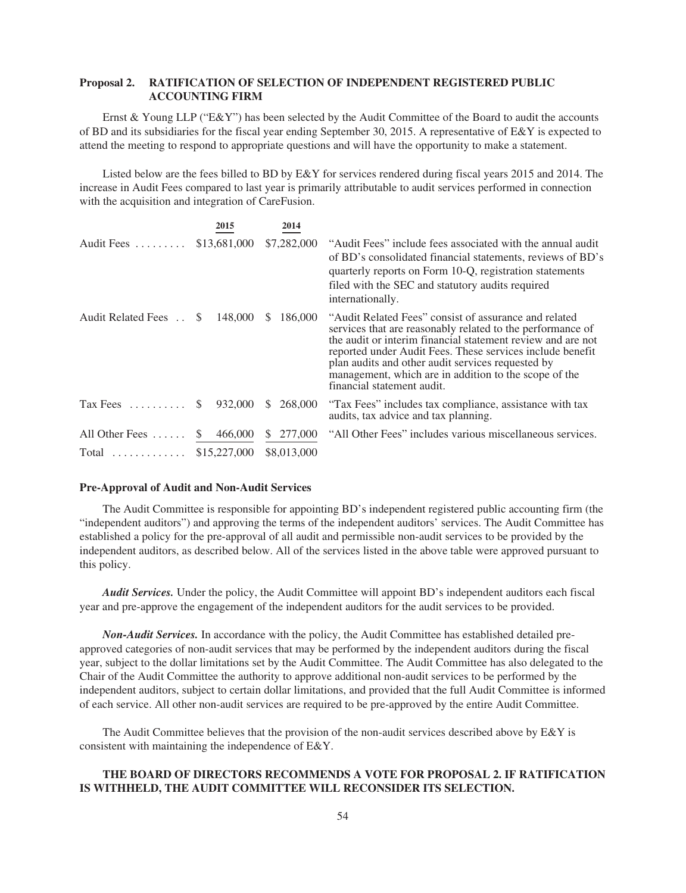# **Proposal 2. RATIFICATION OF SELECTION OF INDEPENDENT REGISTERED PUBLIC ACCOUNTING FIRM**

Ernst & Young LLP ("E&Y") has been selected by the Audit Committee of the Board to audit the accounts of BD and its subsidiaries for the fiscal year ending September 30, 2015. A representative of E&Y is expected to attend the meeting to respond to appropriate questions and will have the opportunity to make a statement.

Listed below are the fees billed to BD by E&Y for services rendered during fiscal years 2015 and 2014. The increase in Audit Fees compared to last year is primarily attributable to audit services performed in connection with the acquisition and integration of CareFusion.

|                          | 2015                    | 2014          |                                                                                                                                                                                                                                                                                                                                                                                             |
|--------------------------|-------------------------|---------------|---------------------------------------------------------------------------------------------------------------------------------------------------------------------------------------------------------------------------------------------------------------------------------------------------------------------------------------------------------------------------------------------|
| Audit Fees               | \$13,681,000            | \$7,282,000   | "Audit Fees" include fees associated with the annual audit<br>of BD's consolidated financial statements, reviews of BD's<br>quarterly reports on Form 10-Q, registration statements<br>filed with the SEC and statutory audits required<br>internationally.                                                                                                                                 |
| Audit Related Fees       | 148,000<br>S            | 186,000<br>S. | "Audit Related Fees" consist of assurance and related<br>services that are reasonably related to the performance of<br>the audit or interim financial statement review and are not<br>reported under Audit Fees. These services include benefit<br>plan audits and other audit services requested by<br>management, which are in addition to the scope of the<br>financial statement audit. |
| $\text{Tax Fees}$        | $\mathbb{S}$<br>932,000 | 268,000<br>S. | "Tax Fees" includes tax compliance, assistance with tax<br>audits, tax advice and tax planning.                                                                                                                                                                                                                                                                                             |
| All Other Fees $\dots$ . | 466,000<br>S.           | 277,000<br>S. | "All Other Fees" includes various miscellaneous services.                                                                                                                                                                                                                                                                                                                                   |
| $Total$                  | \$15,227,000            | \$8,013,000   |                                                                                                                                                                                                                                                                                                                                                                                             |

#### **Pre-Approval of Audit and Non-Audit Services**

The Audit Committee is responsible for appointing BD's independent registered public accounting firm (the "independent auditors") and approving the terms of the independent auditors' services. The Audit Committee has established a policy for the pre-approval of all audit and permissible non-audit services to be provided by the independent auditors, as described below. All of the services listed in the above table were approved pursuant to this policy.

*Audit Services.* Under the policy, the Audit Committee will appoint BD's independent auditors each fiscal year and pre-approve the engagement of the independent auditors for the audit services to be provided.

*Non-Audit Services.* In accordance with the policy, the Audit Committee has established detailed preapproved categories of non-audit services that may be performed by the independent auditors during the fiscal year, subject to the dollar limitations set by the Audit Committee. The Audit Committee has also delegated to the Chair of the Audit Committee the authority to approve additional non-audit services to be performed by the independent auditors, subject to certain dollar limitations, and provided that the full Audit Committee is informed of each service. All other non-audit services are required to be pre-approved by the entire Audit Committee.

The Audit Committee believes that the provision of the non-audit services described above by  $E\&Y$  is consistent with maintaining the independence of E&Y.

# **THE BOARD OF DIRECTORS RECOMMENDS A VOTE FOR PROPOSAL 2. IF RATIFICATION IS WITHHELD, THE AUDIT COMMITTEE WILL RECONSIDER ITS SELECTION.**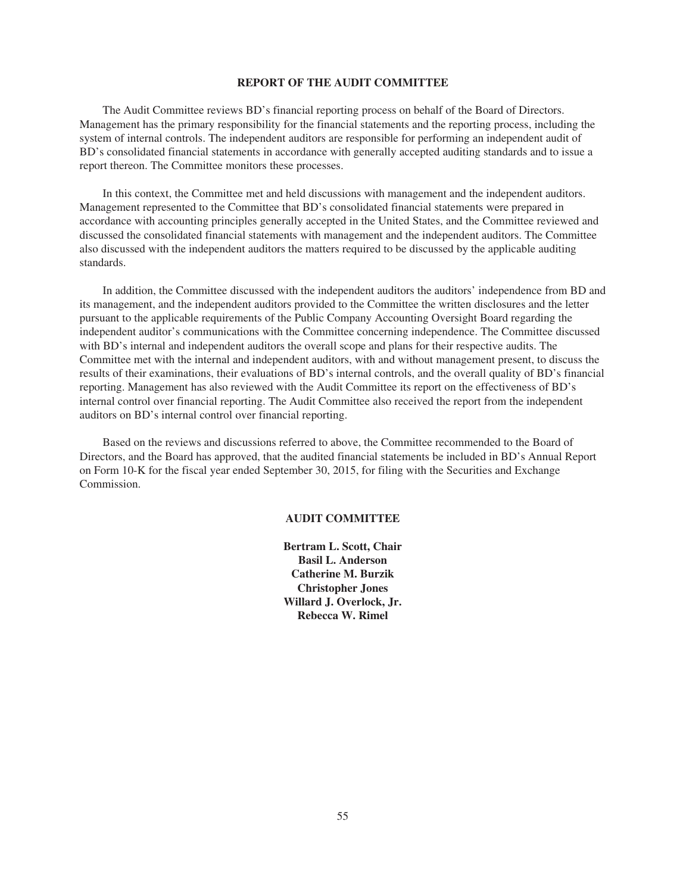### **REPORT OF THE AUDIT COMMITTEE**

The Audit Committee reviews BD's financial reporting process on behalf of the Board of Directors. Management has the primary responsibility for the financial statements and the reporting process, including the system of internal controls. The independent auditors are responsible for performing an independent audit of BD's consolidated financial statements in accordance with generally accepted auditing standards and to issue a report thereon. The Committee monitors these processes.

In this context, the Committee met and held discussions with management and the independent auditors. Management represented to the Committee that BD's consolidated financial statements were prepared in accordance with accounting principles generally accepted in the United States, and the Committee reviewed and discussed the consolidated financial statements with management and the independent auditors. The Committee also discussed with the independent auditors the matters required to be discussed by the applicable auditing standards.

In addition, the Committee discussed with the independent auditors the auditors' independence from BD and its management, and the independent auditors provided to the Committee the written disclosures and the letter pursuant to the applicable requirements of the Public Company Accounting Oversight Board regarding the independent auditor's communications with the Committee concerning independence. The Committee discussed with BD's internal and independent auditors the overall scope and plans for their respective audits. The Committee met with the internal and independent auditors, with and without management present, to discuss the results of their examinations, their evaluations of BD's internal controls, and the overall quality of BD's financial reporting. Management has also reviewed with the Audit Committee its report on the effectiveness of BD's internal control over financial reporting. The Audit Committee also received the report from the independent auditors on BD's internal control over financial reporting.

Based on the reviews and discussions referred to above, the Committee recommended to the Board of Directors, and the Board has approved, that the audited financial statements be included in BD's Annual Report on Form 10-K for the fiscal year ended September 30, 2015, for filing with the Securities and Exchange Commission.

### **AUDIT COMMITTEE**

**Bertram L. Scott, Chair Basil L. Anderson Catherine M. Burzik Christopher Jones Willard J. Overlock, Jr. Rebecca W. Rimel**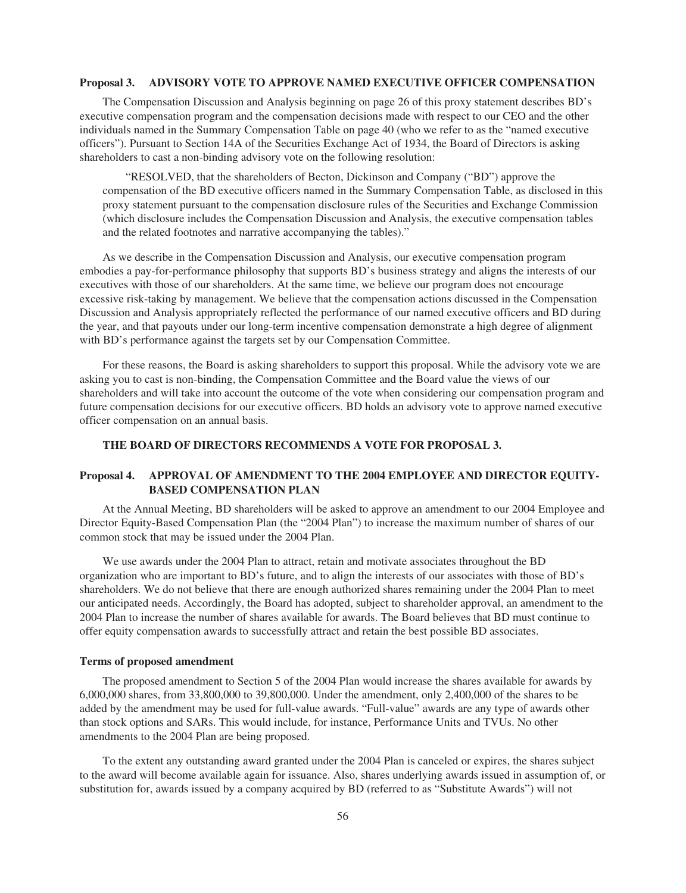### **Proposal 3. ADVISORY VOTE TO APPROVE NAMED EXECUTIVE OFFICER COMPENSATION**

The Compensation Discussion and Analysis beginning on page 26 of this proxy statement describes BD's executive compensation program and the compensation decisions made with respect to our CEO and the other individuals named in the Summary Compensation Table on page 40 (who we refer to as the "named executive officers"). Pursuant to Section 14A of the Securities Exchange Act of 1934, the Board of Directors is asking shareholders to cast a non-binding advisory vote on the following resolution:

"RESOLVED, that the shareholders of Becton, Dickinson and Company ("BD") approve the compensation of the BD executive officers named in the Summary Compensation Table, as disclosed in this proxy statement pursuant to the compensation disclosure rules of the Securities and Exchange Commission (which disclosure includes the Compensation Discussion and Analysis, the executive compensation tables and the related footnotes and narrative accompanying the tables)."

As we describe in the Compensation Discussion and Analysis, our executive compensation program embodies a pay-for-performance philosophy that supports BD's business strategy and aligns the interests of our executives with those of our shareholders. At the same time, we believe our program does not encourage excessive risk-taking by management. We believe that the compensation actions discussed in the Compensation Discussion and Analysis appropriately reflected the performance of our named executive officers and BD during the year, and that payouts under our long-term incentive compensation demonstrate a high degree of alignment with BD's performance against the targets set by our Compensation Committee.

For these reasons, the Board is asking shareholders to support this proposal. While the advisory vote we are asking you to cast is non-binding, the Compensation Committee and the Board value the views of our shareholders and will take into account the outcome of the vote when considering our compensation program and future compensation decisions for our executive officers. BD holds an advisory vote to approve named executive officer compensation on an annual basis.

### **THE BOARD OF DIRECTORS RECOMMENDS A VOTE FOR PROPOSAL 3.**

# **Proposal 4. APPROVAL OF AMENDMENT TO THE 2004 EMPLOYEE AND DIRECTOR EQUITY-BASED COMPENSATION PLAN**

At the Annual Meeting, BD shareholders will be asked to approve an amendment to our 2004 Employee and Director Equity-Based Compensation Plan (the "2004 Plan") to increase the maximum number of shares of our common stock that may be issued under the 2004 Plan.

We use awards under the 2004 Plan to attract, retain and motivate associates throughout the BD organization who are important to BD's future, and to align the interests of our associates with those of BD's shareholders. We do not believe that there are enough authorized shares remaining under the 2004 Plan to meet our anticipated needs. Accordingly, the Board has adopted, subject to shareholder approval, an amendment to the 2004 Plan to increase the number of shares available for awards. The Board believes that BD must continue to offer equity compensation awards to successfully attract and retain the best possible BD associates.

### **Terms of proposed amendment**

The proposed amendment to Section 5 of the 2004 Plan would increase the shares available for awards by 6,000,000 shares, from 33,800,000 to 39,800,000. Under the amendment, only 2,400,000 of the shares to be added by the amendment may be used for full-value awards. "Full-value" awards are any type of awards other than stock options and SARs. This would include, for instance, Performance Units and TVUs. No other amendments to the 2004 Plan are being proposed.

To the extent any outstanding award granted under the 2004 Plan is canceled or expires, the shares subject to the award will become available again for issuance. Also, shares underlying awards issued in assumption of, or substitution for, awards issued by a company acquired by BD (referred to as "Substitute Awards") will not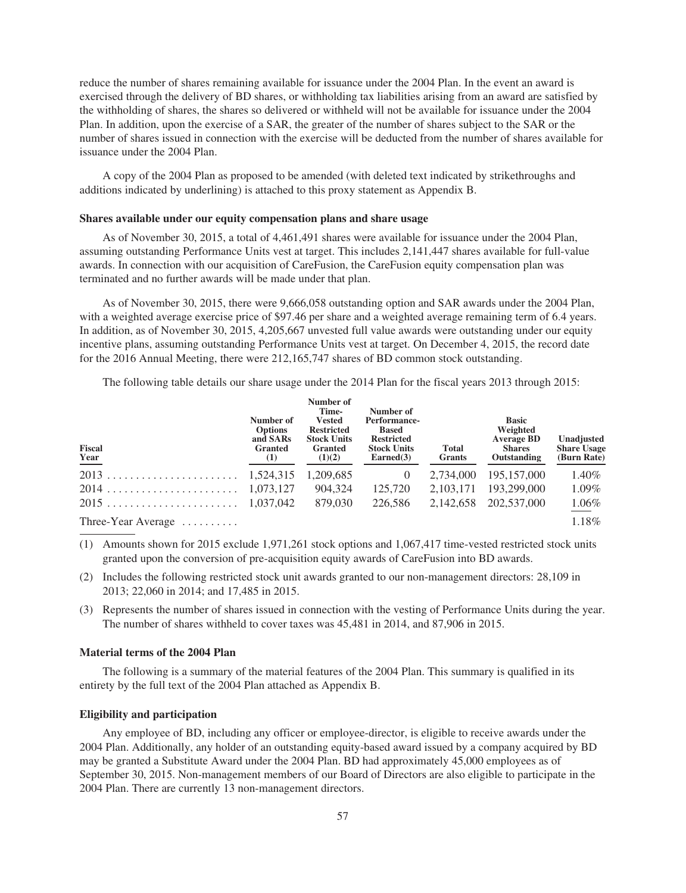reduce the number of shares remaining available for issuance under the 2004 Plan. In the event an award is exercised through the delivery of BD shares, or withholding tax liabilities arising from an award are satisfied by the withholding of shares, the shares so delivered or withheld will not be available for issuance under the 2004 Plan. In addition, upon the exercise of a SAR, the greater of the number of shares subject to the SAR or the number of shares issued in connection with the exercise will be deducted from the number of shares available for issuance under the 2004 Plan.

A copy of the 2004 Plan as proposed to be amended (with deleted text indicated by strikethroughs and additions indicated by underlining) is attached to this proxy statement as Appendix B.

### **Shares available under our equity compensation plans and share usage**

As of November 30, 2015, a total of 4,461,491 shares were available for issuance under the 2004 Plan, assuming outstanding Performance Units vest at target. This includes 2,141,447 shares available for full-value awards. In connection with our acquisition of CareFusion, the CareFusion equity compensation plan was terminated and no further awards will be made under that plan.

As of November 30, 2015, there were 9,666,058 outstanding option and SAR awards under the 2004 Plan, with a weighted average exercise price of \$97.46 per share and a weighted average remaining term of 6.4 years. In addition, as of November 30, 2015, 4,205,667 unvested full value awards were outstanding under our equity incentive plans, assuming outstanding Performance Units vest at target. On December 4, 2015, the record date for the 2016 Annual Meeting, there were 212,165,747 shares of BD common stock outstanding.

The following table details our share usage under the 2014 Plan for the fiscal years 2013 through 2015:

| <b>Fiscal</b><br><b>Year</b> | Number of<br><b>Options</b><br>and SARs<br><b>Granted</b><br>$\left(1\right)$ | Number of<br>Time-<br><b>Vested</b><br><b>Restricted</b><br><b>Stock Units</b><br><b>Granted</b><br>(1)(2) | Number of<br>Performance-<br><b>Based</b><br><b>Restricted</b><br><b>Stock Units</b><br>$\text{Earned}(3)$ | <b>Total</b><br>Grants | <b>Basic</b><br>Weighted<br><b>Average BD</b><br><b>Shares</b><br>Outstanding | Unadjusted<br><b>Share Usage</b><br>(Burn Rate) |
|------------------------------|-------------------------------------------------------------------------------|------------------------------------------------------------------------------------------------------------|------------------------------------------------------------------------------------------------------------|------------------------|-------------------------------------------------------------------------------|-------------------------------------------------|
|                              |                                                                               | 1,209,685                                                                                                  | $\theta$                                                                                                   | 2,734,000              | 195, 157, 000                                                                 | 1.40%                                           |
|                              |                                                                               | 904.324                                                                                                    | 125,720                                                                                                    | 2.103.171              | 193,299,000                                                                   | 1.09%                                           |
|                              |                                                                               | 879,030                                                                                                    | 226,586                                                                                                    | 2,142,658              | 202,537,000                                                                   | 1.06%                                           |
| Three-Year Average           |                                                                               |                                                                                                            |                                                                                                            |                        |                                                                               | 1.18%                                           |

- (1) Amounts shown for 2015 exclude 1,971,261 stock options and 1,067,417 time-vested restricted stock units granted upon the conversion of pre-acquisition equity awards of CareFusion into BD awards.
- (2) Includes the following restricted stock unit awards granted to our non-management directors: 28,109 in 2013; 22,060 in 2014; and 17,485 in 2015.
- (3) Represents the number of shares issued in connection with the vesting of Performance Units during the year. The number of shares withheld to cover taxes was 45,481 in 2014, and 87,906 in 2015.

### **Material terms of the 2004 Plan**

The following is a summary of the material features of the 2004 Plan. This summary is qualified in its entirety by the full text of the 2004 Plan attached as Appendix B.

### **Eligibility and participation**

Any employee of BD, including any officer or employee-director, is eligible to receive awards under the 2004 Plan. Additionally, any holder of an outstanding equity-based award issued by a company acquired by BD may be granted a Substitute Award under the 2004 Plan. BD had approximately 45,000 employees as of September 30, 2015. Non-management members of our Board of Directors are also eligible to participate in the 2004 Plan. There are currently 13 non-management directors.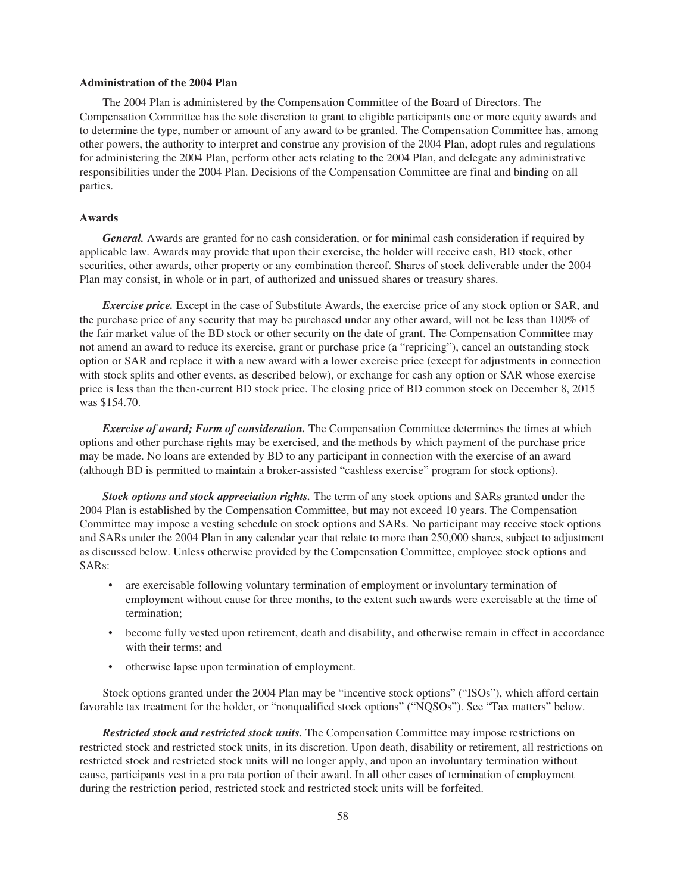### **Administration of the 2004 Plan**

The 2004 Plan is administered by the Compensation Committee of the Board of Directors. The Compensation Committee has the sole discretion to grant to eligible participants one or more equity awards and to determine the type, number or amount of any award to be granted. The Compensation Committee has, among other powers, the authority to interpret and construe any provision of the 2004 Plan, adopt rules and regulations for administering the 2004 Plan, perform other acts relating to the 2004 Plan, and delegate any administrative responsibilities under the 2004 Plan. Decisions of the Compensation Committee are final and binding on all parties.

# **Awards**

*General.* Awards are granted for no cash consideration, or for minimal cash consideration if required by applicable law. Awards may provide that upon their exercise, the holder will receive cash, BD stock, other securities, other awards, other property or any combination thereof. Shares of stock deliverable under the 2004 Plan may consist, in whole or in part, of authorized and unissued shares or treasury shares.

*Exercise price.* Except in the case of Substitute Awards, the exercise price of any stock option or SAR, and the purchase price of any security that may be purchased under any other award, will not be less than 100% of the fair market value of the BD stock or other security on the date of grant. The Compensation Committee may not amend an award to reduce its exercise, grant or purchase price (a "repricing"), cancel an outstanding stock option or SAR and replace it with a new award with a lower exercise price (except for adjustments in connection with stock splits and other events, as described below), or exchange for cash any option or SAR whose exercise price is less than the then-current BD stock price. The closing price of BD common stock on December 8, 2015 was \$154.70.

*Exercise of award; Form of consideration.* The Compensation Committee determines the times at which options and other purchase rights may be exercised, and the methods by which payment of the purchase price may be made. No loans are extended by BD to any participant in connection with the exercise of an award (although BD is permitted to maintain a broker-assisted "cashless exercise" program for stock options).

*Stock options and stock appreciation rights.* The term of any stock options and SARs granted under the 2004 Plan is established by the Compensation Committee, but may not exceed 10 years. The Compensation Committee may impose a vesting schedule on stock options and SARs. No participant may receive stock options and SARs under the 2004 Plan in any calendar year that relate to more than 250,000 shares, subject to adjustment as discussed below. Unless otherwise provided by the Compensation Committee, employee stock options and SARs:

- are exercisable following voluntary termination of employment or involuntary termination of employment without cause for three months, to the extent such awards were exercisable at the time of termination;
- become fully vested upon retirement, death and disability, and otherwise remain in effect in accordance with their terms; and
- otherwise lapse upon termination of employment.

Stock options granted under the 2004 Plan may be "incentive stock options" ("ISOs"), which afford certain favorable tax treatment for the holder, or "nonqualified stock options" ("NQSOs"). See "Tax matters" below.

*Restricted stock and restricted stock units.* The Compensation Committee may impose restrictions on restricted stock and restricted stock units, in its discretion. Upon death, disability or retirement, all restrictions on restricted stock and restricted stock units will no longer apply, and upon an involuntary termination without cause, participants vest in a pro rata portion of their award. In all other cases of termination of employment during the restriction period, restricted stock and restricted stock units will be forfeited.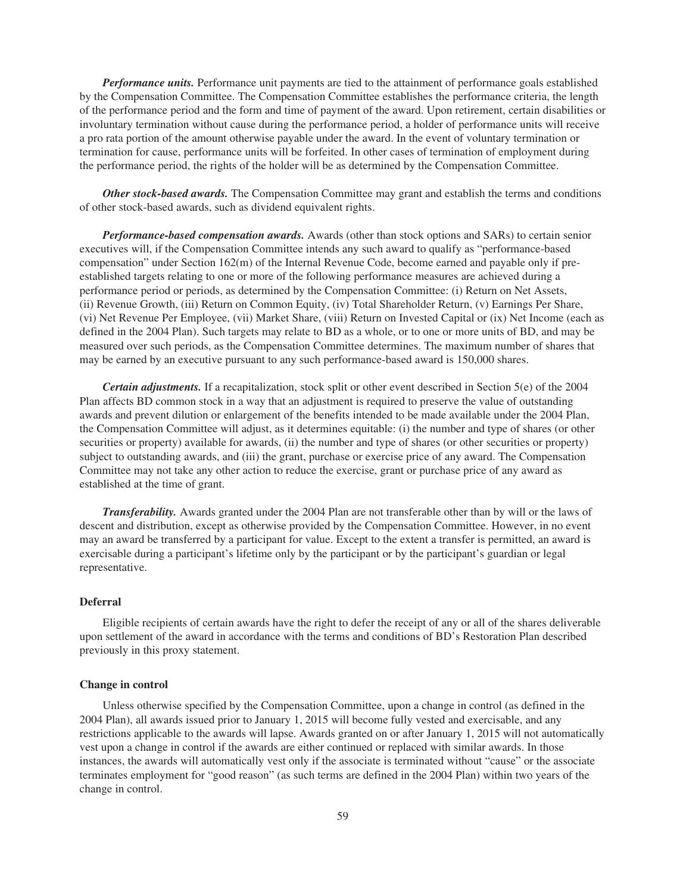*Performance units.* Performance unit payments are tied to the attainment of performance goals established by the Compensation Committee. The Compensation Committee establishes the performance criteria, the length of the performance period and the form and time of payment of the award. Upon retirement, certain disabilities or involuntary termination without cause during the performance period, a holder of performance units will receive a pro rata portion of the amount otherwise payable under the award. In the event of voluntary termination or termination for cause, performance units will be forfeited. In other cases of termination of employment during the performance period, the rights of the holder will be as determined by the Compensation Committee.

*Other stock-based awards.* The Compensation Committee may grant and establish the terms and conditions of other stock-based awards, such as dividend equivalent rights.

*Performance-based compensation awards.* Awards (other than stock options and SARs) to certain senior executives will, if the Compensation Committee intends any such award to qualify as "performance-based compensation" under Section 162(m) of the Internal Revenue Code, become earned and payable only if preestablished targets relating to one or more of the following performance measures are achieved during a performance period or periods, as determined by the Compensation Committee: (i) Return on Net Assets, (ii) Revenue Growth, (iii) Return on Common Equity, (iv) Total Shareholder Return, (v) Earnings Per Share, (vi) Net Revenue Per Employee, (vii) Market Share, (viii) Return on Invested Capital or (ix) Net Income (each as defined in the 2004 Plan). Such targets may relate to BD as a whole, or to one or more units of BD, and may be measured over such periods, as the Compensation Committee determines. The maximum number of shares that may be earned by an executive pursuant to any such performance-based award is 150,000 shares.

*Certain adjustments.* If a recapitalization, stock split or other event described in Section 5(e) of the 2004 Plan affects BD common stock in a way that an adjustment is required to preserve the value of outstanding awards and prevent dilution or enlargement of the benefits intended to be made available under the 2004 Plan, the Compensation Committee will adjust, as it determines equitable: (i) the number and type of shares (or other securities or property) available for awards, (ii) the number and type of shares (or other securities or property) subject to outstanding awards, and (iii) the grant, purchase or exercise price of any award. The Compensation Committee may not take any other action to reduce the exercise, grant or purchase price of any award as established at the time of grant.

*Transferability.* Awards granted under the 2004 Plan are not transferable other than by will or the laws of descent and distribution, except as otherwise provided by the Compensation Committee. However, in no event may an award be transferred by a participant for value. Except to the extent a transfer is permitted, an award is exercisable during a participant's lifetime only by the participant or by the participant's guardian or legal representative.

# **Deferral**

Eligible recipients of certain awards have the right to defer the receipt of any or all of the shares deliverable upon settlement of the award in accordance with the terms and conditions of BD's Restoration Plan described previously in this proxy statement.

### **Change in control**

Unless otherwise specified by the Compensation Committee, upon a change in control (as defined in the 2004 Plan), all awards issued prior to January 1, 2015 will become fully vested and exercisable, and any restrictions applicable to the awards will lapse. Awards granted on or after January 1, 2015 will not automatically vest upon a change in control if the awards are either continued or replaced with similar awards. In those instances, the awards will automatically vest only if the associate is terminated without "cause" or the associate terminates employment for "good reason" (as such terms are defined in the 2004 Plan) within two years of the change in control.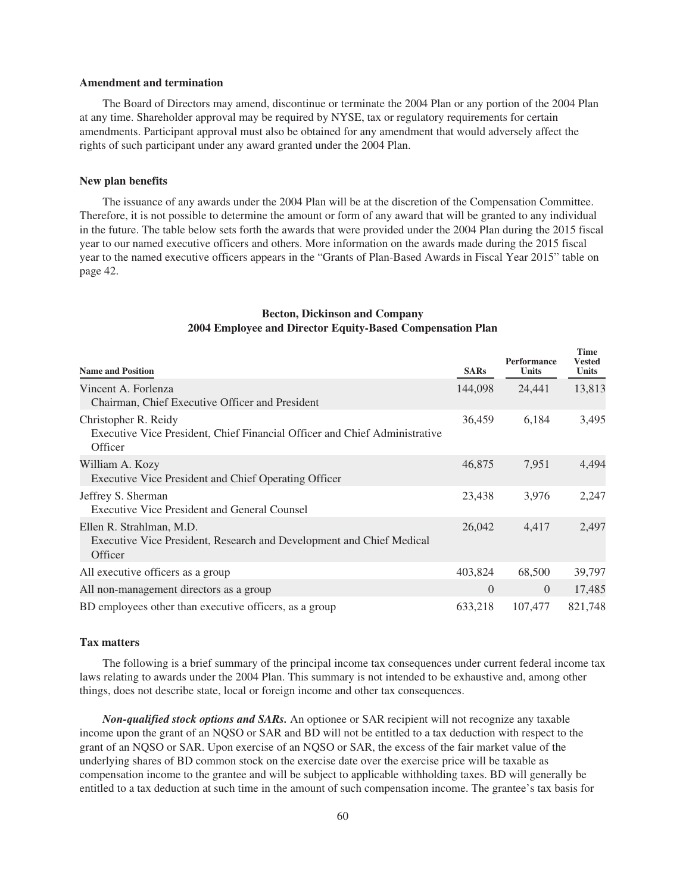## **Amendment and termination**

The Board of Directors may amend, discontinue or terminate the 2004 Plan or any portion of the 2004 Plan at any time. Shareholder approval may be required by NYSE, tax or regulatory requirements for certain amendments. Participant approval must also be obtained for any amendment that would adversely affect the rights of such participant under any award granted under the 2004 Plan.

### **New plan benefits**

The issuance of any awards under the 2004 Plan will be at the discretion of the Compensation Committee. Therefore, it is not possible to determine the amount or form of any award that will be granted to any individual in the future. The table below sets forth the awards that were provided under the 2004 Plan during the 2015 fiscal year to our named executive officers and others. More information on the awards made during the 2015 fiscal year to the named executive officers appears in the "Grants of Plan-Based Awards in Fiscal Year 2015" table on page 42.

| <b>Name and Position</b>                                                                                      | <b>SARs</b> | <b>Performance</b><br>Units | <b>Time</b><br><b>Vested</b><br><b>Units</b> |
|---------------------------------------------------------------------------------------------------------------|-------------|-----------------------------|----------------------------------------------|
| Vincent A. Forlenza<br>Chairman, Chief Executive Officer and President                                        | 144,098     | 24,441                      | 13,813                                       |
| Christopher R. Reidy<br>Executive Vice President, Chief Financial Officer and Chief Administrative<br>Officer | 36,459      | 6,184                       | 3,495                                        |
| William A. Kozy<br>Executive Vice President and Chief Operating Officer                                       | 46,875      | 7,951                       | 4,494                                        |
| Jeffrey S. Sherman<br><b>Executive Vice President and General Counsel</b>                                     | 23,438      | 3,976                       | 2,247                                        |
| Ellen R. Strahlman, M.D.<br>Executive Vice President, Research and Development and Chief Medical<br>Officer   | 26,042      | 4,417                       | 2,497                                        |
| All executive officers as a group                                                                             | 403,824     | 68,500                      | 39,797                                       |
| All non-management directors as a group                                                                       | $\Omega$    | $\Omega$                    | 17,485                                       |
| BD employees other than executive officers, as a group                                                        | 633,218     | 107,477                     | 821,748                                      |

## **Becton, Dickinson and Company 2004 Employee and Director Equity-Based Compensation Plan**

#### **Tax matters**

The following is a brief summary of the principal income tax consequences under current federal income tax laws relating to awards under the 2004 Plan. This summary is not intended to be exhaustive and, among other things, does not describe state, local or foreign income and other tax consequences.

*Non-qualified stock options and SARs.* An optionee or SAR recipient will not recognize any taxable income upon the grant of an NQSO or SAR and BD will not be entitled to a tax deduction with respect to the grant of an NQSO or SAR. Upon exercise of an NQSO or SAR, the excess of the fair market value of the underlying shares of BD common stock on the exercise date over the exercise price will be taxable as compensation income to the grantee and will be subject to applicable withholding taxes. BD will generally be entitled to a tax deduction at such time in the amount of such compensation income. The grantee's tax basis for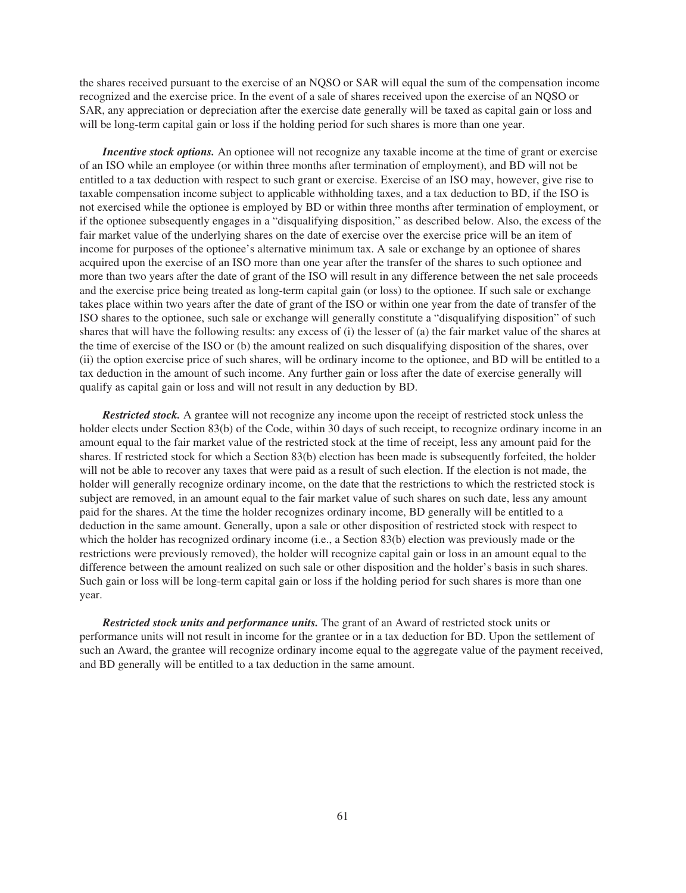the shares received pursuant to the exercise of an NQSO or SAR will equal the sum of the compensation income recognized and the exercise price. In the event of a sale of shares received upon the exercise of an NQSO or SAR, any appreciation or depreciation after the exercise date generally will be taxed as capital gain or loss and will be long-term capital gain or loss if the holding period for such shares is more than one year.

*Incentive stock options.* An optionee will not recognize any taxable income at the time of grant or exercise of an ISO while an employee (or within three months after termination of employment), and BD will not be entitled to a tax deduction with respect to such grant or exercise. Exercise of an ISO may, however, give rise to taxable compensation income subject to applicable withholding taxes, and a tax deduction to BD, if the ISO is not exercised while the optionee is employed by BD or within three months after termination of employment, or if the optionee subsequently engages in a "disqualifying disposition," as described below. Also, the excess of the fair market value of the underlying shares on the date of exercise over the exercise price will be an item of income for purposes of the optionee's alternative minimum tax. A sale or exchange by an optionee of shares acquired upon the exercise of an ISO more than one year after the transfer of the shares to such optionee and more than two years after the date of grant of the ISO will result in any difference between the net sale proceeds and the exercise price being treated as long-term capital gain (or loss) to the optionee. If such sale or exchange takes place within two years after the date of grant of the ISO or within one year from the date of transfer of the ISO shares to the optionee, such sale or exchange will generally constitute a "disqualifying disposition" of such shares that will have the following results: any excess of (i) the lesser of (a) the fair market value of the shares at the time of exercise of the ISO or (b) the amount realized on such disqualifying disposition of the shares, over (ii) the option exercise price of such shares, will be ordinary income to the optionee, and BD will be entitled to a tax deduction in the amount of such income. Any further gain or loss after the date of exercise generally will qualify as capital gain or loss and will not result in any deduction by BD.

*Restricted stock.* A grantee will not recognize any income upon the receipt of restricted stock unless the holder elects under Section 83(b) of the Code, within 30 days of such receipt, to recognize ordinary income in an amount equal to the fair market value of the restricted stock at the time of receipt, less any amount paid for the shares. If restricted stock for which a Section 83(b) election has been made is subsequently forfeited, the holder will not be able to recover any taxes that were paid as a result of such election. If the election is not made, the holder will generally recognize ordinary income, on the date that the restrictions to which the restricted stock is subject are removed, in an amount equal to the fair market value of such shares on such date, less any amount paid for the shares. At the time the holder recognizes ordinary income, BD generally will be entitled to a deduction in the same amount. Generally, upon a sale or other disposition of restricted stock with respect to which the holder has recognized ordinary income (i.e., a Section 83(b) election was previously made or the restrictions were previously removed), the holder will recognize capital gain or loss in an amount equal to the difference between the amount realized on such sale or other disposition and the holder's basis in such shares. Such gain or loss will be long-term capital gain or loss if the holding period for such shares is more than one year.

*Restricted stock units and performance units.* The grant of an Award of restricted stock units or performance units will not result in income for the grantee or in a tax deduction for BD. Upon the settlement of such an Award, the grantee will recognize ordinary income equal to the aggregate value of the payment received, and BD generally will be entitled to a tax deduction in the same amount.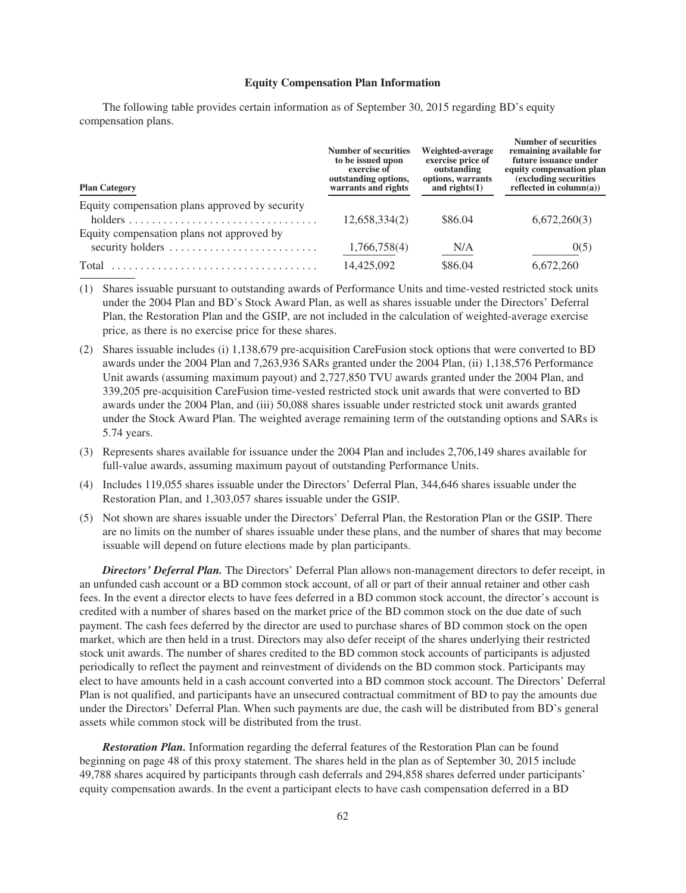#### **Equity Compensation Plan Information**

The following table provides certain information as of September 30, 2015 regarding BD's equity compensation plans.

| <b>Plan Category</b>                           | <b>Number of securities</b><br>to be issued upon<br>exercise of<br>outstanding options,<br>warrants and rights | Weighted-average<br>exercise price of<br>outstanding<br>options, warrants<br>and rights $(1)$ | <b>Number of securities</b><br>remaining available for<br>future issuance under<br>equity compensation plan<br>(excluding securities)<br>reflected in $column(a))$ |
|------------------------------------------------|----------------------------------------------------------------------------------------------------------------|-----------------------------------------------------------------------------------------------|--------------------------------------------------------------------------------------------------------------------------------------------------------------------|
| Equity compensation plans approved by security |                                                                                                                |                                                                                               |                                                                                                                                                                    |
|                                                | 12,658,334(2)                                                                                                  | \$86.04                                                                                       | 6,672,260(3)                                                                                                                                                       |
| Equity compensation plans not approved by      |                                                                                                                |                                                                                               |                                                                                                                                                                    |
| security holders                               | 1,766,758(4)                                                                                                   | N/A                                                                                           | 0(5)                                                                                                                                                               |
| Total                                          | 14,425,092                                                                                                     | \$86.04                                                                                       | 6,672,260                                                                                                                                                          |

(1) Shares issuable pursuant to outstanding awards of Performance Units and time-vested restricted stock units under the 2004 Plan and BD's Stock Award Plan, as well as shares issuable under the Directors' Deferral Plan, the Restoration Plan and the GSIP, are not included in the calculation of weighted-average exercise price, as there is no exercise price for these shares.

- (2) Shares issuable includes (i) 1,138,679 pre-acquisition CareFusion stock options that were converted to BD awards under the 2004 Plan and 7,263,936 SARs granted under the 2004 Plan, (ii) 1,138,576 Performance Unit awards (assuming maximum payout) and 2,727,850 TVU awards granted under the 2004 Plan, and 339,205 pre-acquisition CareFusion time-vested restricted stock unit awards that were converted to BD awards under the 2004 Plan, and (iii) 50,088 shares issuable under restricted stock unit awards granted under the Stock Award Plan. The weighted average remaining term of the outstanding options and SARs is 5.74 years.
- (3) Represents shares available for issuance under the 2004 Plan and includes 2,706,149 shares available for full-value awards, assuming maximum payout of outstanding Performance Units.
- (4) Includes 119,055 shares issuable under the Directors' Deferral Plan, 344,646 shares issuable under the Restoration Plan, and 1,303,057 shares issuable under the GSIP.
- (5) Not shown are shares issuable under the Directors' Deferral Plan, the Restoration Plan or the GSIP. There are no limits on the number of shares issuable under these plans, and the number of shares that may become issuable will depend on future elections made by plan participants.

*Directors' Deferral Plan.* The Directors' Deferral Plan allows non-management directors to defer receipt, in an unfunded cash account or a BD common stock account, of all or part of their annual retainer and other cash fees. In the event a director elects to have fees deferred in a BD common stock account, the director's account is credited with a number of shares based on the market price of the BD common stock on the due date of such payment. The cash fees deferred by the director are used to purchase shares of BD common stock on the open market, which are then held in a trust. Directors may also defer receipt of the shares underlying their restricted stock unit awards. The number of shares credited to the BD common stock accounts of participants is adjusted periodically to reflect the payment and reinvestment of dividends on the BD common stock. Participants may elect to have amounts held in a cash account converted into a BD common stock account. The Directors' Deferral Plan is not qualified, and participants have an unsecured contractual commitment of BD to pay the amounts due under the Directors' Deferral Plan. When such payments are due, the cash will be distributed from BD's general assets while common stock will be distributed from the trust.

*Restoration Plan.* Information regarding the deferral features of the Restoration Plan can be found beginning on page 48 of this proxy statement. The shares held in the plan as of September 30, 2015 include 49,788 shares acquired by participants through cash deferrals and 294,858 shares deferred under participants' equity compensation awards. In the event a participant elects to have cash compensation deferred in a BD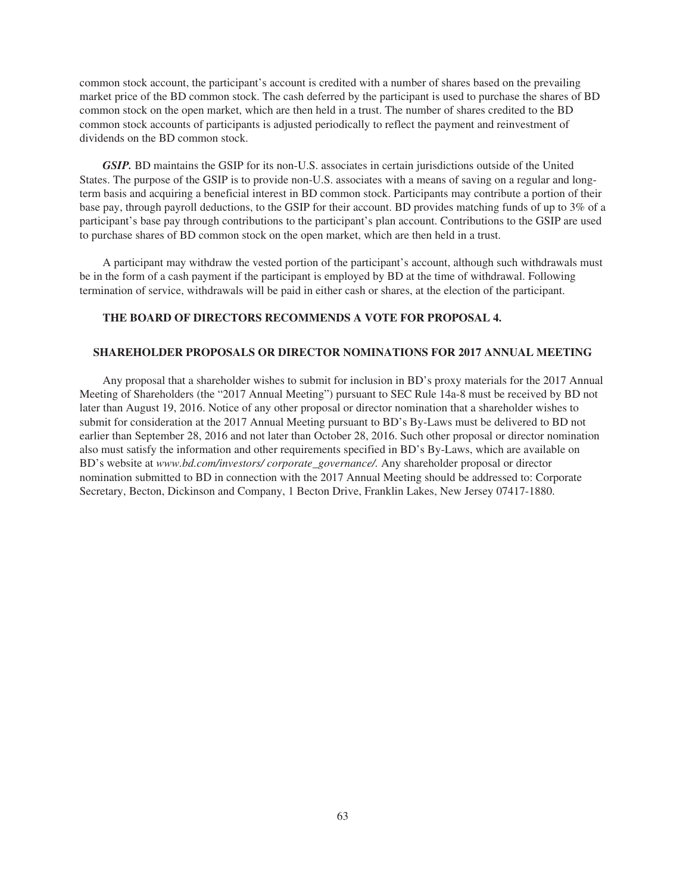common stock account, the participant's account is credited with a number of shares based on the prevailing market price of the BD common stock. The cash deferred by the participant is used to purchase the shares of BD common stock on the open market, which are then held in a trust. The number of shares credited to the BD common stock accounts of participants is adjusted periodically to reflect the payment and reinvestment of dividends on the BD common stock.

*GSIP.* BD maintains the GSIP for its non-U.S. associates in certain jurisdictions outside of the United States. The purpose of the GSIP is to provide non-U.S. associates with a means of saving on a regular and longterm basis and acquiring a beneficial interest in BD common stock. Participants may contribute a portion of their base pay, through payroll deductions, to the GSIP for their account. BD provides matching funds of up to 3% of a participant's base pay through contributions to the participant's plan account. Contributions to the GSIP are used to purchase shares of BD common stock on the open market, which are then held in a trust.

A participant may withdraw the vested portion of the participant's account, although such withdrawals must be in the form of a cash payment if the participant is employed by BD at the time of withdrawal. Following termination of service, withdrawals will be paid in either cash or shares, at the election of the participant.

## **THE BOARD OF DIRECTORS RECOMMENDS A VOTE FOR PROPOSAL 4.**

## **SHAREHOLDER PROPOSALS OR DIRECTOR NOMINATIONS FOR 2017 ANNUAL MEETING**

Any proposal that a shareholder wishes to submit for inclusion in BD's proxy materials for the 2017 Annual Meeting of Shareholders (the "2017 Annual Meeting") pursuant to SEC Rule 14a-8 must be received by BD not later than August 19, 2016. Notice of any other proposal or director nomination that a shareholder wishes to submit for consideration at the 2017 Annual Meeting pursuant to BD's By-Laws must be delivered to BD not earlier than September 28, 2016 and not later than October 28, 2016. Such other proposal or director nomination also must satisfy the information and other requirements specified in BD's By-Laws, which are available on BD's website at *www.bd.com/investors/ corporate\_governance/.* Any shareholder proposal or director nomination submitted to BD in connection with the 2017 Annual Meeting should be addressed to: Corporate Secretary, Becton, Dickinson and Company, 1 Becton Drive, Franklin Lakes, New Jersey 07417-1880.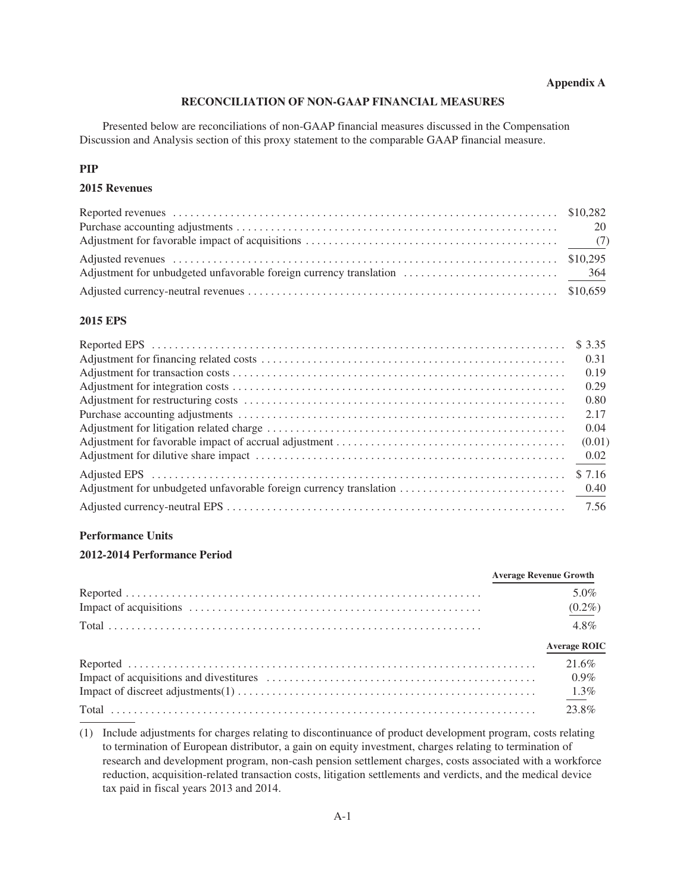# **Appendix A**

# **RECONCILIATION OF NON-GAAP FINANCIAL MEASURES**

Presented below are reconciliations of non-GAAP financial measures discussed in the Compensation Discussion and Analysis section of this proxy statement to the comparable GAAP financial measure.

# **PIP**

# **2015 Revenues**

# **2015 EPS**

| \$3.35 |
|--------|
| 0.31   |
| 0.19   |
| 0.29   |
| 0.80   |
| 2.17   |
| 0.04   |
| (0.01) |
| 0.02   |
| \$7.16 |
|        |
| 7.56   |

# **Performance Units**

# **2012-2014 Performance Period**

| <b>Average Revenue Growth</b>  |
|--------------------------------|
| 5.0%<br>$(0.2\%)$              |
| $4.8\%$<br><b>Average ROIC</b> |
| 21.6%<br>$0.9\%$               |
|                                |

(1) Include adjustments for charges relating to discontinuance of product development program, costs relating to termination of European distributor, a gain on equity investment, charges relating to termination of research and development program, non-cash pension settlement charges, costs associated with a workforce reduction, acquisition-related transaction costs, litigation settlements and verdicts, and the medical device tax paid in fiscal years 2013 and 2014.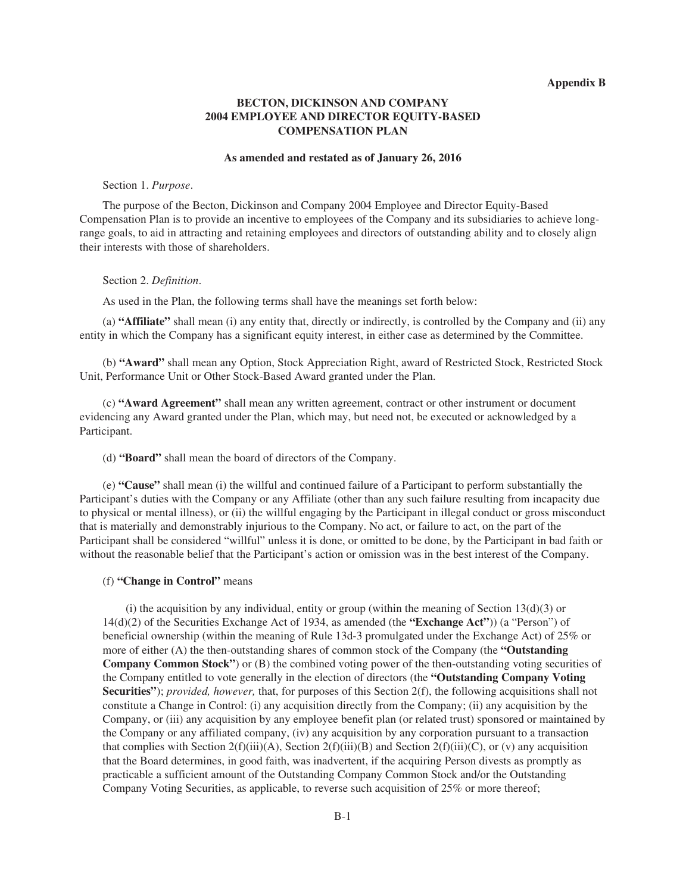# **BECTON, DICKINSON AND COMPANY 2004 EMPLOYEE AND DIRECTOR EQUITY-BASED COMPENSATION PLAN**

### **As amended and restated as of January 26, 2016**

### Section 1. *Purpose*.

The purpose of the Becton, Dickinson and Company 2004 Employee and Director Equity-Based Compensation Plan is to provide an incentive to employees of the Company and its subsidiaries to achieve longrange goals, to aid in attracting and retaining employees and directors of outstanding ability and to closely align their interests with those of shareholders.

### Section 2. *Definition*.

As used in the Plan, the following terms shall have the meanings set forth below:

(a) **"Affiliate"** shall mean (i) any entity that, directly or indirectly, is controlled by the Company and (ii) any entity in which the Company has a significant equity interest, in either case as determined by the Committee.

(b) **"Award"** shall mean any Option, Stock Appreciation Right, award of Restricted Stock, Restricted Stock Unit, Performance Unit or Other Stock-Based Award granted under the Plan.

(c) **"Award Agreement"** shall mean any written agreement, contract or other instrument or document evidencing any Award granted under the Plan, which may, but need not, be executed or acknowledged by a Participant.

(d) **"Board"** shall mean the board of directors of the Company.

(e) **"Cause"** shall mean (i) the willful and continued failure of a Participant to perform substantially the Participant's duties with the Company or any Affiliate (other than any such failure resulting from incapacity due to physical or mental illness), or (ii) the willful engaging by the Participant in illegal conduct or gross misconduct that is materially and demonstrably injurious to the Company. No act, or failure to act, on the part of the Participant shall be considered "willful" unless it is done, or omitted to be done, by the Participant in bad faith or without the reasonable belief that the Participant's action or omission was in the best interest of the Company.

# (f) **"Change in Control"** means

(i) the acquisition by any individual, entity or group (within the meaning of Section  $13(d)(3)$  or 14(d)(2) of the Securities Exchange Act of 1934, as amended (the **"Exchange Act"**)) (a "Person") of beneficial ownership (within the meaning of Rule 13d-3 promulgated under the Exchange Act) of 25% or more of either (A) the then-outstanding shares of common stock of the Company (the **"Outstanding Company Common Stock"**) or (B) the combined voting power of the then-outstanding voting securities of the Company entitled to vote generally in the election of directors (the **"Outstanding Company Voting Securities"**); *provided, however,* that, for purposes of this Section 2(f), the following acquisitions shall not constitute a Change in Control: (i) any acquisition directly from the Company; (ii) any acquisition by the Company, or (iii) any acquisition by any employee benefit plan (or related trust) sponsored or maintained by the Company or any affiliated company, (iv) any acquisition by any corporation pursuant to a transaction that complies with Section 2(f)(iii)(A), Section 2(f)(iii)(B) and Section 2(f)(iii)(C), or (v) any acquisition that the Board determines, in good faith, was inadvertent, if the acquiring Person divests as promptly as practicable a sufficient amount of the Outstanding Company Common Stock and/or the Outstanding Company Voting Securities, as applicable, to reverse such acquisition of 25% or more thereof;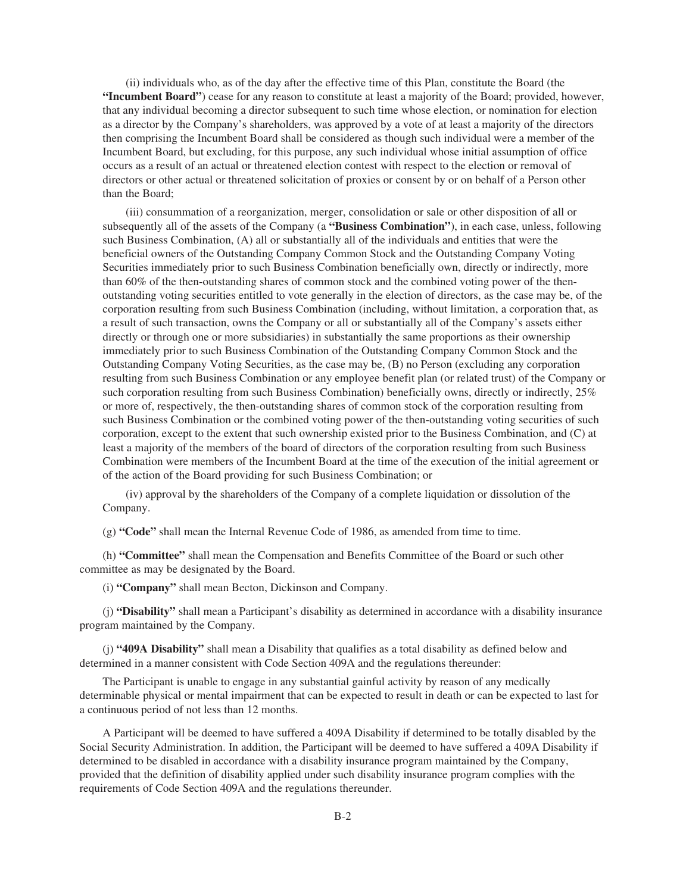(ii) individuals who, as of the day after the effective time of this Plan, constitute the Board (the **"Incumbent Board"**) cease for any reason to constitute at least a majority of the Board; provided, however, that any individual becoming a director subsequent to such time whose election, or nomination for election as a director by the Company's shareholders, was approved by a vote of at least a majority of the directors then comprising the Incumbent Board shall be considered as though such individual were a member of the Incumbent Board, but excluding, for this purpose, any such individual whose initial assumption of office occurs as a result of an actual or threatened election contest with respect to the election or removal of directors or other actual or threatened solicitation of proxies or consent by or on behalf of a Person other than the Board;

(iii) consummation of a reorganization, merger, consolidation or sale or other disposition of all or subsequently all of the assets of the Company (a **"Business Combination"**), in each case, unless, following such Business Combination, (A) all or substantially all of the individuals and entities that were the beneficial owners of the Outstanding Company Common Stock and the Outstanding Company Voting Securities immediately prior to such Business Combination beneficially own, directly or indirectly, more than 60% of the then-outstanding shares of common stock and the combined voting power of the thenoutstanding voting securities entitled to vote generally in the election of directors, as the case may be, of the corporation resulting from such Business Combination (including, without limitation, a corporation that, as a result of such transaction, owns the Company or all or substantially all of the Company's assets either directly or through one or more subsidiaries) in substantially the same proportions as their ownership immediately prior to such Business Combination of the Outstanding Company Common Stock and the Outstanding Company Voting Securities, as the case may be, (B) no Person (excluding any corporation resulting from such Business Combination or any employee benefit plan (or related trust) of the Company or such corporation resulting from such Business Combination) beneficially owns, directly or indirectly, 25% or more of, respectively, the then-outstanding shares of common stock of the corporation resulting from such Business Combination or the combined voting power of the then-outstanding voting securities of such corporation, except to the extent that such ownership existed prior to the Business Combination, and (C) at least a majority of the members of the board of directors of the corporation resulting from such Business Combination were members of the Incumbent Board at the time of the execution of the initial agreement or of the action of the Board providing for such Business Combination; or

(iv) approval by the shareholders of the Company of a complete liquidation or dissolution of the Company.

(g) **"Code"** shall mean the Internal Revenue Code of 1986, as amended from time to time.

(h) **"Committee"** shall mean the Compensation and Benefits Committee of the Board or such other committee as may be designated by the Board.

(i) **"Company"** shall mean Becton, Dickinson and Company.

(j) **"Disability"** shall mean a Participant's disability as determined in accordance with a disability insurance program maintained by the Company.

(j) **"409A Disability"** shall mean a Disability that qualifies as a total disability as defined below and determined in a manner consistent with Code Section 409A and the regulations thereunder:

The Participant is unable to engage in any substantial gainful activity by reason of any medically determinable physical or mental impairment that can be expected to result in death or can be expected to last for a continuous period of not less than 12 months.

A Participant will be deemed to have suffered a 409A Disability if determined to be totally disabled by the Social Security Administration. In addition, the Participant will be deemed to have suffered a 409A Disability if determined to be disabled in accordance with a disability insurance program maintained by the Company, provided that the definition of disability applied under such disability insurance program complies with the requirements of Code Section 409A and the regulations thereunder.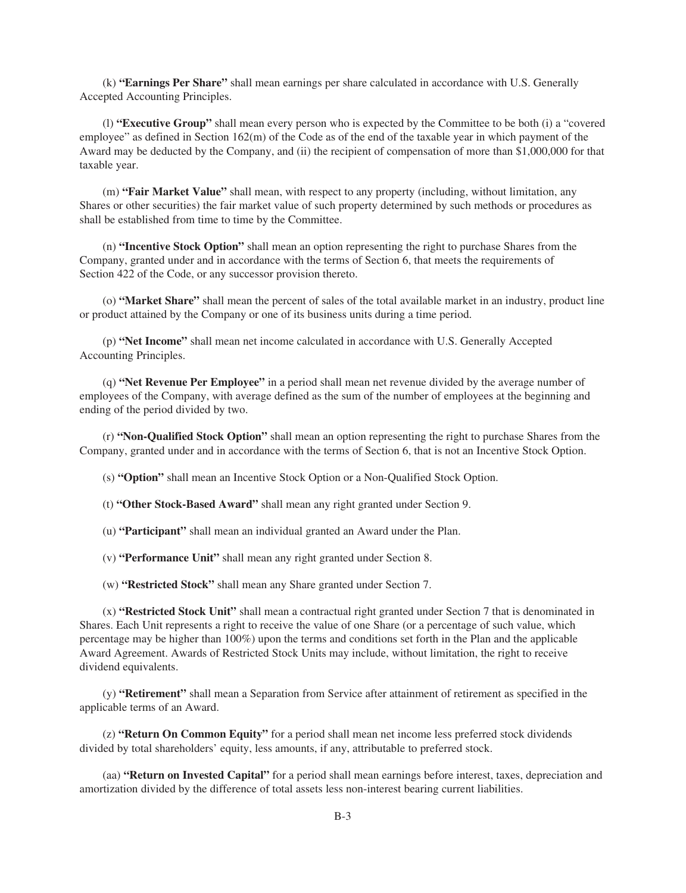(k) **"Earnings Per Share"** shall mean earnings per share calculated in accordance with U.S. Generally Accepted Accounting Principles.

(l) **"Executive Group"** shall mean every person who is expected by the Committee to be both (i) a "covered employee" as defined in Section 162(m) of the Code as of the end of the taxable year in which payment of the Award may be deducted by the Company, and (ii) the recipient of compensation of more than \$1,000,000 for that taxable year.

(m) **"Fair Market Value"** shall mean, with respect to any property (including, without limitation, any Shares or other securities) the fair market value of such property determined by such methods or procedures as shall be established from time to time by the Committee.

(n) **"Incentive Stock Option"** shall mean an option representing the right to purchase Shares from the Company, granted under and in accordance with the terms of Section 6, that meets the requirements of Section 422 of the Code, or any successor provision thereto.

(o) **"Market Share"** shall mean the percent of sales of the total available market in an industry, product line or product attained by the Company or one of its business units during a time period.

(p) **"Net Income"** shall mean net income calculated in accordance with U.S. Generally Accepted Accounting Principles.

(q) **"Net Revenue Per Employee"** in a period shall mean net revenue divided by the average number of employees of the Company, with average defined as the sum of the number of employees at the beginning and ending of the period divided by two.

(r) **"Non-Qualified Stock Option"** shall mean an option representing the right to purchase Shares from the Company, granted under and in accordance with the terms of Section 6, that is not an Incentive Stock Option.

(s) **"Option"** shall mean an Incentive Stock Option or a Non-Qualified Stock Option.

(t) **"Other Stock-Based Award"** shall mean any right granted under Section 9.

(u) **"Participant"** shall mean an individual granted an Award under the Plan.

(v) **"Performance Unit"** shall mean any right granted under Section 8.

(w) **"Restricted Stock"** shall mean any Share granted under Section 7.

(x) **"Restricted Stock Unit"** shall mean a contractual right granted under Section 7 that is denominated in Shares. Each Unit represents a right to receive the value of one Share (or a percentage of such value, which percentage may be higher than 100%) upon the terms and conditions set forth in the Plan and the applicable Award Agreement. Awards of Restricted Stock Units may include, without limitation, the right to receive dividend equivalents.

(y) **"Retirement"** shall mean a Separation from Service after attainment of retirement as specified in the applicable terms of an Award.

(z) **"Return On Common Equity"** for a period shall mean net income less preferred stock dividends divided by total shareholders' equity, less amounts, if any, attributable to preferred stock.

(aa) **"Return on Invested Capital"** for a period shall mean earnings before interest, taxes, depreciation and amortization divided by the difference of total assets less non-interest bearing current liabilities.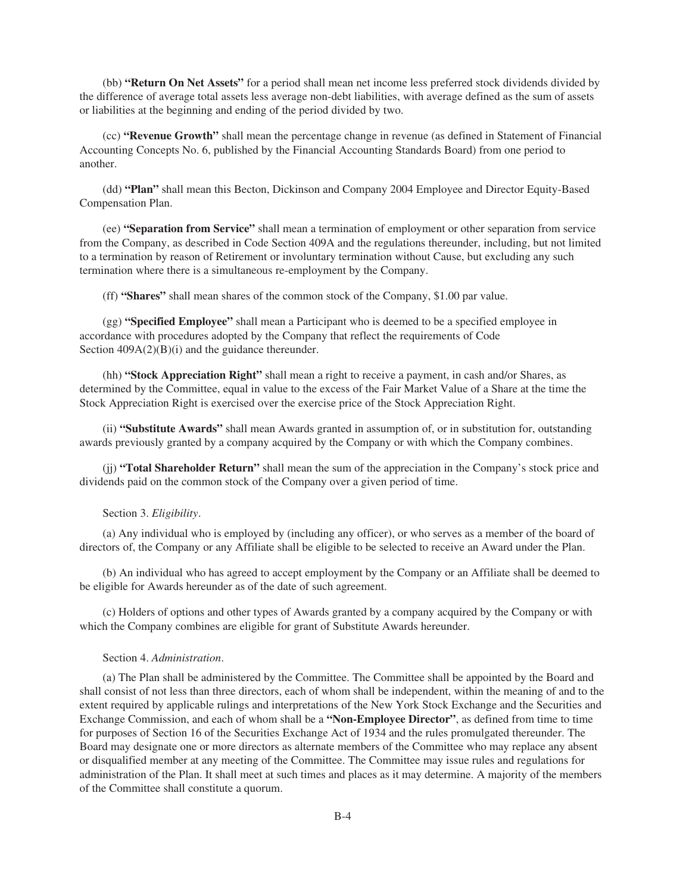(bb) **"Return On Net Assets"** for a period shall mean net income less preferred stock dividends divided by the difference of average total assets less average non-debt liabilities, with average defined as the sum of assets or liabilities at the beginning and ending of the period divided by two.

(cc) **"Revenue Growth"** shall mean the percentage change in revenue (as defined in Statement of Financial Accounting Concepts No. 6, published by the Financial Accounting Standards Board) from one period to another.

(dd) **"Plan"** shall mean this Becton, Dickinson and Company 2004 Employee and Director Equity-Based Compensation Plan.

(ee) **"Separation from Service"** shall mean a termination of employment or other separation from service from the Company, as described in Code Section 409A and the regulations thereunder, including, but not limited to a termination by reason of Retirement or involuntary termination without Cause, but excluding any such termination where there is a simultaneous re-employment by the Company.

(ff) **"Shares"** shall mean shares of the common stock of the Company, \$1.00 par value.

(gg) **"Specified Employee"** shall mean a Participant who is deemed to be a specified employee in accordance with procedures adopted by the Company that reflect the requirements of Code Section  $409A(2)(B)(i)$  and the guidance thereunder.

(hh) **"Stock Appreciation Right"** shall mean a right to receive a payment, in cash and/or Shares, as determined by the Committee, equal in value to the excess of the Fair Market Value of a Share at the time the Stock Appreciation Right is exercised over the exercise price of the Stock Appreciation Right.

(ii) **"Substitute Awards"** shall mean Awards granted in assumption of, or in substitution for, outstanding awards previously granted by a company acquired by the Company or with which the Company combines.

(jj) **"Total Shareholder Return"** shall mean the sum of the appreciation in the Company's stock price and dividends paid on the common stock of the Company over a given period of time.

### Section 3. *Eligibility*.

(a) Any individual who is employed by (including any officer), or who serves as a member of the board of directors of, the Company or any Affiliate shall be eligible to be selected to receive an Award under the Plan.

(b) An individual who has agreed to accept employment by the Company or an Affiliate shall be deemed to be eligible for Awards hereunder as of the date of such agreement.

(c) Holders of options and other types of Awards granted by a company acquired by the Company or with which the Company combines are eligible for grant of Substitute Awards hereunder.

### Section 4. *Administration*.

(a) The Plan shall be administered by the Committee. The Committee shall be appointed by the Board and shall consist of not less than three directors, each of whom shall be independent, within the meaning of and to the extent required by applicable rulings and interpretations of the New York Stock Exchange and the Securities and Exchange Commission, and each of whom shall be a **"Non-Employee Director"**, as defined from time to time for purposes of Section 16 of the Securities Exchange Act of 1934 and the rules promulgated thereunder. The Board may designate one or more directors as alternate members of the Committee who may replace any absent or disqualified member at any meeting of the Committee. The Committee may issue rules and regulations for administration of the Plan. It shall meet at such times and places as it may determine. A majority of the members of the Committee shall constitute a quorum.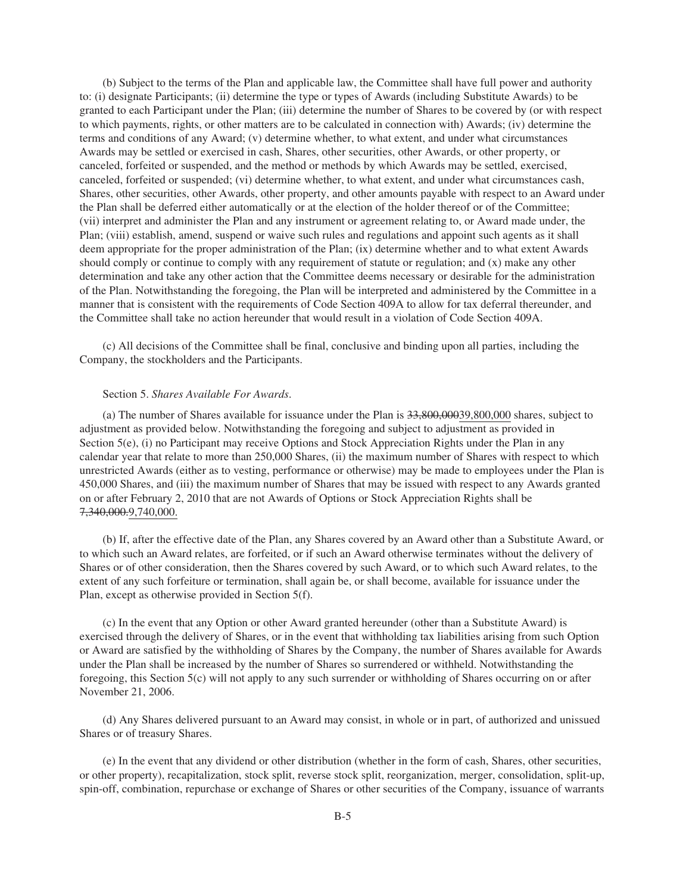(b) Subject to the terms of the Plan and applicable law, the Committee shall have full power and authority to: (i) designate Participants; (ii) determine the type or types of Awards (including Substitute Awards) to be granted to each Participant under the Plan; (iii) determine the number of Shares to be covered by (or with respect to which payments, rights, or other matters are to be calculated in connection with) Awards; (iv) determine the terms and conditions of any Award; (v) determine whether, to what extent, and under what circumstances Awards may be settled or exercised in cash, Shares, other securities, other Awards, or other property, or canceled, forfeited or suspended, and the method or methods by which Awards may be settled, exercised, canceled, forfeited or suspended; (vi) determine whether, to what extent, and under what circumstances cash, Shares, other securities, other Awards, other property, and other amounts payable with respect to an Award under the Plan shall be deferred either automatically or at the election of the holder thereof or of the Committee; (vii) interpret and administer the Plan and any instrument or agreement relating to, or Award made under, the Plan; (viii) establish, amend, suspend or waive such rules and regulations and appoint such agents as it shall deem appropriate for the proper administration of the Plan; (ix) determine whether and to what extent Awards should comply or continue to comply with any requirement of statute or regulation; and (x) make any other determination and take any other action that the Committee deems necessary or desirable for the administration of the Plan. Notwithstanding the foregoing, the Plan will be interpreted and administered by the Committee in a manner that is consistent with the requirements of Code Section 409A to allow for tax deferral thereunder, and the Committee shall take no action hereunder that would result in a violation of Code Section 409A.

(c) All decisions of the Committee shall be final, conclusive and binding upon all parties, including the Company, the stockholders and the Participants.

## Section 5. *Shares Available For Awards*.

(a) The number of Shares available for issuance under the Plan is  $33,800,00039,800,000$  shares, subject to adjustment as provided below. Notwithstanding the foregoing and subject to adjustment as provided in Section 5(e), (i) no Participant may receive Options and Stock Appreciation Rights under the Plan in any calendar year that relate to more than 250,000 Shares, (ii) the maximum number of Shares with respect to which unrestricted Awards (either as to vesting, performance or otherwise) may be made to employees under the Plan is 450,000 Shares, and (iii) the maximum number of Shares that may be issued with respect to any Awards granted on or after February 2, 2010 that are not Awards of Options or Stock Appreciation Rights shall be 7,340,000.9,740,000.

(b) If, after the effective date of the Plan, any Shares covered by an Award other than a Substitute Award, or to which such an Award relates, are forfeited, or if such an Award otherwise terminates without the delivery of Shares or of other consideration, then the Shares covered by such Award, or to which such Award relates, to the extent of any such forfeiture or termination, shall again be, or shall become, available for issuance under the Plan, except as otherwise provided in Section 5(f).

(c) In the event that any Option or other Award granted hereunder (other than a Substitute Award) is exercised through the delivery of Shares, or in the event that withholding tax liabilities arising from such Option or Award are satisfied by the withholding of Shares by the Company, the number of Shares available for Awards under the Plan shall be increased by the number of Shares so surrendered or withheld. Notwithstanding the foregoing, this Section 5(c) will not apply to any such surrender or withholding of Shares occurring on or after November 21, 2006.

(d) Any Shares delivered pursuant to an Award may consist, in whole or in part, of authorized and unissued Shares or of treasury Shares.

(e) In the event that any dividend or other distribution (whether in the form of cash, Shares, other securities, or other property), recapitalization, stock split, reverse stock split, reorganization, merger, consolidation, split-up, spin-off, combination, repurchase or exchange of Shares or other securities of the Company, issuance of warrants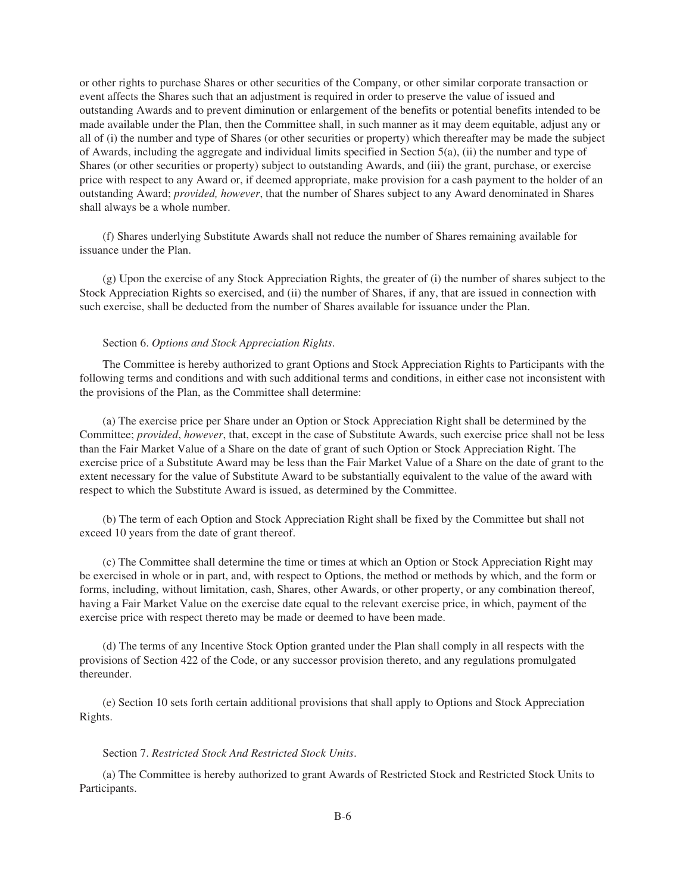or other rights to purchase Shares or other securities of the Company, or other similar corporate transaction or event affects the Shares such that an adjustment is required in order to preserve the value of issued and outstanding Awards and to prevent diminution or enlargement of the benefits or potential benefits intended to be made available under the Plan, then the Committee shall, in such manner as it may deem equitable, adjust any or all of (i) the number and type of Shares (or other securities or property) which thereafter may be made the subject of Awards, including the aggregate and individual limits specified in Section 5(a), (ii) the number and type of Shares (or other securities or property) subject to outstanding Awards, and (iii) the grant, purchase, or exercise price with respect to any Award or, if deemed appropriate, make provision for a cash payment to the holder of an outstanding Award; *provided, however*, that the number of Shares subject to any Award denominated in Shares shall always be a whole number.

(f) Shares underlying Substitute Awards shall not reduce the number of Shares remaining available for issuance under the Plan.

(g) Upon the exercise of any Stock Appreciation Rights, the greater of (i) the number of shares subject to the Stock Appreciation Rights so exercised, and (ii) the number of Shares, if any, that are issued in connection with such exercise, shall be deducted from the number of Shares available for issuance under the Plan.

## Section 6. *Options and Stock Appreciation Rights*.

The Committee is hereby authorized to grant Options and Stock Appreciation Rights to Participants with the following terms and conditions and with such additional terms and conditions, in either case not inconsistent with the provisions of the Plan, as the Committee shall determine:

(a) The exercise price per Share under an Option or Stock Appreciation Right shall be determined by the Committee; *provided*, *however*, that, except in the case of Substitute Awards, such exercise price shall not be less than the Fair Market Value of a Share on the date of grant of such Option or Stock Appreciation Right. The exercise price of a Substitute Award may be less than the Fair Market Value of a Share on the date of grant to the extent necessary for the value of Substitute Award to be substantially equivalent to the value of the award with respect to which the Substitute Award is issued, as determined by the Committee.

(b) The term of each Option and Stock Appreciation Right shall be fixed by the Committee but shall not exceed 10 years from the date of grant thereof.

(c) The Committee shall determine the time or times at which an Option or Stock Appreciation Right may be exercised in whole or in part, and, with respect to Options, the method or methods by which, and the form or forms, including, without limitation, cash, Shares, other Awards, or other property, or any combination thereof, having a Fair Market Value on the exercise date equal to the relevant exercise price, in which, payment of the exercise price with respect thereto may be made or deemed to have been made.

(d) The terms of any Incentive Stock Option granted under the Plan shall comply in all respects with the provisions of Section 422 of the Code, or any successor provision thereto, and any regulations promulgated thereunder.

(e) Section 10 sets forth certain additional provisions that shall apply to Options and Stock Appreciation Rights.

# Section 7. *Restricted Stock And Restricted Stock Units*.

(a) The Committee is hereby authorized to grant Awards of Restricted Stock and Restricted Stock Units to Participants.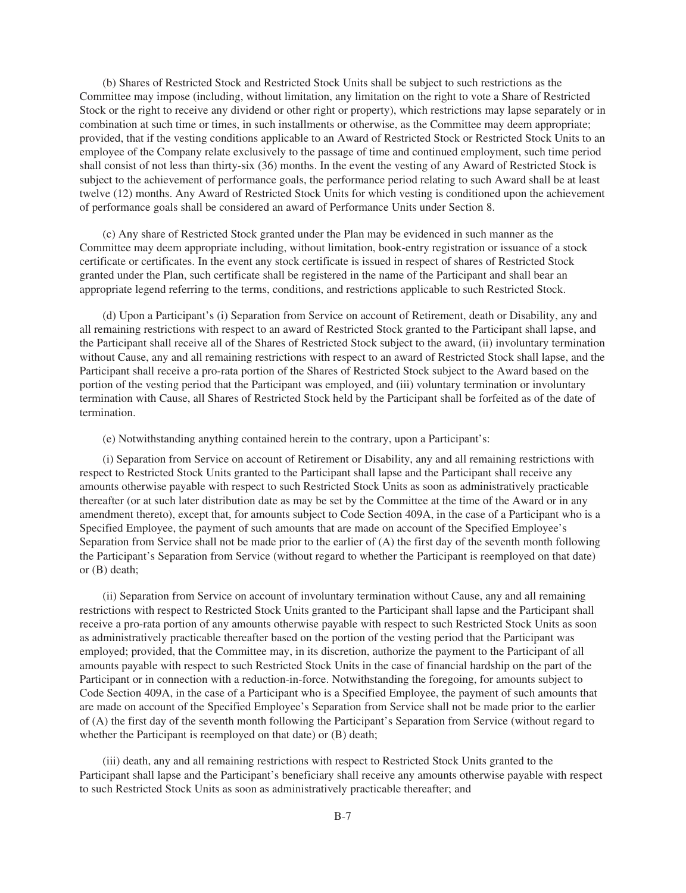(b) Shares of Restricted Stock and Restricted Stock Units shall be subject to such restrictions as the Committee may impose (including, without limitation, any limitation on the right to vote a Share of Restricted Stock or the right to receive any dividend or other right or property), which restrictions may lapse separately or in combination at such time or times, in such installments or otherwise, as the Committee may deem appropriate; provided, that if the vesting conditions applicable to an Award of Restricted Stock or Restricted Stock Units to an employee of the Company relate exclusively to the passage of time and continued employment, such time period shall consist of not less than thirty-six (36) months. In the event the vesting of any Award of Restricted Stock is subject to the achievement of performance goals, the performance period relating to such Award shall be at least twelve (12) months. Any Award of Restricted Stock Units for which vesting is conditioned upon the achievement of performance goals shall be considered an award of Performance Units under Section 8.

(c) Any share of Restricted Stock granted under the Plan may be evidenced in such manner as the Committee may deem appropriate including, without limitation, book-entry registration or issuance of a stock certificate or certificates. In the event any stock certificate is issued in respect of shares of Restricted Stock granted under the Plan, such certificate shall be registered in the name of the Participant and shall bear an appropriate legend referring to the terms, conditions, and restrictions applicable to such Restricted Stock.

(d) Upon a Participant's (i) Separation from Service on account of Retirement, death or Disability, any and all remaining restrictions with respect to an award of Restricted Stock granted to the Participant shall lapse, and the Participant shall receive all of the Shares of Restricted Stock subject to the award, (ii) involuntary termination without Cause, any and all remaining restrictions with respect to an award of Restricted Stock shall lapse, and the Participant shall receive a pro-rata portion of the Shares of Restricted Stock subject to the Award based on the portion of the vesting period that the Participant was employed, and (iii) voluntary termination or involuntary termination with Cause, all Shares of Restricted Stock held by the Participant shall be forfeited as of the date of termination.

(e) Notwithstanding anything contained herein to the contrary, upon a Participant's:

(i) Separation from Service on account of Retirement or Disability, any and all remaining restrictions with respect to Restricted Stock Units granted to the Participant shall lapse and the Participant shall receive any amounts otherwise payable with respect to such Restricted Stock Units as soon as administratively practicable thereafter (or at such later distribution date as may be set by the Committee at the time of the Award or in any amendment thereto), except that, for amounts subject to Code Section 409A, in the case of a Participant who is a Specified Employee, the payment of such amounts that are made on account of the Specified Employee's Separation from Service shall not be made prior to the earlier of (A) the first day of the seventh month following the Participant's Separation from Service (without regard to whether the Participant is reemployed on that date) or (B) death;

(ii) Separation from Service on account of involuntary termination without Cause, any and all remaining restrictions with respect to Restricted Stock Units granted to the Participant shall lapse and the Participant shall receive a pro-rata portion of any amounts otherwise payable with respect to such Restricted Stock Units as soon as administratively practicable thereafter based on the portion of the vesting period that the Participant was employed; provided, that the Committee may, in its discretion, authorize the payment to the Participant of all amounts payable with respect to such Restricted Stock Units in the case of financial hardship on the part of the Participant or in connection with a reduction-in-force. Notwithstanding the foregoing, for amounts subject to Code Section 409A, in the case of a Participant who is a Specified Employee, the payment of such amounts that are made on account of the Specified Employee's Separation from Service shall not be made prior to the earlier of (A) the first day of the seventh month following the Participant's Separation from Service (without regard to whether the Participant is reemployed on that date) or  $(B)$  death;

(iii) death, any and all remaining restrictions with respect to Restricted Stock Units granted to the Participant shall lapse and the Participant's beneficiary shall receive any amounts otherwise payable with respect to such Restricted Stock Units as soon as administratively practicable thereafter; and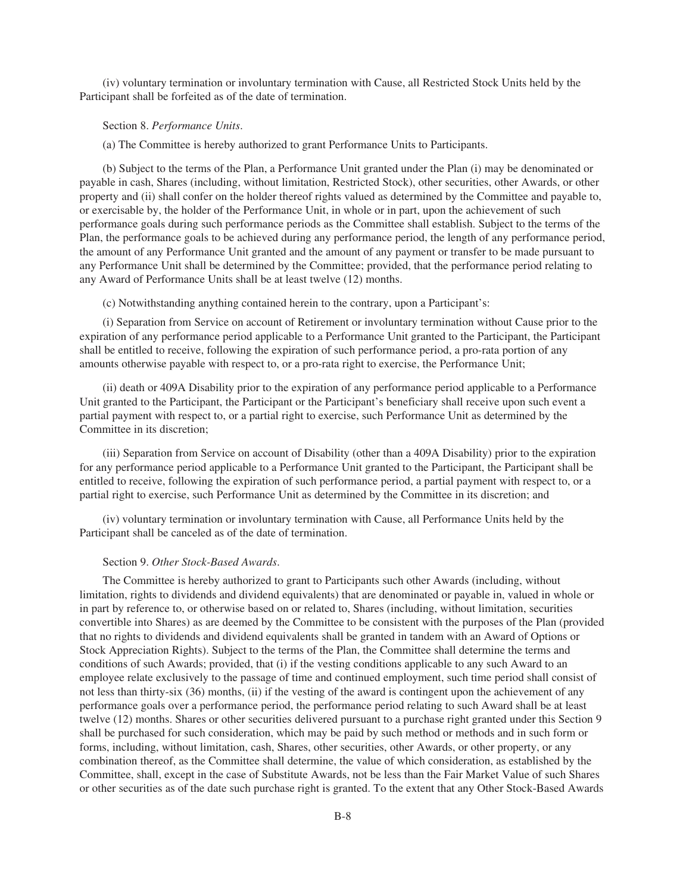(iv) voluntary termination or involuntary termination with Cause, all Restricted Stock Units held by the Participant shall be forfeited as of the date of termination.

### Section 8. *Performance Units*.

(a) The Committee is hereby authorized to grant Performance Units to Participants.

(b) Subject to the terms of the Plan, a Performance Unit granted under the Plan (i) may be denominated or payable in cash, Shares (including, without limitation, Restricted Stock), other securities, other Awards, or other property and (ii) shall confer on the holder thereof rights valued as determined by the Committee and payable to, or exercisable by, the holder of the Performance Unit, in whole or in part, upon the achievement of such performance goals during such performance periods as the Committee shall establish. Subject to the terms of the Plan, the performance goals to be achieved during any performance period, the length of any performance period, the amount of any Performance Unit granted and the amount of any payment or transfer to be made pursuant to any Performance Unit shall be determined by the Committee; provided, that the performance period relating to any Award of Performance Units shall be at least twelve (12) months.

(c) Notwithstanding anything contained herein to the contrary, upon a Participant's:

(i) Separation from Service on account of Retirement or involuntary termination without Cause prior to the expiration of any performance period applicable to a Performance Unit granted to the Participant, the Participant shall be entitled to receive, following the expiration of such performance period, a pro-rata portion of any amounts otherwise payable with respect to, or a pro-rata right to exercise, the Performance Unit;

(ii) death or 409A Disability prior to the expiration of any performance period applicable to a Performance Unit granted to the Participant, the Participant or the Participant's beneficiary shall receive upon such event a partial payment with respect to, or a partial right to exercise, such Performance Unit as determined by the Committee in its discretion;

(iii) Separation from Service on account of Disability (other than a 409A Disability) prior to the expiration for any performance period applicable to a Performance Unit granted to the Participant, the Participant shall be entitled to receive, following the expiration of such performance period, a partial payment with respect to, or a partial right to exercise, such Performance Unit as determined by the Committee in its discretion; and

(iv) voluntary termination or involuntary termination with Cause, all Performance Units held by the Participant shall be canceled as of the date of termination.

#### Section 9. *Other Stock-Based Awards*.

The Committee is hereby authorized to grant to Participants such other Awards (including, without limitation, rights to dividends and dividend equivalents) that are denominated or payable in, valued in whole or in part by reference to, or otherwise based on or related to, Shares (including, without limitation, securities convertible into Shares) as are deemed by the Committee to be consistent with the purposes of the Plan (provided that no rights to dividends and dividend equivalents shall be granted in tandem with an Award of Options or Stock Appreciation Rights). Subject to the terms of the Plan, the Committee shall determine the terms and conditions of such Awards; provided, that (i) if the vesting conditions applicable to any such Award to an employee relate exclusively to the passage of time and continued employment, such time period shall consist of not less than thirty-six (36) months, (ii) if the vesting of the award is contingent upon the achievement of any performance goals over a performance period, the performance period relating to such Award shall be at least twelve (12) months. Shares or other securities delivered pursuant to a purchase right granted under this Section 9 shall be purchased for such consideration, which may be paid by such method or methods and in such form or forms, including, without limitation, cash, Shares, other securities, other Awards, or other property, or any combination thereof, as the Committee shall determine, the value of which consideration, as established by the Committee, shall, except in the case of Substitute Awards, not be less than the Fair Market Value of such Shares or other securities as of the date such purchase right is granted. To the extent that any Other Stock-Based Awards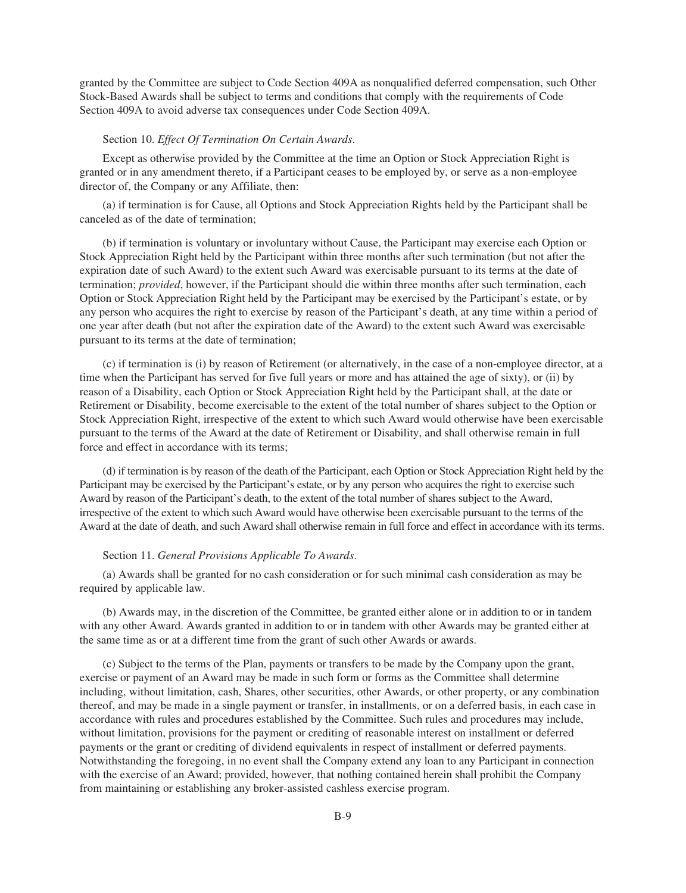granted by the Committee are subject to Code Section 409A as nonqualified deferred compensation, such Other Stock-Based Awards shall be subject to terms and conditions that comply with the requirements of Code Section 409A to avoid adverse tax consequences under Code Section 409A.

### Section 10. *Effect Of Termination On Certain Awards*.

Except as otherwise provided by the Committee at the time an Option or Stock Appreciation Right is granted or in any amendment thereto, if a Participant ceases to be employed by, or serve as a non-employee director of, the Company or any Affiliate, then:

(a) if termination is for Cause, all Options and Stock Appreciation Rights held by the Participant shall be canceled as of the date of termination;

(b) if termination is voluntary or involuntary without Cause, the Participant may exercise each Option or Stock Appreciation Right held by the Participant within three months after such termination (but not after the expiration date of such Award) to the extent such Award was exercisable pursuant to its terms at the date of termination; *provided*, however, if the Participant should die within three months after such termination, each Option or Stock Appreciation Right held by the Participant may be exercised by the Participant's estate, or by any person who acquires the right to exercise by reason of the Participant's death, at any time within a period of one year after death (but not after the expiration date of the Award) to the extent such Award was exercisable pursuant to its terms at the date of termination;

(c) if termination is (i) by reason of Retirement (or alternatively, in the case of a non-employee director, at a time when the Participant has served for five full years or more and has attained the age of sixty), or (ii) by reason of a Disability, each Option or Stock Appreciation Right held by the Participant shall, at the date or Retirement or Disability, become exercisable to the extent of the total number of shares subject to the Option or Stock Appreciation Right, irrespective of the extent to which such Award would otherwise have been exercisable pursuant to the terms of the Award at the date of Retirement or Disability, and shall otherwise remain in full force and effect in accordance with its terms;

(d) if termination is by reason of the death of the Participant, each Option or Stock Appreciation Right held by the Participant may be exercised by the Participant's estate, or by any person who acquires the right to exercise such Award by reason of the Participant's death, to the extent of the total number of shares subject to the Award, irrespective of the extent to which such Award would have otherwise been exercisable pursuant to the terms of the Award at the date of death, and such Award shall otherwise remain in full force and effect in accordance with its terms.

# Section 11. *General Provisions Applicable To Awards*.

(a) Awards shall be granted for no cash consideration or for such minimal cash consideration as may be required by applicable law.

(b) Awards may, in the discretion of the Committee, be granted either alone or in addition to or in tandem with any other Award. Awards granted in addition to or in tandem with other Awards may be granted either at the same time as or at a different time from the grant of such other Awards or awards.

(c) Subject to the terms of the Plan, payments or transfers to be made by the Company upon the grant, exercise or payment of an Award may be made in such form or forms as the Committee shall determine including, without limitation, cash, Shares, other securities, other Awards, or other property, or any combination thereof, and may be made in a single payment or transfer, in installments, or on a deferred basis, in each case in accordance with rules and procedures established by the Committee. Such rules and procedures may include, without limitation, provisions for the payment or crediting of reasonable interest on installment or deferred payments or the grant or crediting of dividend equivalents in respect of installment or deferred payments. Notwithstanding the foregoing, in no event shall the Company extend any loan to any Participant in connection with the exercise of an Award; provided, however, that nothing contained herein shall prohibit the Company from maintaining or establishing any broker-assisted cashless exercise program.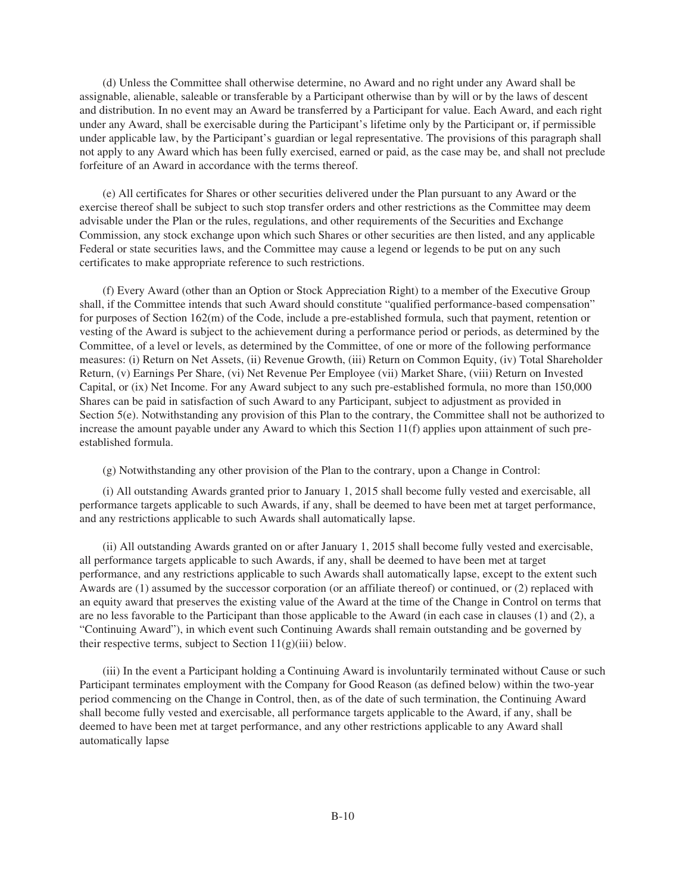(d) Unless the Committee shall otherwise determine, no Award and no right under any Award shall be assignable, alienable, saleable or transferable by a Participant otherwise than by will or by the laws of descent and distribution. In no event may an Award be transferred by a Participant for value. Each Award, and each right under any Award, shall be exercisable during the Participant's lifetime only by the Participant or, if permissible under applicable law, by the Participant's guardian or legal representative. The provisions of this paragraph shall not apply to any Award which has been fully exercised, earned or paid, as the case may be, and shall not preclude forfeiture of an Award in accordance with the terms thereof.

(e) All certificates for Shares or other securities delivered under the Plan pursuant to any Award or the exercise thereof shall be subject to such stop transfer orders and other restrictions as the Committee may deem advisable under the Plan or the rules, regulations, and other requirements of the Securities and Exchange Commission, any stock exchange upon which such Shares or other securities are then listed, and any applicable Federal or state securities laws, and the Committee may cause a legend or legends to be put on any such certificates to make appropriate reference to such restrictions.

(f) Every Award (other than an Option or Stock Appreciation Right) to a member of the Executive Group shall, if the Committee intends that such Award should constitute "qualified performance-based compensation" for purposes of Section 162(m) of the Code, include a pre-established formula, such that payment, retention or vesting of the Award is subject to the achievement during a performance period or periods, as determined by the Committee, of a level or levels, as determined by the Committee, of one or more of the following performance measures: (i) Return on Net Assets, (ii) Revenue Growth, (iii) Return on Common Equity, (iv) Total Shareholder Return, (v) Earnings Per Share, (vi) Net Revenue Per Employee (vii) Market Share, (viii) Return on Invested Capital, or (ix) Net Income. For any Award subject to any such pre-established formula, no more than 150,000 Shares can be paid in satisfaction of such Award to any Participant, subject to adjustment as provided in Section 5(e). Notwithstanding any provision of this Plan to the contrary, the Committee shall not be authorized to increase the amount payable under any Award to which this Section 11(f) applies upon attainment of such preestablished formula.

(g) Notwithstanding any other provision of the Plan to the contrary, upon a Change in Control:

(i) All outstanding Awards granted prior to January 1, 2015 shall become fully vested and exercisable, all performance targets applicable to such Awards, if any, shall be deemed to have been met at target performance, and any restrictions applicable to such Awards shall automatically lapse.

(ii) All outstanding Awards granted on or after January 1, 2015 shall become fully vested and exercisable, all performance targets applicable to such Awards, if any, shall be deemed to have been met at target performance, and any restrictions applicable to such Awards shall automatically lapse, except to the extent such Awards are (1) assumed by the successor corporation (or an affiliate thereof) or continued, or (2) replaced with an equity award that preserves the existing value of the Award at the time of the Change in Control on terms that are no less favorable to the Participant than those applicable to the Award (in each case in clauses (1) and (2), a "Continuing Award"), in which event such Continuing Awards shall remain outstanding and be governed by their respective terms, subject to Section  $11(g)(iii)$  below.

(iii) In the event a Participant holding a Continuing Award is involuntarily terminated without Cause or such Participant terminates employment with the Company for Good Reason (as defined below) within the two-year period commencing on the Change in Control, then, as of the date of such termination, the Continuing Award shall become fully vested and exercisable, all performance targets applicable to the Award, if any, shall be deemed to have been met at target performance, and any other restrictions applicable to any Award shall automatically lapse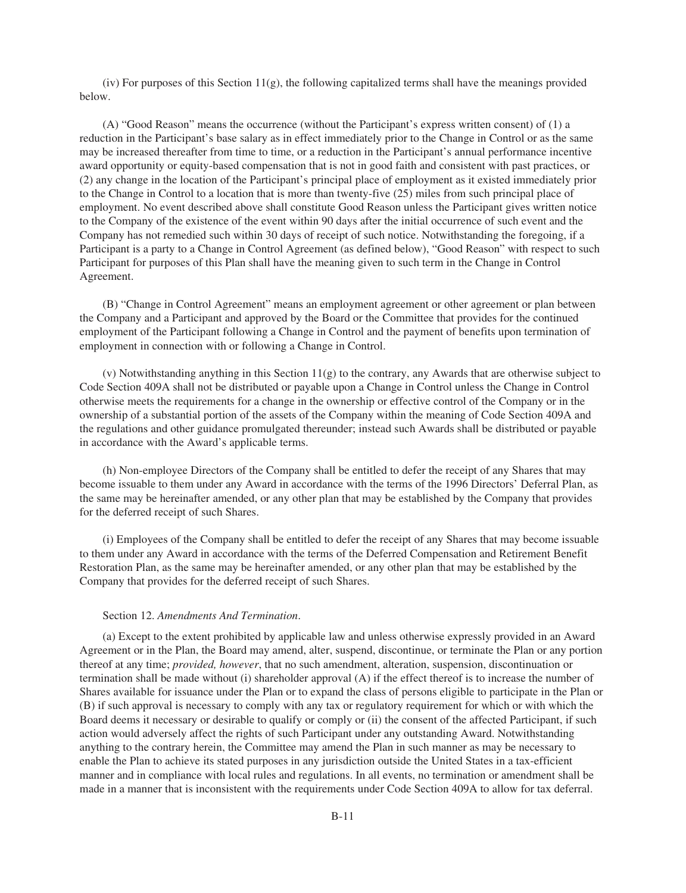(iv) For purposes of this Section  $11(g)$ , the following capitalized terms shall have the meanings provided below.

(A) "Good Reason" means the occurrence (without the Participant's express written consent) of (1) a reduction in the Participant's base salary as in effect immediately prior to the Change in Control or as the same may be increased thereafter from time to time, or a reduction in the Participant's annual performance incentive award opportunity or equity-based compensation that is not in good faith and consistent with past practices, or (2) any change in the location of the Participant's principal place of employment as it existed immediately prior to the Change in Control to a location that is more than twenty-five (25) miles from such principal place of employment. No event described above shall constitute Good Reason unless the Participant gives written notice to the Company of the existence of the event within 90 days after the initial occurrence of such event and the Company has not remedied such within 30 days of receipt of such notice. Notwithstanding the foregoing, if a Participant is a party to a Change in Control Agreement (as defined below), "Good Reason" with respect to such Participant for purposes of this Plan shall have the meaning given to such term in the Change in Control Agreement.

(B) "Change in Control Agreement" means an employment agreement or other agreement or plan between the Company and a Participant and approved by the Board or the Committee that provides for the continued employment of the Participant following a Change in Control and the payment of benefits upon termination of employment in connection with or following a Change in Control.

(v) Notwithstanding anything in this Section 11(g) to the contrary, any Awards that are otherwise subject to Code Section 409A shall not be distributed or payable upon a Change in Control unless the Change in Control otherwise meets the requirements for a change in the ownership or effective control of the Company or in the ownership of a substantial portion of the assets of the Company within the meaning of Code Section 409A and the regulations and other guidance promulgated thereunder; instead such Awards shall be distributed or payable in accordance with the Award's applicable terms.

(h) Non-employee Directors of the Company shall be entitled to defer the receipt of any Shares that may become issuable to them under any Award in accordance with the terms of the 1996 Directors' Deferral Plan, as the same may be hereinafter amended, or any other plan that may be established by the Company that provides for the deferred receipt of such Shares.

(i) Employees of the Company shall be entitled to defer the receipt of any Shares that may become issuable to them under any Award in accordance with the terms of the Deferred Compensation and Retirement Benefit Restoration Plan, as the same may be hereinafter amended, or any other plan that may be established by the Company that provides for the deferred receipt of such Shares.

### Section 12. *Amendments And Termination*.

(a) Except to the extent prohibited by applicable law and unless otherwise expressly provided in an Award Agreement or in the Plan, the Board may amend, alter, suspend, discontinue, or terminate the Plan or any portion thereof at any time; *provided, however*, that no such amendment, alteration, suspension, discontinuation or termination shall be made without (i) shareholder approval (A) if the effect thereof is to increase the number of Shares available for issuance under the Plan or to expand the class of persons eligible to participate in the Plan or (B) if such approval is necessary to comply with any tax or regulatory requirement for which or with which the Board deems it necessary or desirable to qualify or comply or (ii) the consent of the affected Participant, if such action would adversely affect the rights of such Participant under any outstanding Award. Notwithstanding anything to the contrary herein, the Committee may amend the Plan in such manner as may be necessary to enable the Plan to achieve its stated purposes in any jurisdiction outside the United States in a tax-efficient manner and in compliance with local rules and regulations. In all events, no termination or amendment shall be made in a manner that is inconsistent with the requirements under Code Section 409A to allow for tax deferral.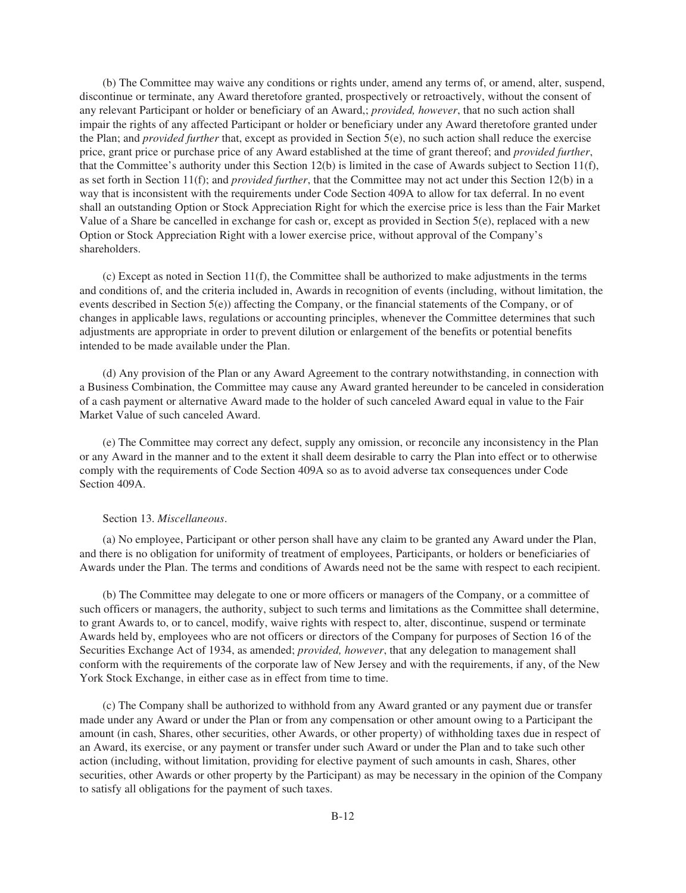(b) The Committee may waive any conditions or rights under, amend any terms of, or amend, alter, suspend, discontinue or terminate, any Award theretofore granted, prospectively or retroactively, without the consent of any relevant Participant or holder or beneficiary of an Award,; *provided, however*, that no such action shall impair the rights of any affected Participant or holder or beneficiary under any Award theretofore granted under the Plan; and *provided further* that, except as provided in Section 5(e), no such action shall reduce the exercise price, grant price or purchase price of any Award established at the time of grant thereof; and *provided further*, that the Committee's authority under this Section 12(b) is limited in the case of Awards subject to Section 11(f), as set forth in Section 11(f); and *provided further*, that the Committee may not act under this Section 12(b) in a way that is inconsistent with the requirements under Code Section 409A to allow for tax deferral. In no event shall an outstanding Option or Stock Appreciation Right for which the exercise price is less than the Fair Market Value of a Share be cancelled in exchange for cash or, except as provided in Section 5(e), replaced with a new Option or Stock Appreciation Right with a lower exercise price, without approval of the Company's shareholders.

(c) Except as noted in Section 11(f), the Committee shall be authorized to make adjustments in the terms and conditions of, and the criteria included in, Awards in recognition of events (including, without limitation, the events described in Section  $5(e)$ ) affecting the Company, or the financial statements of the Company, or of changes in applicable laws, regulations or accounting principles, whenever the Committee determines that such adjustments are appropriate in order to prevent dilution or enlargement of the benefits or potential benefits intended to be made available under the Plan.

(d) Any provision of the Plan or any Award Agreement to the contrary notwithstanding, in connection with a Business Combination, the Committee may cause any Award granted hereunder to be canceled in consideration of a cash payment or alternative Award made to the holder of such canceled Award equal in value to the Fair Market Value of such canceled Award.

(e) The Committee may correct any defect, supply any omission, or reconcile any inconsistency in the Plan or any Award in the manner and to the extent it shall deem desirable to carry the Plan into effect or to otherwise comply with the requirements of Code Section 409A so as to avoid adverse tax consequences under Code Section 409A.

### Section 13. *Miscellaneous*.

(a) No employee, Participant or other person shall have any claim to be granted any Award under the Plan, and there is no obligation for uniformity of treatment of employees, Participants, or holders or beneficiaries of Awards under the Plan. The terms and conditions of Awards need not be the same with respect to each recipient.

(b) The Committee may delegate to one or more officers or managers of the Company, or a committee of such officers or managers, the authority, subject to such terms and limitations as the Committee shall determine, to grant Awards to, or to cancel, modify, waive rights with respect to, alter, discontinue, suspend or terminate Awards held by, employees who are not officers or directors of the Company for purposes of Section 16 of the Securities Exchange Act of 1934, as amended; *provided, however*, that any delegation to management shall conform with the requirements of the corporate law of New Jersey and with the requirements, if any, of the New York Stock Exchange, in either case as in effect from time to time.

(c) The Company shall be authorized to withhold from any Award granted or any payment due or transfer made under any Award or under the Plan or from any compensation or other amount owing to a Participant the amount (in cash, Shares, other securities, other Awards, or other property) of withholding taxes due in respect of an Award, its exercise, or any payment or transfer under such Award or under the Plan and to take such other action (including, without limitation, providing for elective payment of such amounts in cash, Shares, other securities, other Awards or other property by the Participant) as may be necessary in the opinion of the Company to satisfy all obligations for the payment of such taxes.